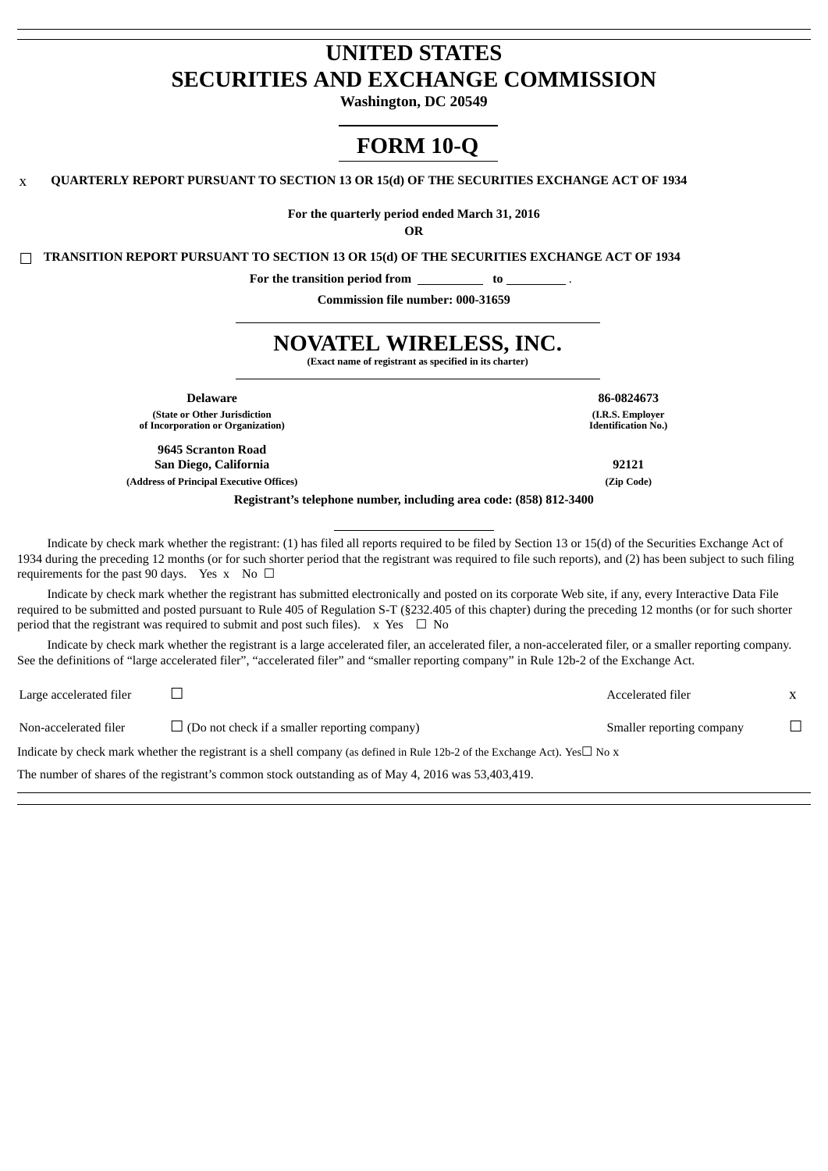# **UNITED STATES SECURITIES AND EXCHANGE COMMISSION**

**Washington, DC 20549**

# **FORM 10-Q**

x **QUARTERLY REPORT PURSUANT TO SECTION 13 OR 15(d) OF THE SECURITIES EXCHANGE ACT OF 1934**

**For the quarterly period ended March 31, 2016**

**OR**

☐ **TRANSITION REPORT PURSUANT TO SECTION 13 OR 15(d) OF THE SECURITIES EXCHANGE ACT OF 1934**

**For the transition period from to** .

**Commission file number: 000-31659**

# **NOVATEL WIRELESS, INC.**

**(Exact name of registrant as specified in its charter)**

**Delaware 86-0824673 (State or Other Jurisdiction of Incorporation or Organization)**

**9645 Scranton Road San Diego, California 92121 (Address of Principal Executive Offices) (Zip Code)**

**(I.R.S. Employer Identification No.)**

**Registrant's telephone number, including area code: (858) 812-3400**

Indicate by check mark whether the registrant: (1) has filed all reports required to be filed by Section 13 or 15(d) of the Securities Exchange Act of 1934 during the preceding 12 months (or for such shorter period that the registrant was required to file such reports), and (2) has been subject to such filing requirements for the past 90 days. Yes  $x \to 0$ 

Indicate by check mark whether the registrant has submitted electronically and posted on its corporate Web site, if any, every Interactive Data File required to be submitted and posted pursuant to Rule 405 of Regulation S-T (§232.405 of this chapter) during the preceding 12 months (or for such shorter period that the registrant was required to submit and post such files).  $x$  Yes  $\Box$  No

Indicate by check mark whether the registrant is a large accelerated filer, an accelerated filer, a non-accelerated filer, or a smaller reporting company. See the definitions of "large accelerated filer", "accelerated filer" and "smaller reporting company" in Rule 12b-2 of the Exchange Act.

Large accelerated filer  $□$ 

Non-accelerated filer  $\Box$  (Do not check if a smaller reporting company) Smaller reporting company  $\Box$ 

Indicate by check mark whether the registrant is a shell company (as defined in Rule 12b-2 of the Exchange Act). Yes☐ No x

The number of shares of the registrant's common stock outstanding as of May 4, 2016 was 53,403,419.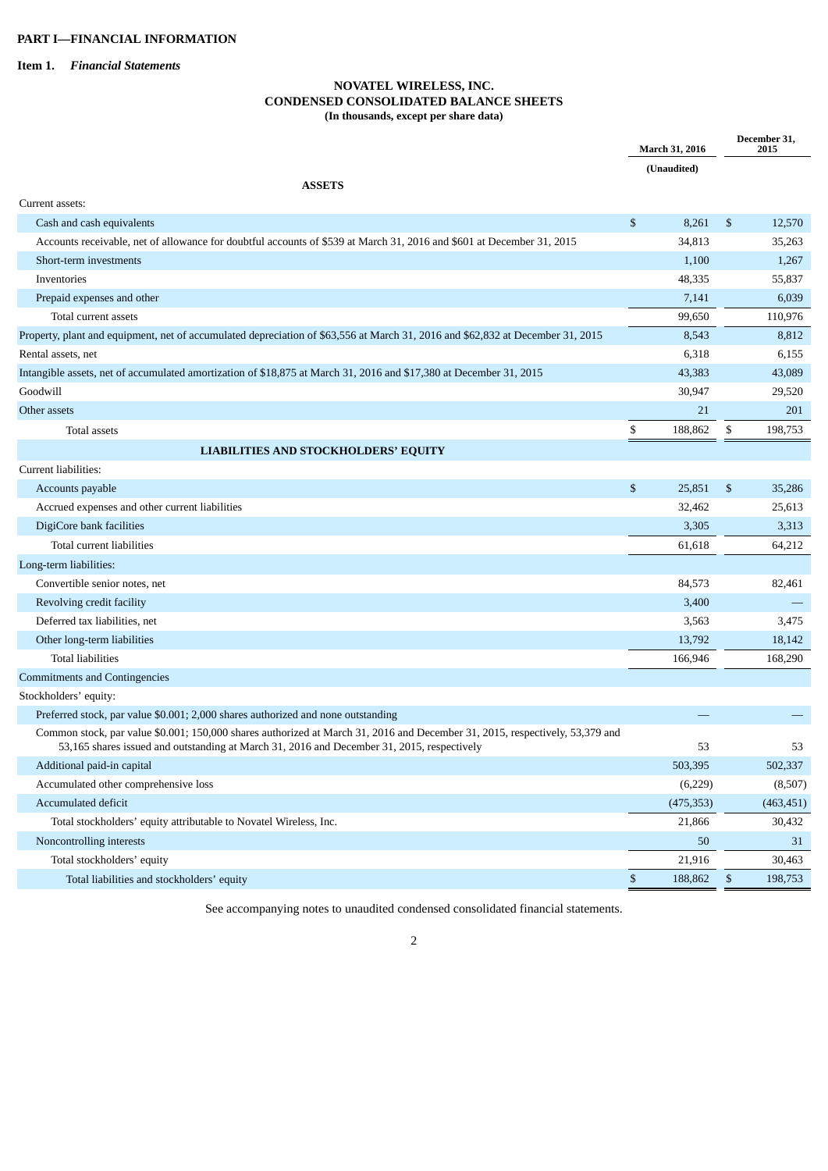# **Item 1.** *Financial Statements*

# **NOVATEL WIRELESS, INC. CONDENSED CONSOLIDATED BALANCE SHEETS (In thousands, except per share data)**

|                                                                                                                                                                                                                            | March 31, 2016<br>(Unaudited) |            | December 31,<br>2015 |            |
|----------------------------------------------------------------------------------------------------------------------------------------------------------------------------------------------------------------------------|-------------------------------|------------|----------------------|------------|
|                                                                                                                                                                                                                            |                               |            |                      |            |
| <b>ASSETS</b>                                                                                                                                                                                                              |                               |            |                      |            |
| Current assets:                                                                                                                                                                                                            |                               |            |                      |            |
| Cash and cash equivalents                                                                                                                                                                                                  | \$                            | 8,261      | \$                   | 12,570     |
| Accounts receivable, net of allowance for doubtful accounts of \$539 at March 31, 2016 and \$601 at December 31, 2015                                                                                                      |                               | 34,813     |                      | 35,263     |
| Short-term investments                                                                                                                                                                                                     |                               | 1,100      |                      | 1,267      |
| Inventories                                                                                                                                                                                                                |                               | 48,335     |                      | 55,837     |
| Prepaid expenses and other                                                                                                                                                                                                 |                               | 7,141      |                      | 6,039      |
| Total current assets                                                                                                                                                                                                       |                               | 99,650     |                      | 110,976    |
| Property, plant and equipment, net of accumulated depreciation of \$63,556 at March 31, 2016 and \$62,832 at December 31, 2015                                                                                             |                               | 8,543      |                      | 8,812      |
| Rental assets, net                                                                                                                                                                                                         |                               | 6,318      |                      | 6,155      |
| Intangible assets, net of accumulated amortization of \$18,875 at March 31, 2016 and \$17,380 at December 31, 2015                                                                                                         |                               | 43,383     |                      | 43,089     |
| Goodwill                                                                                                                                                                                                                   |                               | 30,947     |                      | 29,520     |
| Other assets                                                                                                                                                                                                               |                               | 21         |                      | 201        |
| Total assets                                                                                                                                                                                                               | \$                            | 188,862    | \$                   | 198,753    |
| <b>LIABILITIES AND STOCKHOLDERS' EQUITY</b>                                                                                                                                                                                |                               |            |                      |            |
| Current liabilities:                                                                                                                                                                                                       |                               |            |                      |            |
| Accounts payable                                                                                                                                                                                                           | \$                            | 25,851     | \$                   | 35,286     |
| Accrued expenses and other current liabilities                                                                                                                                                                             |                               | 32,462     |                      | 25,613     |
| DigiCore bank facilities                                                                                                                                                                                                   |                               | 3,305      |                      | 3,313      |
| Total current liabilities                                                                                                                                                                                                  |                               | 61,618     |                      | 64,212     |
| Long-term liabilities:                                                                                                                                                                                                     |                               |            |                      |            |
| Convertible senior notes, net                                                                                                                                                                                              |                               | 84,573     |                      | 82,461     |
| Revolving credit facility                                                                                                                                                                                                  |                               | 3,400      |                      |            |
| Deferred tax liabilities, net                                                                                                                                                                                              |                               | 3,563      |                      | 3,475      |
| Other long-term liabilities                                                                                                                                                                                                |                               | 13,792     |                      | 18,142     |
| <b>Total liabilities</b>                                                                                                                                                                                                   |                               | 166,946    |                      | 168,290    |
| <b>Commitments and Contingencies</b>                                                                                                                                                                                       |                               |            |                      |            |
| Stockholders' equity:                                                                                                                                                                                                      |                               |            |                      |            |
| Preferred stock, par value \$0.001; 2,000 shares authorized and none outstanding                                                                                                                                           |                               |            |                      |            |
| Common stock, par value \$0.001; 150,000 shares authorized at March 31, 2016 and December 31, 2015, respectively, 53,379 and<br>53,165 shares issued and outstanding at March 31, 2016 and December 31, 2015, respectively |                               | 53         |                      | 53         |
| Additional paid-in capital                                                                                                                                                                                                 |                               | 503,395    |                      | 502,337    |
| Accumulated other comprehensive loss                                                                                                                                                                                       |                               | (6,229)    |                      | (8,507)    |
| Accumulated deficit                                                                                                                                                                                                        |                               | (475, 353) |                      | (463, 451) |
| Total stockholders' equity attributable to Novatel Wireless, Inc.                                                                                                                                                          |                               | 21,866     |                      | 30,432     |
| Noncontrolling interests                                                                                                                                                                                                   |                               | 50         |                      | 31         |
| Total stockholders' equity                                                                                                                                                                                                 |                               | 21,916     |                      | 30,463     |
| Total liabilities and stockholders' equity                                                                                                                                                                                 | \$                            | 188,862    | \$                   | 198,753    |

See accompanying notes to unaudited condensed consolidated financial statements.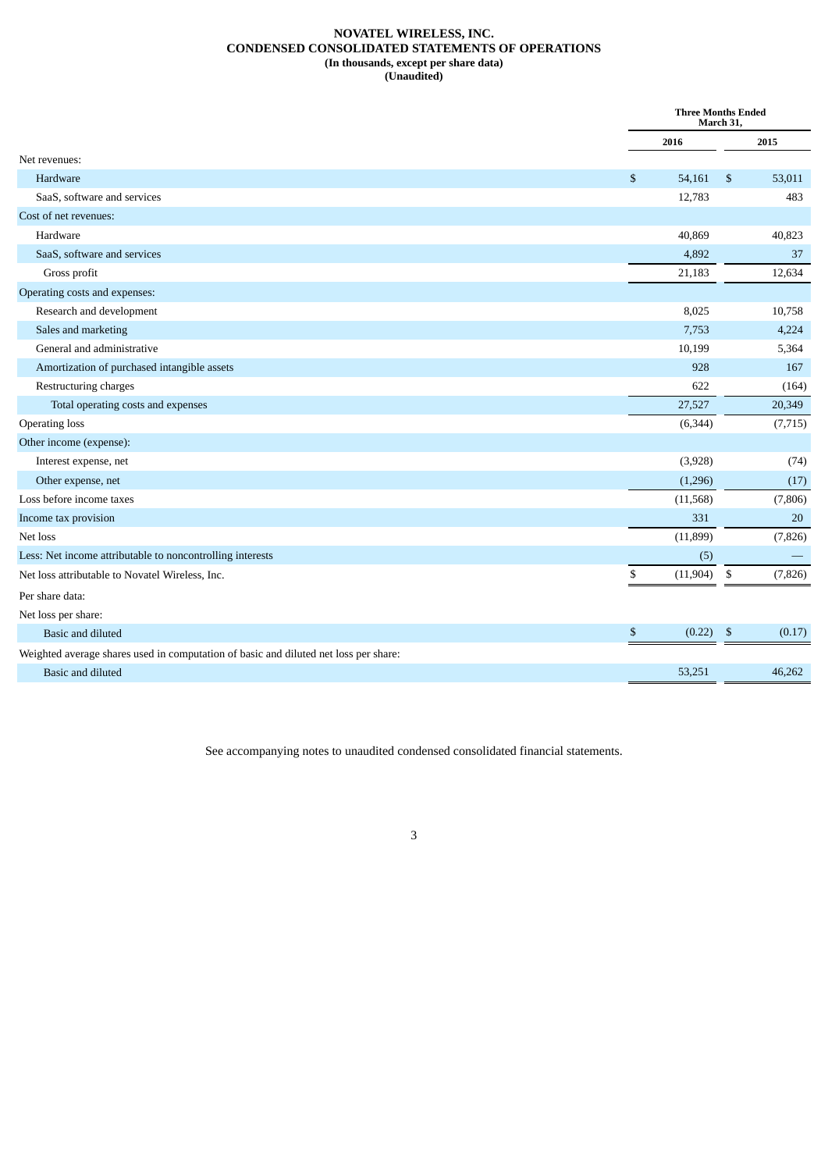# **NOVATEL WIRELESS, INC. CONDENSED CONSOLIDATED STATEMENTS OF OPERATIONS (In thousands, except per share data) (Unaudited)**

|                                                                                      | <b>Three Months Ended</b><br>March 31. |                |          |
|--------------------------------------------------------------------------------------|----------------------------------------|----------------|----------|
|                                                                                      | 2016                                   | 2015           |          |
| Net revenues:                                                                        |                                        |                |          |
| Hardware                                                                             | \$<br>54,161                           | $\mathfrak{F}$ | 53,011   |
| SaaS, software and services                                                          | 12,783                                 |                | 483      |
| Cost of net revenues:                                                                |                                        |                |          |
| Hardware                                                                             | 40,869                                 |                | 40,823   |
| SaaS, software and services                                                          | 4,892                                  |                | 37       |
| Gross profit                                                                         | 21,183                                 |                | 12,634   |
| Operating costs and expenses:                                                        |                                        |                |          |
| Research and development                                                             | 8,025                                  |                | 10,758   |
| Sales and marketing                                                                  | 7,753                                  |                | 4,224    |
| General and administrative                                                           | 10,199                                 |                | 5,364    |
| Amortization of purchased intangible assets                                          | 928                                    |                | 167      |
| Restructuring charges                                                                | 622                                    |                | (164)    |
| Total operating costs and expenses                                                   | 27,527                                 |                | 20,349   |
| <b>Operating loss</b>                                                                | (6,344)                                |                | (7, 715) |
| Other income (expense):                                                              |                                        |                |          |
| Interest expense, net                                                                | (3,928)                                |                | (74)     |
| Other expense, net                                                                   | (1,296)                                |                | (17)     |
| Loss before income taxes                                                             | (11, 568)                              |                | (7,806)  |
| Income tax provision                                                                 | 331                                    |                | 20       |
| Net loss                                                                             | (11, 899)                              |                | (7, 826) |
| Less: Net income attributable to noncontrolling interests                            | (5)                                    |                |          |
| Net loss attributable to Novatel Wireless, Inc.                                      | \$<br>(11,904)                         | \$             | (7, 826) |
| Per share data:                                                                      |                                        |                |          |
| Net loss per share:                                                                  |                                        |                |          |
| Basic and diluted                                                                    | \$<br>(0.22)                           | \$             | (0.17)   |
| Weighted average shares used in computation of basic and diluted net loss per share: |                                        |                |          |
| Basic and diluted                                                                    | 53,251                                 |                | 46,262   |
|                                                                                      |                                        |                |          |

See accompanying notes to unaudited condensed consolidated financial statements.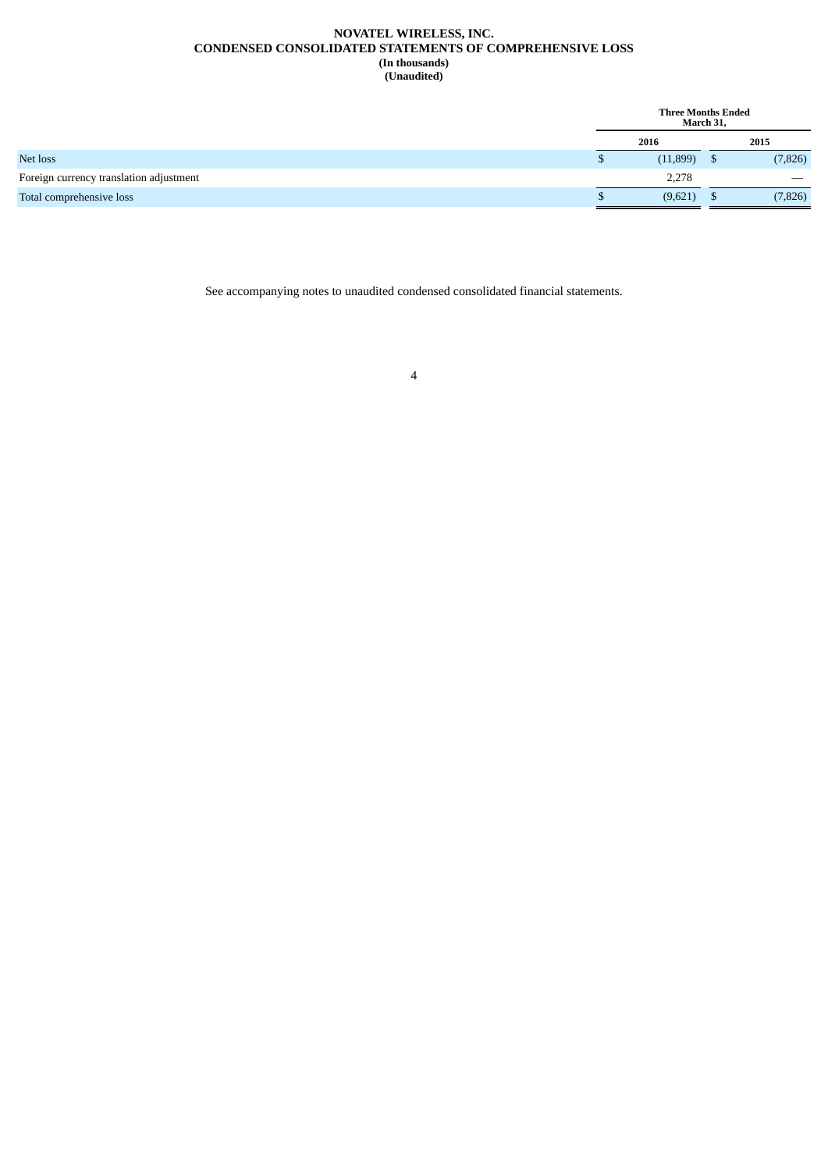# **NOVATEL WIRELESS, INC. CONDENSED CONSOLIDATED STATEMENTS OF COMPREHENSIVE LOSS (In thousands) (Unaudited)**

|                                         | <b>Three Months Ended</b><br>March 31, |          |  |          |
|-----------------------------------------|----------------------------------------|----------|--|----------|
|                                         |                                        | 2016     |  | 2015     |
| Net loss                                |                                        | (11,899) |  | (7, 826) |
| Foreign currency translation adjustment |                                        | 2,278    |  | $-$      |
| Total comprehensive loss                |                                        | (9,621)  |  | (7, 826) |

See accompanying notes to unaudited condensed consolidated financial statements.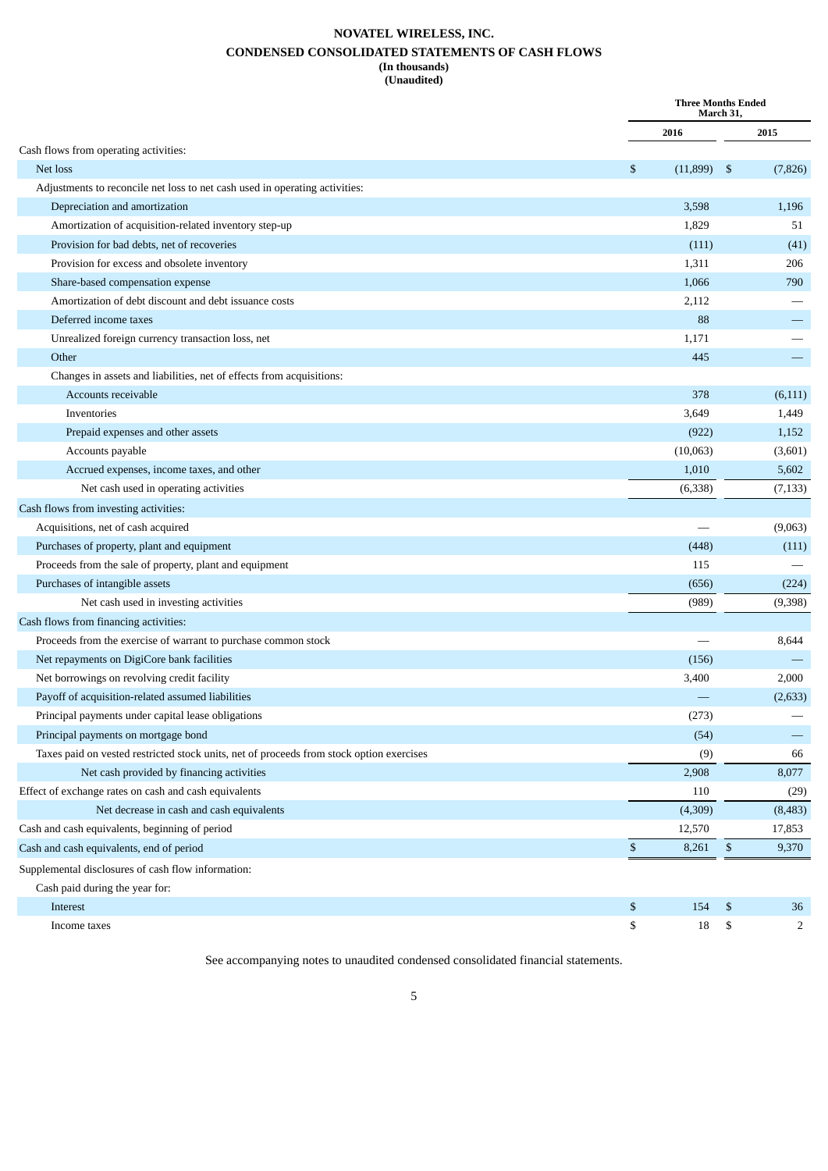# **NOVATEL WIRELESS, INC. CONDENSED CONSOLIDATED STATEMENTS OF CASH FLOWS (In thousands) (Unaudited)**

|                                                                                          |                        | <b>Three Months Ended</b><br>March 31, |
|------------------------------------------------------------------------------------------|------------------------|----------------------------------------|
|                                                                                          | 2016                   | 2015                                   |
| Cash flows from operating activities:                                                    |                        |                                        |
| Net loss                                                                                 | \$<br>(11,899)         | -\$<br>(7,826)                         |
| Adjustments to reconcile net loss to net cash used in operating activities:              |                        |                                        |
| Depreciation and amortization                                                            | 3,598                  | 1,196                                  |
| Amortization of acquisition-related inventory step-up                                    | 1,829                  | 51                                     |
| Provision for bad debts, net of recoveries                                               | (111)                  | (41)                                   |
| Provision for excess and obsolete inventory                                              | 1,311                  | 206                                    |
| Share-based compensation expense                                                         | 1,066                  | 790                                    |
| Amortization of debt discount and debt issuance costs                                    | 2,112                  |                                        |
| Deferred income taxes                                                                    | 88                     |                                        |
| Unrealized foreign currency transaction loss, net                                        | 1,171                  |                                        |
| Other                                                                                    | 445                    |                                        |
| Changes in assets and liabilities, net of effects from acquisitions:                     |                        |                                        |
| Accounts receivable                                                                      | 378                    | (6,111)                                |
| Inventories                                                                              | 3,649                  | 1,449                                  |
| Prepaid expenses and other assets                                                        | (922)                  | 1,152                                  |
| Accounts payable                                                                         | (10,063)               | (3,601)                                |
| Accrued expenses, income taxes, and other                                                | 1,010                  | 5,602                                  |
| Net cash used in operating activities                                                    | (6, 338)               | (7, 133)                               |
| Cash flows from investing activities:                                                    |                        |                                        |
| Acquisitions, net of cash acquired                                                       |                        | (9,063)                                |
| Purchases of property, plant and equipment                                               | (448)                  | (111)                                  |
| Proceeds from the sale of property, plant and equipment                                  | 115                    |                                        |
| Purchases of intangible assets                                                           | (656)                  | (224)                                  |
| Net cash used in investing activities                                                    | (989)                  | (9,398)                                |
| Cash flows from financing activities:                                                    |                        |                                        |
| Proceeds from the exercise of warrant to purchase common stock                           |                        | 8,644                                  |
| Net repayments on DigiCore bank facilities                                               | (156)                  |                                        |
| Net borrowings on revolving credit facility                                              | 3,400                  | 2,000                                  |
| Payoff of acquisition-related assumed liabilities                                        |                        | (2,633)                                |
| Principal payments under capital lease obligations                                       | (273)                  |                                        |
| Principal payments on mortgage bond                                                      | (54)                   |                                        |
| Taxes paid on vested restricted stock units, net of proceeds from stock option exercises | (9)                    | 66                                     |
| Net cash provided by financing activities                                                | 2,908                  | 8,077                                  |
| Effect of exchange rates on cash and cash equivalents                                    | 110                    | (29)                                   |
| Net decrease in cash and cash equivalents                                                | (4,309)                | (8, 483)                               |
| Cash and cash equivalents, beginning of period                                           | 12,570                 | 17,853                                 |
| Cash and cash equivalents, end of period                                                 | ${\mathbb S}$<br>8,261 | $\$$<br>9,370                          |
| Supplemental disclosures of cash flow information:                                       |                        |                                        |
| Cash paid during the year for:                                                           |                        |                                        |
| Interest                                                                                 | \$<br>154              | \$<br>36                               |
| Income taxes                                                                             | \$<br>$18\,$           | ${\mathbb S}$<br>$\overline{a}$        |

See accompanying notes to unaudited condensed consolidated financial statements.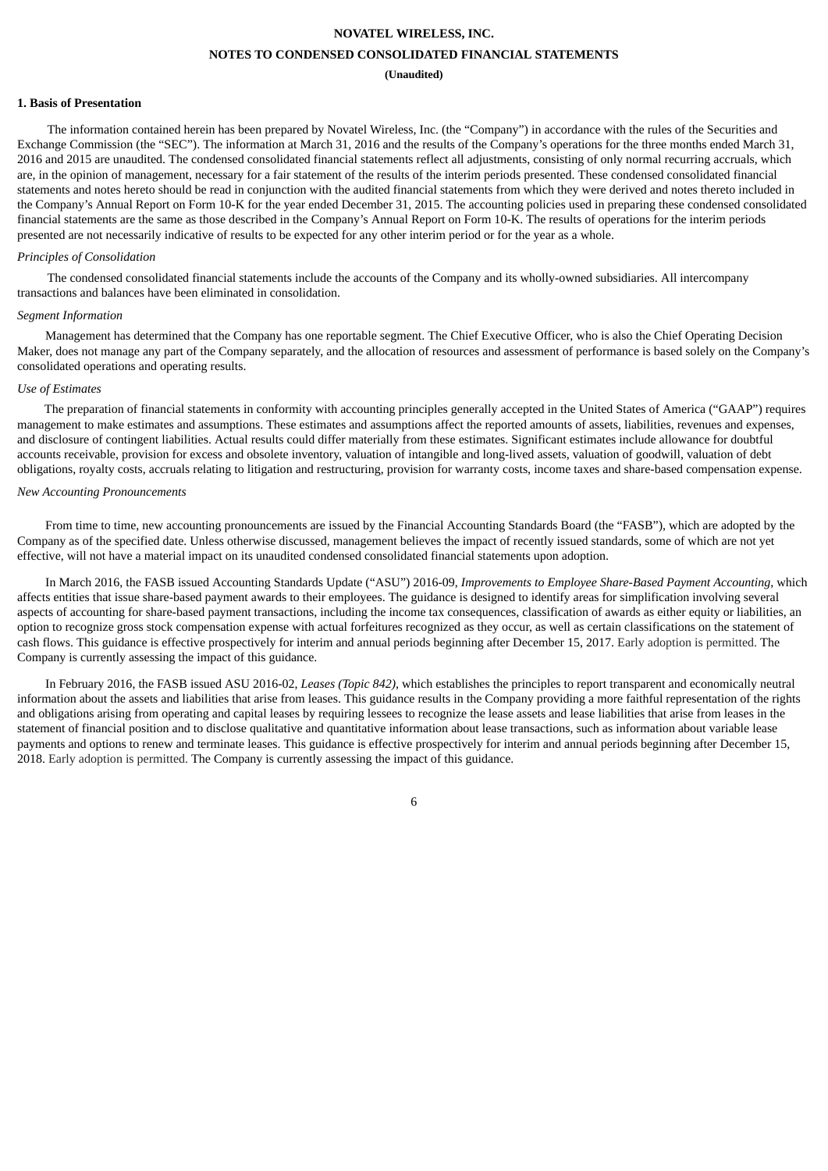#### **NOVATEL WIRELESS, INC.**

#### **NOTES TO CONDENSED CONSOLIDATED FINANCIAL STATEMENTS**

#### **(Unaudited)**

### **1. Basis of Presentation**

The information contained herein has been prepared by Novatel Wireless, Inc. (the "Company") in accordance with the rules of the Securities and Exchange Commission (the "SEC"). The information at March 31, 2016 and the results of the Company's operations for the three months ended March 31, 2016 and 2015 are unaudited. The condensed consolidated financial statements reflect all adjustments, consisting of only normal recurring accruals, which are, in the opinion of management, necessary for a fair statement of the results of the interim periods presented. These condensed consolidated financial statements and notes hereto should be read in conjunction with the audited financial statements from which they were derived and notes thereto included in the Company's Annual Report on Form 10-K for the year ended December 31, 2015. The accounting policies used in preparing these condensed consolidated financial statements are the same as those described in the Company's Annual Report on Form 10-K. The results of operations for the interim periods presented are not necessarily indicative of results to be expected for any other interim period or for the year as a whole.

#### *Principles of Consolidation*

The condensed consolidated financial statements include the accounts of the Company and its wholly-owned subsidiaries. All intercompany transactions and balances have been eliminated in consolidation.

#### *Segment Information*

Management has determined that the Company has one reportable segment. The Chief Executive Officer, who is also the Chief Operating Decision Maker, does not manage any part of the Company separately, and the allocation of resources and assessment of performance is based solely on the Company's consolidated operations and operating results.

# *Use of Estimates*

The preparation of financial statements in conformity with accounting principles generally accepted in the United States of America ("GAAP") requires management to make estimates and assumptions. These estimates and assumptions affect the reported amounts of assets, liabilities, revenues and expenses, and disclosure of contingent liabilities. Actual results could differ materially from these estimates. Significant estimates include allowance for doubtful accounts receivable, provision for excess and obsolete inventory, valuation of intangible and long-lived assets, valuation of goodwill, valuation of debt obligations, royalty costs, accruals relating to litigation and restructuring, provision for warranty costs, income taxes and share-based compensation expense.

# *New Accounting Pronouncements*

From time to time, new accounting pronouncements are issued by the Financial Accounting Standards Board (the "FASB"), which are adopted by the Company as of the specified date. Unless otherwise discussed, management believes the impact of recently issued standards, some of which are not yet effective, will not have a material impact on its unaudited condensed consolidated financial statements upon adoption.

In March 2016, the FASB issued Accounting Standards Update ("ASU") 2016-09, *Improvements to Employee Share-Based Payment Accounting*, which affects entities that issue share-based payment awards to their employees. The guidance is designed to identify areas for simplification involving several aspects of accounting for share-based payment transactions, including the income tax consequences, classification of awards as either equity or liabilities, an option to recognize gross stock compensation expense with actual forfeitures recognized as they occur, as well as certain classifications on the statement of cash flows. This guidance is effective prospectively for interim and annual periods beginning after December 15, 2017. Early adoption is permitted. The Company is currently assessing the impact of this guidance.

In February 2016, the FASB issued ASU 2016-02, *Leases (Topic 842)*, which establishes the principles to report transparent and economically neutral information about the assets and liabilities that arise from leases. This guidance results in the Company providing a more faithful representation of the rights and obligations arising from operating and capital leases by requiring lessees to recognize the lease assets and lease liabilities that arise from leases in the statement of financial position and to disclose qualitative and quantitative information about lease transactions, such as information about variable lease payments and options to renew and terminate leases. This guidance is effective prospectively for interim and annual periods beginning after December 15, 2018. Early adoption is permitted. The Company is currently assessing the impact of this guidance.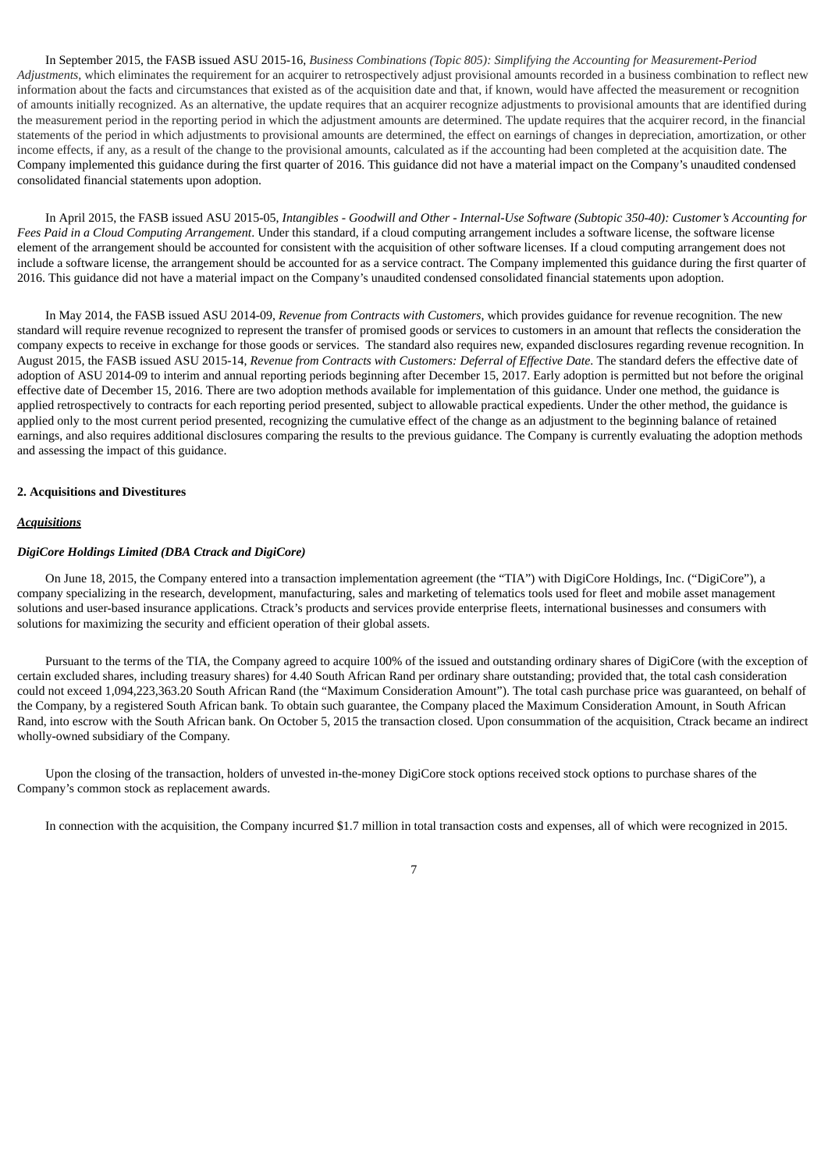In September 2015, the FASB issued ASU 2015-16, *Business Combinations (Topic 805): Simplifying the Accounting for Measurement-Period Adjustments*, which eliminates the requirement for an acquirer to retrospectively adjust provisional amounts recorded in a business combination to reflect new information about the facts and circumstances that existed as of the acquisition date and that, if known, would have affected the measurement or recognition of amounts initially recognized. As an alternative, the update requires that an acquirer recognize adjustments to provisional amounts that are identified during the measurement period in the reporting period in which the adjustment amounts are determined. The update requires that the acquirer record, in the financial statements of the period in which adjustments to provisional amounts are determined, the effect on earnings of changes in depreciation, amortization, or other income effects, if any, as a result of the change to the provisional amounts, calculated as if the accounting had been completed at the acquisition date. The Company implemented this guidance during the first quarter of 2016. This guidance did not have a material impact on the Company's unaudited condensed consolidated financial statements upon adoption.

In April 2015, the FASB issued ASU 2015-05, Intangibles - Goodwill and Other - Internal-Use Software (Subtopic 350-40): Customer's Accounting for *Fees Paid in a Cloud Computing Arrangement*. Under this standard, if a cloud computing arrangement includes a software license, the software license element of the arrangement should be accounted for consistent with the acquisition of other software licenses. If a cloud computing arrangement does not include a software license, the arrangement should be accounted for as a service contract. The Company implemented this guidance during the first quarter of 2016. This guidance did not have a material impact on the Company's unaudited condensed consolidated financial statements upon adoption.

In May 2014, the FASB issued ASU 2014-09, *Revenue from Contracts with Customers*, which provides guidance for revenue recognition. The new standard will require revenue recognized to represent the transfer of promised goods or services to customers in an amount that reflects the consideration the company expects to receive in exchange for those goods or services. The standard also requires new, expanded disclosures regarding revenue recognition. In August 2015, the FASB issued ASU 2015-14, *Revenue from Contracts with Customers: Deferral of Effective Date*. The standard defers the effective date of adoption of ASU 2014-09 to interim and annual reporting periods beginning after December 15, 2017. Early adoption is permitted but not before the original effective date of December 15, 2016. There are two adoption methods available for implementation of this guidance. Under one method, the guidance is applied retrospectively to contracts for each reporting period presented, subject to allowable practical expedients. Under the other method, the guidance is applied only to the most current period presented, recognizing the cumulative effect of the change as an adjustment to the beginning balance of retained earnings, and also requires additional disclosures comparing the results to the previous guidance. The Company is currently evaluating the adoption methods and assessing the impact of this guidance.

# **2. Acquisitions and Divestitures**

### *Acquisitions*

#### *DigiCore Holdings Limited (DBA Ctrack and DigiCore)*

On June 18, 2015, the Company entered into a transaction implementation agreement (the "TIA") with DigiCore Holdings, Inc. ("DigiCore"), a company specializing in the research, development, manufacturing, sales and marketing of telematics tools used for fleet and mobile asset management solutions and user-based insurance applications. Ctrack's products and services provide enterprise fleets, international businesses and consumers with solutions for maximizing the security and efficient operation of their global assets.

Pursuant to the terms of the TIA, the Company agreed to acquire 100% of the issued and outstanding ordinary shares of DigiCore (with the exception of certain excluded shares, including treasury shares) for 4.40 South African Rand per ordinary share outstanding; provided that, the total cash consideration could not exceed 1,094,223,363.20 South African Rand (the "Maximum Consideration Amount"). The total cash purchase price was guaranteed, on behalf of the Company, by a registered South African bank. To obtain such guarantee, the Company placed the Maximum Consideration Amount, in South African Rand, into escrow with the South African bank. On October 5, 2015 the transaction closed. Upon consummation of the acquisition, Ctrack became an indirect wholly-owned subsidiary of the Company.

Upon the closing of the transaction, holders of unvested in-the-money DigiCore stock options received stock options to purchase shares of the Company's common stock as replacement awards.

In connection with the acquisition, the Company incurred \$1.7 million in total transaction costs and expenses, all of which were recognized in 2015.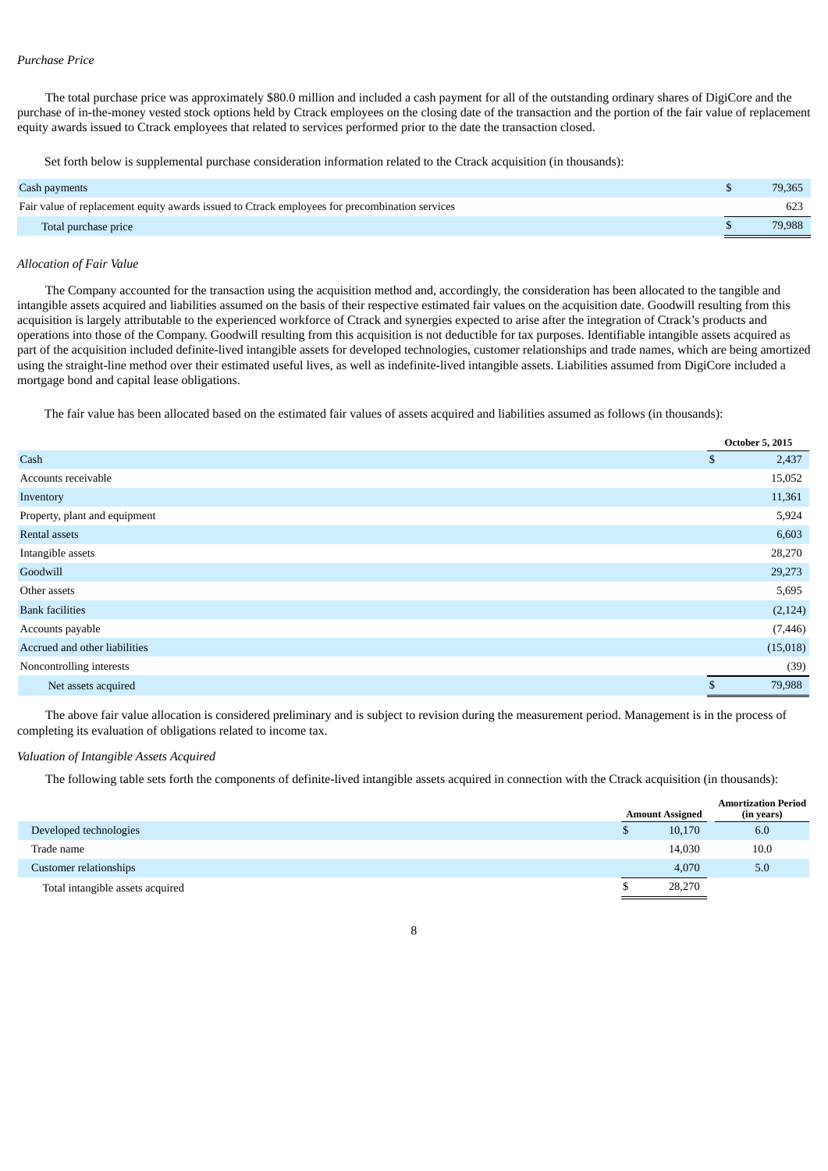The total purchase price was approximately \$80.0 million and included a cash payment for all of the outstanding ordinary shares of DigiCore and the purchase of in-the-money vested stock options held by Ctrack employees on the closing date of the transaction and the portion of the fair value of replacement equity awards issued to Ctrack employees that related to services performed prior to the date the transaction closed.

Set forth below is supplemental purchase consideration information related to the Ctrack acquisition (in thousands):

| Cash payments                                                                                  | 79.365 |
|------------------------------------------------------------------------------------------------|--------|
| Fair value of replacement equity awards issued to Ctrack employees for precombination services | 62     |
| Total purchase price                                                                           | 79.988 |

## *Allocation of Fair Value*

The Company accounted for the transaction using the acquisition method and, accordingly, the consideration has been allocated to the tangible and intangible assets acquired and liabilities assumed on the basis of their respective estimated fair values on the acquisition date. Goodwill resulting from this acquisition is largely attributable to the experienced workforce of Ctrack and synergies expected to arise after the integration of Ctrack's products and operations into those of the Company. Goodwill resulting from this acquisition is not deductible for tax purposes. Identifiable intangible assets acquired as part of the acquisition included definite-lived intangible assets for developed technologies, customer relationships and trade names, which are being amortized using the straight-line method over their estimated useful lives, as well as indefinite-lived intangible assets. Liabilities assumed from DigiCore included a mortgage bond and capital lease obligations.

The fair value has been allocated based on the estimated fair values of assets acquired and liabilities assumed as follows (in thousands):

|                               | <b>October 5, 2015</b> |          |
|-------------------------------|------------------------|----------|
| Cash                          | \$                     | 2,437    |
| Accounts receivable           |                        | 15,052   |
| Inventory                     |                        | 11,361   |
| Property, plant and equipment |                        | 5,924    |
| Rental assets                 |                        | 6,603    |
| Intangible assets             |                        | 28,270   |
| Goodwill                      |                        | 29,273   |
| Other assets                  |                        | 5,695    |
| <b>Bank facilities</b>        |                        | (2, 124) |
| Accounts payable              |                        | (7, 446) |
| Accrued and other liabilities |                        | (15,018) |
| Noncontrolling interests      |                        | (39)     |
| Net assets acquired           | \$                     | 79,988   |

The above fair value allocation is considered preliminary and is subject to revision during the measurement period. Management is in the process of completing its evaluation of obligations related to income tax.

## *Valuation of Intangible Assets Acquired*

The following table sets forth the components of definite-lived intangible assets acquired in connection with the Ctrack acquisition (in thousands):

|                                  | <b>Amount Assigned</b> | <b>Amortization Period</b><br>(in years) |  |
|----------------------------------|------------------------|------------------------------------------|--|
| Developed technologies           | 10,170                 | 6.0                                      |  |
| Trade name                       | 14,030                 | 10.0                                     |  |
| Customer relationships           | 4,070                  | 5.0                                      |  |
| Total intangible assets acquired | 28,270                 |                                          |  |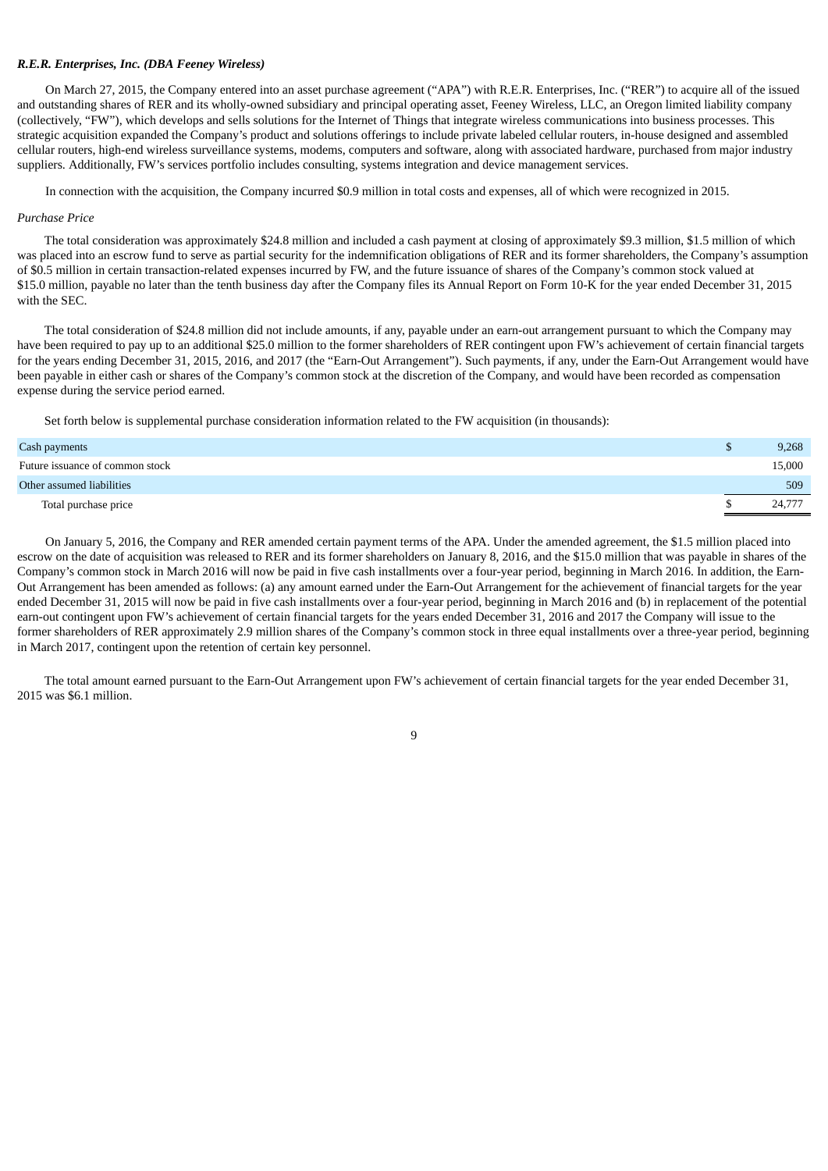# *R.E.R. Enterprises, Inc. (DBA Feeney Wireless)*

On March 27, 2015, the Company entered into an asset purchase agreement ("APA") with R.E.R. Enterprises, Inc. ("RER") to acquire all of the issued and outstanding shares of RER and its wholly-owned subsidiary and principal operating asset, Feeney Wireless, LLC, an Oregon limited liability company (collectively, "FW"), which develops and sells solutions for the Internet of Things that integrate wireless communications into business processes. This strategic acquisition expanded the Company's product and solutions offerings to include private labeled cellular routers, in-house designed and assembled cellular routers, high-end wireless surveillance systems, modems, computers and software, along with associated hardware, purchased from major industry suppliers. Additionally, FW's services portfolio includes consulting, systems integration and device management services.

In connection with the acquisition, the Company incurred \$0.9 million in total costs and expenses, all of which were recognized in 2015.

#### *Purchase Price*

The total consideration was approximately \$24.8 million and included a cash payment at closing of approximately \$9.3 million, \$1.5 million of which was placed into an escrow fund to serve as partial security for the indemnification obligations of RER and its former shareholders, the Company's assumption of \$0.5 million in certain transaction-related expenses incurred by FW, and the future issuance of shares of the Company's common stock valued at \$15.0 million, payable no later than the tenth business day after the Company files its Annual Report on Form 10-K for the year ended December 31, 2015 with the SEC.

The total consideration of \$24.8 million did not include amounts, if any, payable under an earn-out arrangement pursuant to which the Company may have been required to pay up to an additional \$25.0 million to the former shareholders of RER contingent upon FW's achievement of certain financial targets for the years ending December 31, 2015, 2016, and 2017 (the "Earn-Out Arrangement"). Such payments, if any, under the Earn-Out Arrangement would have been payable in either cash or shares of the Company's common stock at the discretion of the Company, and would have been recorded as compensation expense during the service period earned.

Set forth below is supplemental purchase consideration information related to the FW acquisition (in thousands):

| Cash payments                   | 9,268  |
|---------------------------------|--------|
| Future issuance of common stock | 15,000 |
| Other assumed liabilities       | 509    |
| Total purchase price            | 24,777 |

On January 5, 2016, the Company and RER amended certain payment terms of the APA. Under the amended agreement, the \$1.5 million placed into escrow on the date of acquisition was released to RER and its former shareholders on January 8, 2016, and the \$15.0 million that was payable in shares of the Company's common stock in March 2016 will now be paid in five cash installments over a four-year period, beginning in March 2016. In addition, the Earn-Out Arrangement has been amended as follows: (a) any amount earned under the Earn-Out Arrangement for the achievement of financial targets for the year ended December 31, 2015 will now be paid in five cash installments over a four-year period, beginning in March 2016 and (b) in replacement of the potential earn-out contingent upon FW's achievement of certain financial targets for the years ended December 31, 2016 and 2017 the Company will issue to the former shareholders of RER approximately 2.9 million shares of the Company's common stock in three equal installments over a three-year period, beginning in March 2017, contingent upon the retention of certain key personnel.

The total amount earned pursuant to the Earn-Out Arrangement upon FW's achievement of certain financial targets for the year ended December 31, 2015 was \$6.1 million.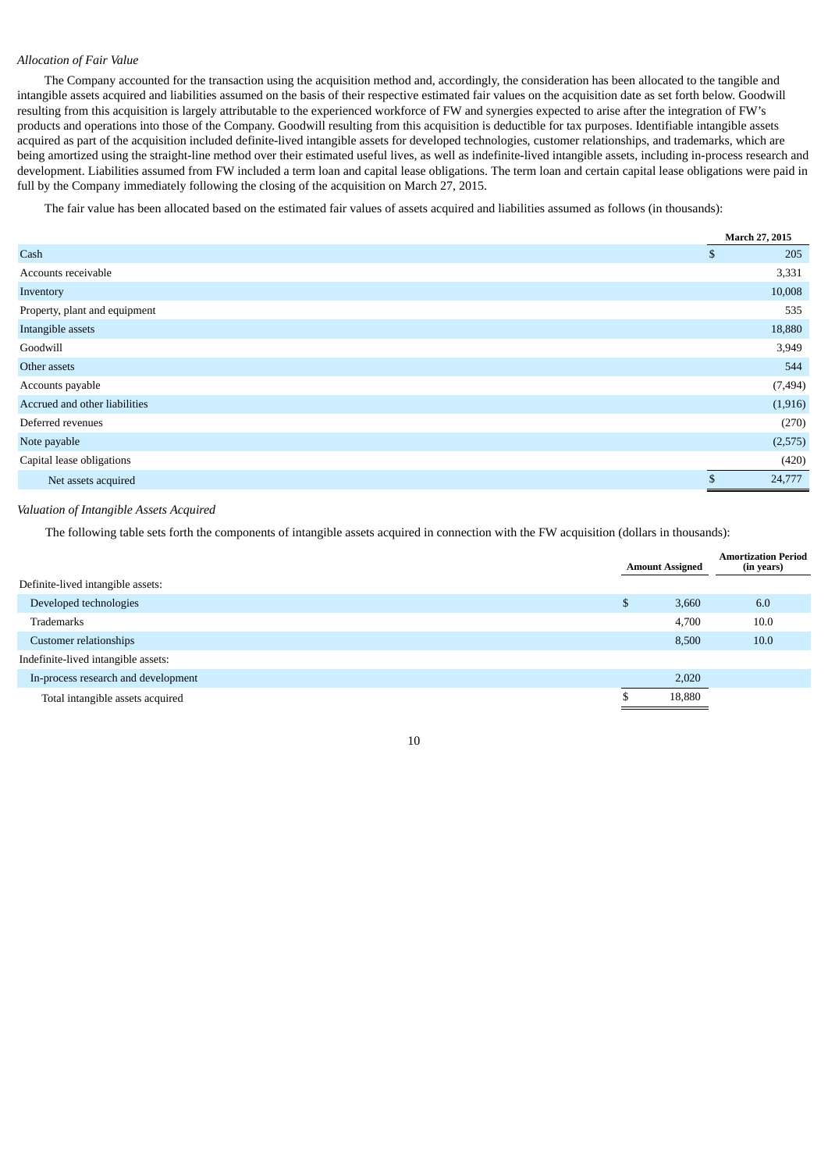# *Allocation of Fair Value*

The Company accounted for the transaction using the acquisition method and, accordingly, the consideration has been allocated to the tangible and intangible assets acquired and liabilities assumed on the basis of their respective estimated fair values on the acquisition date as set forth below. Goodwill resulting from this acquisition is largely attributable to the experienced workforce of FW and synergies expected to arise after the integration of FW's products and operations into those of the Company. Goodwill resulting from this acquisition is deductible for tax purposes. Identifiable intangible assets acquired as part of the acquisition included definite-lived intangible assets for developed technologies, customer relationships, and trademarks, which are being amortized using the straight-line method over their estimated useful lives, as well as indefinite-lived intangible assets, including in-process research and development. Liabilities assumed from FW included a term loan and capital lease obligations. The term loan and certain capital lease obligations were paid in full by the Company immediately following the closing of the acquisition on March 27, 2015.

The fair value has been allocated based on the estimated fair values of assets acquired and liabilities assumed as follows (in thousands):

|                               | March 27, 2015 |          |
|-------------------------------|----------------|----------|
| Cash                          | \$             | 205      |
| Accounts receivable           |                | 3,331    |
| Inventory                     |                | 10,008   |
| Property, plant and equipment |                | 535      |
| Intangible assets             |                | 18,880   |
| Goodwill                      |                | 3,949    |
| Other assets                  |                | 544      |
| Accounts payable              |                | (7, 494) |
| Accrued and other liabilities |                | (1, 916) |
| Deferred revenues             |                | (270)    |
| Note payable                  |                | (2,575)  |
| Capital lease obligations     |                | (420)    |
| Net assets acquired           | \$             | 24,777   |

# *Valuation of Intangible Assets Acquired*

The following table sets forth the components of intangible assets acquired in connection with the FW acquisition (dollars in thousands):

|                                     | <b>Amount Assigned</b> | <b>Amortization Period</b><br>(in years) |  |
|-------------------------------------|------------------------|------------------------------------------|--|
| Definite-lived intangible assets:   |                        |                                          |  |
| Developed technologies              | \$<br>3,660            | 6.0                                      |  |
| Trademarks                          | 4,700                  | 10.0                                     |  |
| Customer relationships              | 8,500                  | 10.0                                     |  |
| Indefinite-lived intangible assets: |                        |                                          |  |
| In-process research and development | 2,020                  |                                          |  |
| Total intangible assets acquired    | 18,880                 |                                          |  |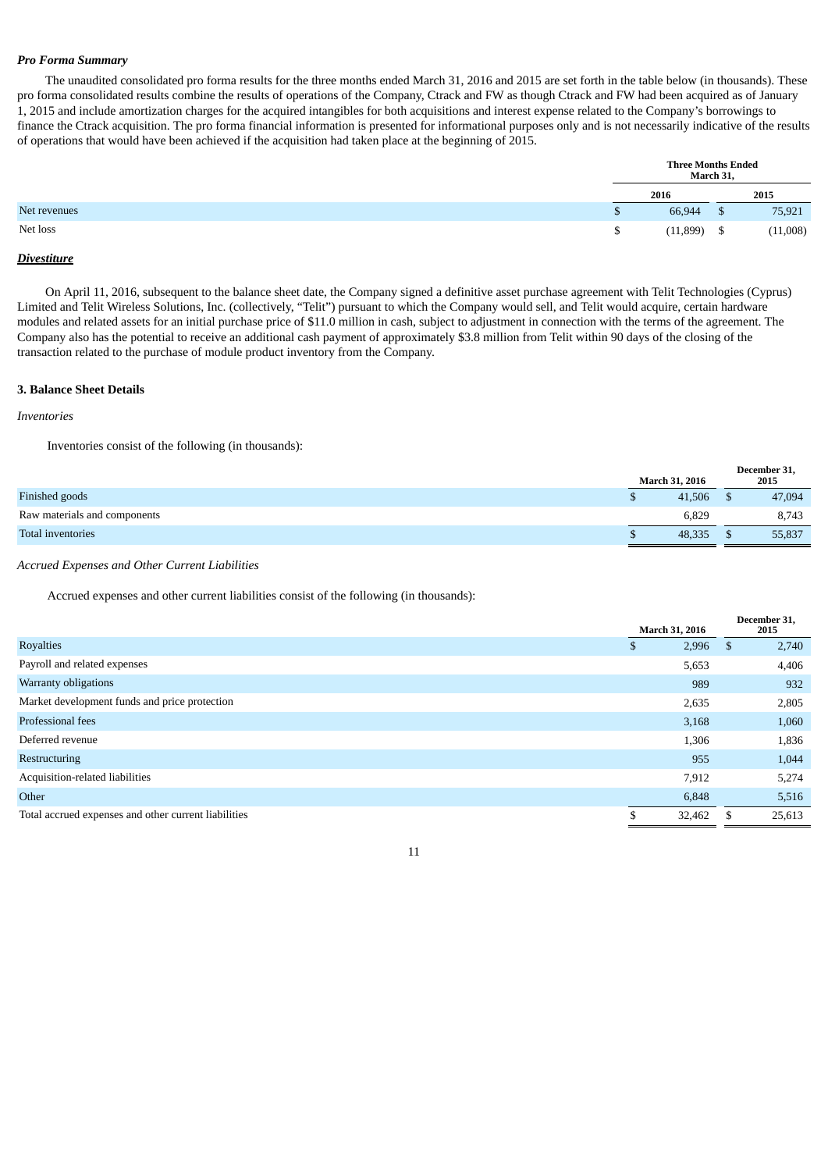#### *Pro Forma Summary*

The unaudited consolidated pro forma results for the three months ended March 31, 2016 and 2015 are set forth in the table below (in thousands). These pro forma consolidated results combine the results of operations of the Company, Ctrack and FW as though Ctrack and FW had been acquired as of January 1, 2015 and include amortization charges for the acquired intangibles for both acquisitions and interest expense related to the Company's borrowings to finance the Ctrack acquisition. The pro forma financial information is presented for informational purposes only and is not necessarily indicative of the results of operations that would have been achieved if the acquisition had taken place at the beginning of 2015.

|              | <b>Three Months Ended</b><br>March 31, |          |        |          |
|--------------|----------------------------------------|----------|--------|----------|
|              | 2016                                   |          |        | 2015     |
| Net revenues | Ъ                                      | 66,944   | œ<br>D | 75,921   |
| Net loss     | S                                      | (11,899) | \$     | (11,008) |

# *Divestiture*

On April 11, 2016, subsequent to the balance sheet date, the Company signed a definitive asset purchase agreement with Telit Technologies (Cyprus) Limited and Telit Wireless Solutions, Inc. (collectively, "Telit") pursuant to which the Company would sell, and Telit would acquire, certain hardware modules and related assets for an initial purchase price of \$11.0 million in cash, subject to adjustment in connection with the terms of the agreement. The Company also has the potential to receive an additional cash payment of approximately \$3.8 million from Telit within 90 days of the closing of the transaction related to the purchase of module product inventory from the Company.

## **3. Balance Sheet Details**

## *Inventories*

Inventories consist of the following (in thousands):

|                              |  | <b>March 31, 2016</b> |    | December 31,<br>2015 |  |
|------------------------------|--|-----------------------|----|----------------------|--|
| Finished goods               |  | 41,506                |    | 47,094               |  |
| Raw materials and components |  | 6.829                 |    | 8,743                |  |
| Total inventories            |  | 48,335                | ۰D | 55,837               |  |

#### *Accrued Expenses and Other Current Liabilities*

Accrued expenses and other current liabilities consist of the following (in thousands):

|                                                      | <b>March 31, 2016</b> |        | December 31,<br>2015 |        |
|------------------------------------------------------|-----------------------|--------|----------------------|--------|
| Royalties                                            | \$                    | 2,996  | \$                   | 2,740  |
| Payroll and related expenses                         |                       | 5,653  |                      | 4,406  |
| Warranty obligations                                 |                       | 989    |                      | 932    |
| Market development funds and price protection        |                       | 2,635  |                      | 2,805  |
| Professional fees                                    |                       | 3,168  |                      | 1,060  |
| Deferred revenue                                     |                       | 1,306  |                      | 1,836  |
| Restructuring                                        |                       | 955    |                      | 1,044  |
| Acquisition-related liabilities                      |                       | 7,912  |                      | 5,274  |
| Other                                                |                       | 6,848  |                      | 5,516  |
| Total accrued expenses and other current liabilities | \$                    | 32,462 | S                    | 25,613 |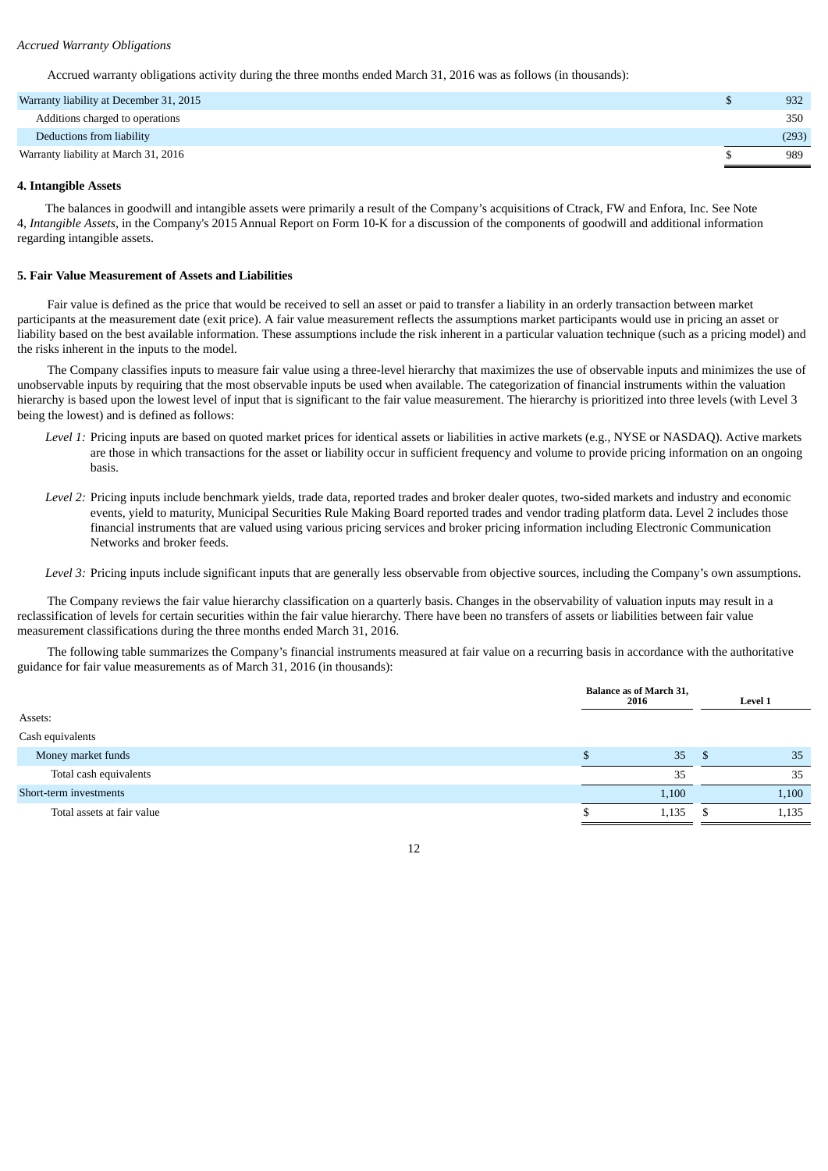#### *Accrued Warranty Obligations*

Accrued warranty obligations activity during the three months ended March 31, 2016 was as follows (in thousands):

| Warranty liability at December 31, 2015 | 932   |
|-----------------------------------------|-------|
| Additions charged to operations         | 350   |
| Deductions from liability               | (293) |
| Warranty liability at March 31, 2016    | 989   |

#### **4. Intangible Assets**

The balances in goodwill and intangible assets were primarily a result of the Company's acquisitions of Ctrack, FW and Enfora, Inc. See Note 4, *Intangible Assets*, in the Company's 2015 Annual Report on Form 10-K for a discussion of the components of goodwill and additional information regarding intangible assets.

#### **5. Fair Value Measurement of Assets and Liabilities**

Fair value is defined as the price that would be received to sell an asset or paid to transfer a liability in an orderly transaction between market participants at the measurement date (exit price). A fair value measurement reflects the assumptions market participants would use in pricing an asset or liability based on the best available information. These assumptions include the risk inherent in a particular valuation technique (such as a pricing model) and the risks inherent in the inputs to the model.

The Company classifies inputs to measure fair value using a three-level hierarchy that maximizes the use of observable inputs and minimizes the use of unobservable inputs by requiring that the most observable inputs be used when available. The categorization of financial instruments within the valuation hierarchy is based upon the lowest level of input that is significant to the fair value measurement. The hierarchy is prioritized into three levels (with Level 3 being the lowest) and is defined as follows:

- *Level 1:* Pricing inputs are based on quoted market prices for identical assets or liabilities in active markets (e.g., NYSE or NASDAQ). Active markets are those in which transactions for the asset or liability occur in sufficient frequency and volume to provide pricing information on an ongoing basis.
- *Level 2:* Pricing inputs include benchmark yields, trade data, reported trades and broker dealer quotes, two-sided markets and industry and economic events, yield to maturity, Municipal Securities Rule Making Board reported trades and vendor trading platform data. Level 2 includes those financial instruments that are valued using various pricing services and broker pricing information including Electronic Communication Networks and broker feeds.

*Level* 3: Pricing inputs include significant inputs that are generally less observable from objective sources, including the Company's own assumptions.

The Company reviews the fair value hierarchy classification on a quarterly basis. Changes in the observability of valuation inputs may result in a reclassification of levels for certain securities within the fair value hierarchy. There have been no transfers of assets or liabilities between fair value measurement classifications during the three months ended March 31, 2016.

The following table summarizes the Company's financial instruments measured at fair value on a recurring basis in accordance with the authoritative guidance for fair value measurements as of March 31, 2016 (in thousands):

|                            | <b>Balance as of March 31,</b><br>2016 |       |      | Level 1 |
|----------------------------|----------------------------------------|-------|------|---------|
| Assets:                    |                                        |       |      |         |
| Cash equivalents           |                                        |       |      |         |
| Money market funds         |                                        | 35    | - \$ | 35      |
| Total cash equivalents     |                                        | 35    |      | 35      |
| Short-term investments     |                                        | 1,100 |      | 1,100   |
| Total assets at fair value |                                        | 1,135 |      | 1,135   |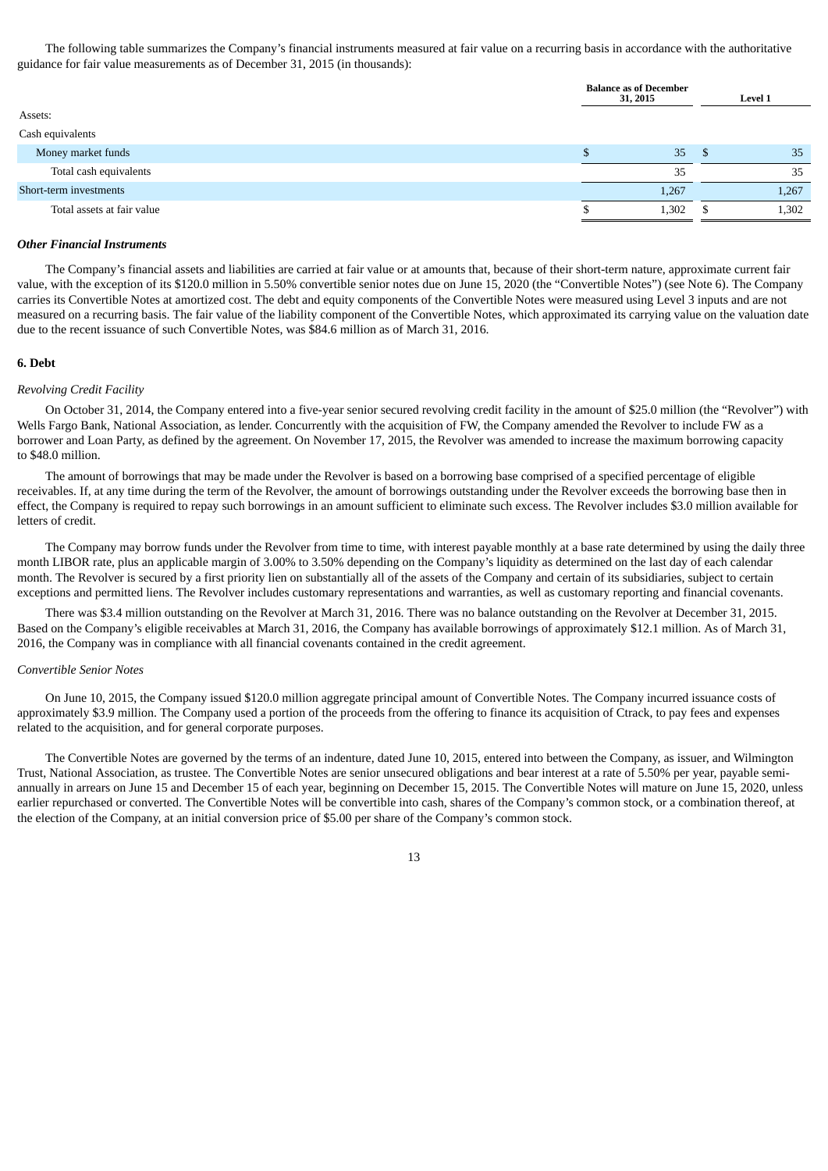The following table summarizes the Company's financial instruments measured at fair value on a recurring basis in accordance with the authoritative guidance for fair value measurements as of December 31, 2015 (in thousands):

|                            | <b>Balance as of December</b><br>31, 2015 |      | Level 1 |
|----------------------------|-------------------------------------------|------|---------|
| Assets:                    |                                           |      |         |
| Cash equivalents           |                                           |      |         |
| Money market funds         | 35                                        | - \$ | 35      |
| Total cash equivalents     | 35                                        |      | 35      |
| Short-term investments     | 1,267                                     |      | 1,267   |
| Total assets at fair value | 1,302                                     |      | 1,302   |

#### *Other Financial Instruments*

The Company's financial assets and liabilities are carried at fair value or at amounts that, because of their short-term nature, approximate current fair value, with the exception of its \$120.0 million in 5.50% convertible senior notes due on June 15, 2020 (the "Convertible Notes") (see Note 6). The Company carries its Convertible Notes at amortized cost. The debt and equity components of the Convertible Notes were measured using Level 3 inputs and are not measured on a recurring basis. The fair value of the liability component of the Convertible Notes, which approximated its carrying value on the valuation date due to the recent issuance of such Convertible Notes, was \$84.6 million as of March 31, 2016.

# **6. Debt**

#### *Revolving Credit Facility*

On October 31, 2014, the Company entered into a five-year senior secured revolving credit facility in the amount of \$25.0 million (the "Revolver") with Wells Fargo Bank, National Association, as lender. Concurrently with the acquisition of FW, the Company amended the Revolver to include FW as a borrower and Loan Party, as defined by the agreement. On November 17, 2015, the Revolver was amended to increase the maximum borrowing capacity to \$48.0 million.

The amount of borrowings that may be made under the Revolver is based on a borrowing base comprised of a specified percentage of eligible receivables. If, at any time during the term of the Revolver, the amount of borrowings outstanding under the Revolver exceeds the borrowing base then in effect, the Company is required to repay such borrowings in an amount sufficient to eliminate such excess. The Revolver includes \$3.0 million available for letters of credit.

The Company may borrow funds under the Revolver from time to time, with interest payable monthly at a base rate determined by using the daily three month LIBOR rate, plus an applicable margin of 3.00% to 3.50% depending on the Company's liquidity as determined on the last day of each calendar month. The Revolver is secured by a first priority lien on substantially all of the assets of the Company and certain of its subsidiaries, subject to certain exceptions and permitted liens. The Revolver includes customary representations and warranties, as well as customary reporting and financial covenants.

There was \$3.4 million outstanding on the Revolver at March 31, 2016. There was no balance outstanding on the Revolver at December 31, 2015. Based on the Company's eligible receivables at March 31, 2016, the Company has available borrowings of approximately \$12.1 million. As of March 31, 2016, the Company was in compliance with all financial covenants contained in the credit agreement.

#### *Convertible Senior Notes*

On June 10, 2015, the Company issued \$120.0 million aggregate principal amount of Convertible Notes. The Company incurred issuance costs of approximately \$3.9 million. The Company used a portion of the proceeds from the offering to finance its acquisition of Ctrack, to pay fees and expenses related to the acquisition, and for general corporate purposes.

The Convertible Notes are governed by the terms of an indenture, dated June 10, 2015, entered into between the Company, as issuer, and Wilmington Trust, National Association, as trustee. The Convertible Notes are senior unsecured obligations and bear interest at a rate of 5.50% per year, payable semiannually in arrears on June 15 and December 15 of each year, beginning on December 15, 2015. The Convertible Notes will mature on June 15, 2020, unless earlier repurchased or converted. The Convertible Notes will be convertible into cash, shares of the Company's common stock, or a combination thereof, at the election of the Company, at an initial conversion price of \$5.00 per share of the Company's common stock.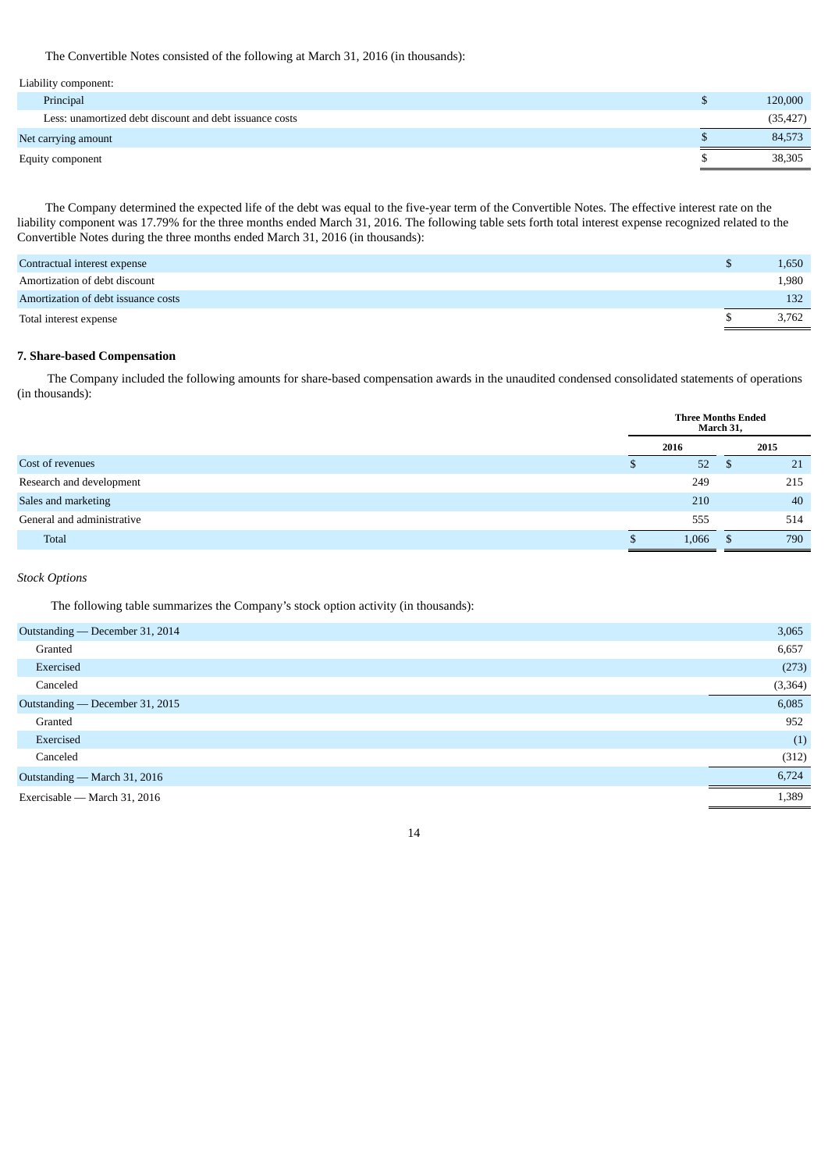The Convertible Notes consisted of the following at March 31, 2016 (in thousands):

| Liability component: |
|----------------------|
|                      |

| Principal                                               | 120,000   |
|---------------------------------------------------------|-----------|
| Less: unamortized debt discount and debt issuance costs | (35, 427) |
| Net carrying amount                                     | 84.573    |
| Equity component                                        | 38,305    |

The Company determined the expected life of the debt was equal to the five-year term of the Convertible Notes. The effective interest rate on the liability component was 17.79% for the three months ended March 31, 2016. The following table sets forth total interest expense recognized related to the Convertible Notes during the three months ended March 31, 2016 (in thousands):

| Contractual interest expense        | 1,650 |
|-------------------------------------|-------|
| Amortization of debt discount       | 1,980 |
| Amortization of debt issuance costs | 132   |
| Total interest expense              | 3,762 |

# **7. Share-based Compensation**

The Company included the following amounts for share-based compensation awards in the unaudited condensed consolidated statements of operations (in thousands):

|                            |   | <b>Three Months Ended</b><br>March 31, |    |      |
|----------------------------|---|----------------------------------------|----|------|
|                            |   | 2016                                   |    | 2015 |
| Cost of revenues           | Œ | 52                                     | -5 | 21   |
| Research and development   |   | 249                                    |    | 215  |
| Sales and marketing        |   | 210                                    |    | 40   |
| General and administrative |   | 555                                    |    | 514  |
| Total                      |   | 1,066                                  |    | 790  |

## *Stock Options*

The following table summarizes the Company's stock option activity (in thousands):

| Outstanding — December 31, 2014 | 3,065    |
|---------------------------------|----------|
| Granted                         | 6,657    |
| Exercised                       | (273)    |
| Canceled                        | (3, 364) |
| Outstanding — December 31, 2015 | 6,085    |
| Granted                         | 952      |
| Exercised                       | (1)      |
| Canceled                        | (312)    |
| Outstanding — March 31, 2016    | 6,724    |
| Exercisable - March 31, 2016    | 1,389    |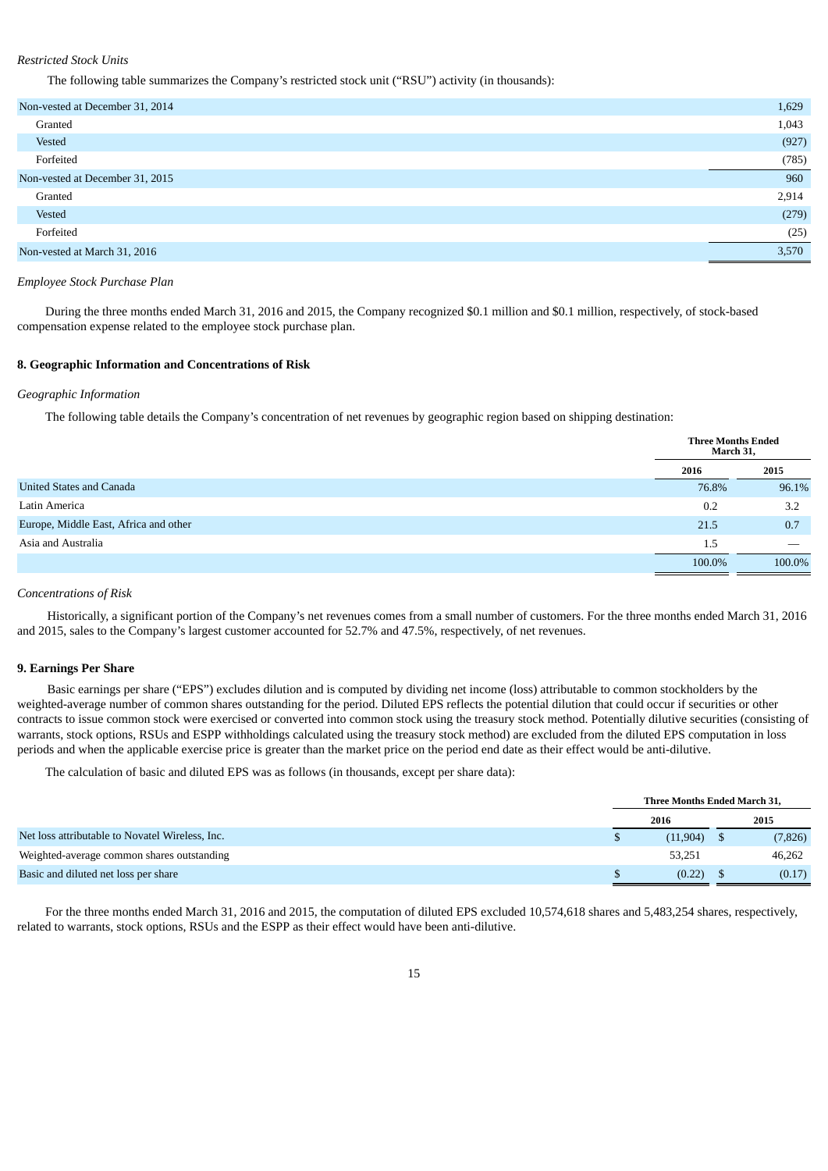# *Restricted Stock Units*

The following table summarizes the Company's restricted stock unit ("RSU") activity (in thousands):

| Non-vested at December 31, 2014 | 1,629 |
|---------------------------------|-------|
| Granted                         | 1,043 |
| Vested                          | (927) |
| Forfeited                       | (785) |
| Non-vested at December 31, 2015 | 960   |
| Granted                         | 2,914 |
| Vested                          | (279) |
| Forfeited                       | (25)  |
| Non-vested at March 31, 2016    | 3,570 |
|                                 |       |

#### *Employee Stock Purchase Plan*

During the three months ended March 31, 2016 and 2015, the Company recognized \$0.1 million and \$0.1 million, respectively, of stock-based compensation expense related to the employee stock purchase plan.

#### **8. Geographic Information and Concentrations of Risk**

#### *Geographic Information*

The following table details the Company's concentration of net revenues by geographic region based on shipping destination:

|                                       | <b>Three Months Ended</b><br>March 31, |        |
|---------------------------------------|----------------------------------------|--------|
|                                       | 2016                                   | 2015   |
| United States and Canada              | 76.8%                                  | 96.1%  |
| Latin America                         | 0.2                                    | 3.2    |
| Europe, Middle East, Africa and other | 21.5                                   | 0.7    |
| Asia and Australia                    | 1.5                                    |        |
|                                       | 100.0%                                 | 100.0% |

#### *Concentrations of Risk*

Historically, a significant portion of the Company's net revenues comes from a small number of customers. For the three months ended March 31, 2016 and 2015, sales to the Company's largest customer accounted for 52.7% and 47.5%, respectively, of net revenues.

## **9. Earnings Per Share**

Basic earnings per share ("EPS") excludes dilution and is computed by dividing net income (loss) attributable to common stockholders by the weighted-average number of common shares outstanding for the period. Diluted EPS reflects the potential dilution that could occur if securities or other contracts to issue common stock were exercised or converted into common stock using the treasury stock method. Potentially dilutive securities (consisting of warrants, stock options, RSUs and ESPP withholdings calculated using the treasury stock method) are excluded from the diluted EPS computation in loss periods and when the applicable exercise price is greater than the market price on the period end date as their effect would be anti-dilutive.

The calculation of basic and diluted EPS was as follows (in thousands, except per share data):

|                                                 | <b>Three Months Ended March 31.</b> |          |  |         |
|-------------------------------------------------|-------------------------------------|----------|--|---------|
|                                                 |                                     | 2016     |  | 2015    |
| Net loss attributable to Novatel Wireless, Inc. |                                     | (11,904) |  | (7,826) |
| Weighted-average common shares outstanding      |                                     | 53,251   |  | 46,262  |
| Basic and diluted net loss per share            |                                     | (0.22)   |  | (0.17)  |

For the three months ended March 31, 2016 and 2015, the computation of diluted EPS excluded 10,574,618 shares and 5,483,254 shares, respectively, related to warrants, stock options, RSUs and the ESPP as their effect would have been anti-dilutive.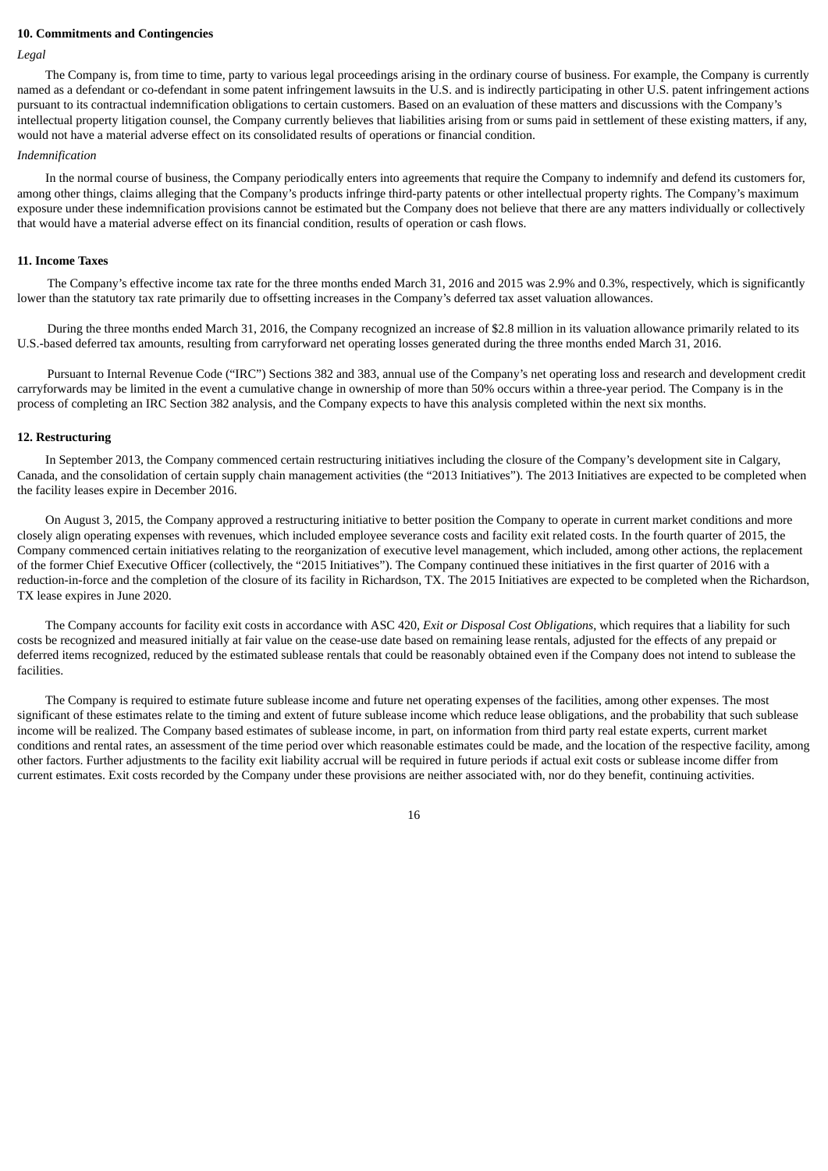#### **10. Commitments and Contingencies**

#### *Legal*

The Company is, from time to time, party to various legal proceedings arising in the ordinary course of business. For example, the Company is currently named as a defendant or co-defendant in some patent infringement lawsuits in the U.S. and is indirectly participating in other U.S. patent infringement actions pursuant to its contractual indemnification obligations to certain customers. Based on an evaluation of these matters and discussions with the Company's intellectual property litigation counsel, the Company currently believes that liabilities arising from or sums paid in settlement of these existing matters, if any, would not have a material adverse effect on its consolidated results of operations or financial condition.

#### *Indemnification*

In the normal course of business, the Company periodically enters into agreements that require the Company to indemnify and defend its customers for, among other things, claims alleging that the Company's products infringe third-party patents or other intellectual property rights. The Company's maximum exposure under these indemnification provisions cannot be estimated but the Company does not believe that there are any matters individually or collectively that would have a material adverse effect on its financial condition, results of operation or cash flows.

#### **11. Income Taxes**

The Company's effective income tax rate for the three months ended March 31, 2016 and 2015 was 2.9% and 0.3%, respectively, which is significantly lower than the statutory tax rate primarily due to offsetting increases in the Company's deferred tax asset valuation allowances.

During the three months ended March 31, 2016, the Company recognized an increase of \$2.8 million in its valuation allowance primarily related to its U.S.-based deferred tax amounts, resulting from carryforward net operating losses generated during the three months ended March 31, 2016.

Pursuant to Internal Revenue Code ("IRC") Sections 382 and 383, annual use of the Company's net operating loss and research and development credit carryforwards may be limited in the event a cumulative change in ownership of more than 50% occurs within a three-year period. The Company is in the process of completing an IRC Section 382 analysis, and the Company expects to have this analysis completed within the next six months.

#### **12. Restructuring**

In September 2013, the Company commenced certain restructuring initiatives including the closure of the Company's development site in Calgary, Canada, and the consolidation of certain supply chain management activities (the "2013 Initiatives"). The 2013 Initiatives are expected to be completed when the facility leases expire in December 2016.

On August 3, 2015, the Company approved a restructuring initiative to better position the Company to operate in current market conditions and more closely align operating expenses with revenues, which included employee severance costs and facility exit related costs. In the fourth quarter of 2015, the Company commenced certain initiatives relating to the reorganization of executive level management, which included, among other actions, the replacement of the former Chief Executive Officer (collectively, the "2015 Initiatives"). The Company continued these initiatives in the first quarter of 2016 with a reduction-in-force and the completion of the closure of its facility in Richardson, TX. The 2015 Initiatives are expected to be completed when the Richardson, TX lease expires in June 2020.

The Company accounts for facility exit costs in accordance with ASC 420, *Exit or Disposal Cost Obligations*, which requires that a liability for such costs be recognized and measured initially at fair value on the cease-use date based on remaining lease rentals, adjusted for the effects of any prepaid or deferred items recognized, reduced by the estimated sublease rentals that could be reasonably obtained even if the Company does not intend to sublease the facilities.

The Company is required to estimate future sublease income and future net operating expenses of the facilities, among other expenses. The most significant of these estimates relate to the timing and extent of future sublease income which reduce lease obligations, and the probability that such sublease income will be realized. The Company based estimates of sublease income, in part, on information from third party real estate experts, current market conditions and rental rates, an assessment of the time period over which reasonable estimates could be made, and the location of the respective facility, among other factors. Further adjustments to the facility exit liability accrual will be required in future periods if actual exit costs or sublease income differ from current estimates. Exit costs recorded by the Company under these provisions are neither associated with, nor do they benefit, continuing activities.

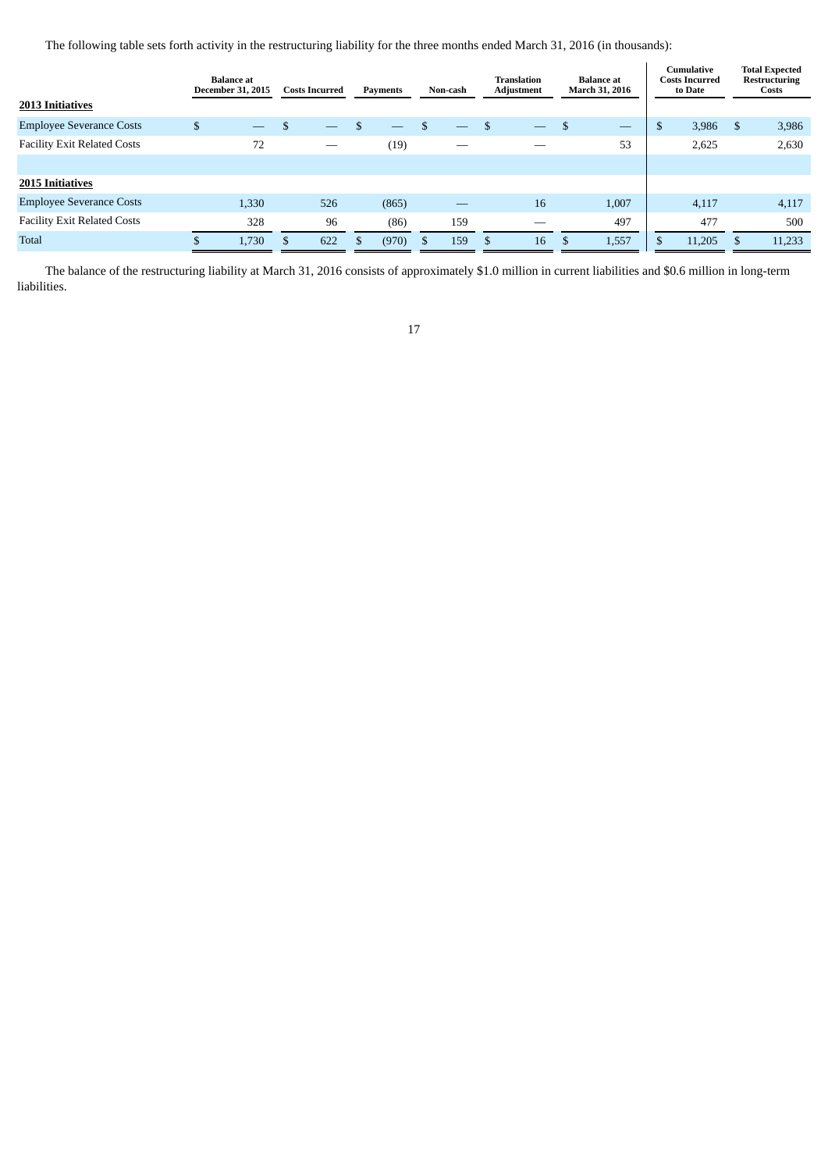The following table sets forth activity in the restructuring liability for the three months ended March 31, 2016 (in thousands):

| 2013 Initiatives                   |     | <b>Balance</b> at<br><b>December 31, 2015</b> | <b>Costs Incurred</b> | <b>Payments</b> |    | Non-cash                 | Translation<br><b>Adjustment</b> |               | <b>Balance</b> at<br><b>March 31, 2016</b> |              | <b>Cumulative</b><br><b>Costs Incurred</b><br>to Date |    | <b>Total Expected</b><br>Restructuring<br>Costs |
|------------------------------------|-----|-----------------------------------------------|-----------------------|-----------------|----|--------------------------|----------------------------------|---------------|--------------------------------------------|--------------|-------------------------------------------------------|----|-------------------------------------------------|
| <b>Employee Severance Costs</b>    | \$  |                                               |                       |                 |    | $\overline{\phantom{0}}$ | \$<br>$\overline{\phantom{0}}$   |               |                                            | \$           | 3,986                                                 | \$ | 3,986                                           |
| <b>Facility Exit Related Costs</b> |     | 72                                            |                       | (19)            |    |                          |                                  |               | 53                                         |              | 2,625                                                 |    | 2,630                                           |
|                                    |     |                                               |                       |                 |    |                          |                                  |               |                                            |              |                                                       |    |                                                 |
| 2015 Initiatives                   |     |                                               |                       |                 |    |                          |                                  |               |                                            |              |                                                       |    |                                                 |
| <b>Employee Severance Costs</b>    |     | 1,330                                         | 526                   | (865)           |    |                          | 16                               |               | 1,007                                      |              | 4,117                                                 |    | 4,117                                           |
| <b>Facility Exit Related Costs</b> |     | 328                                           | 96                    | (86)            |    | 159                      |                                  |               | 497                                        |              | 477                                                   |    | 500                                             |
| <b>Total</b>                       | \$. | 1,730                                         | 622                   | \$<br>(970)     | £. | 159                      | \$<br>16                         | <sup>\$</sup> | 1,557                                      | $\mathbf{s}$ | 11,205                                                | £. | 11,233                                          |

The balance of the restructuring liability at March 31, 2016 consists of approximately \$1.0 million in current liabilities and \$0.6 million in long-term liabilities.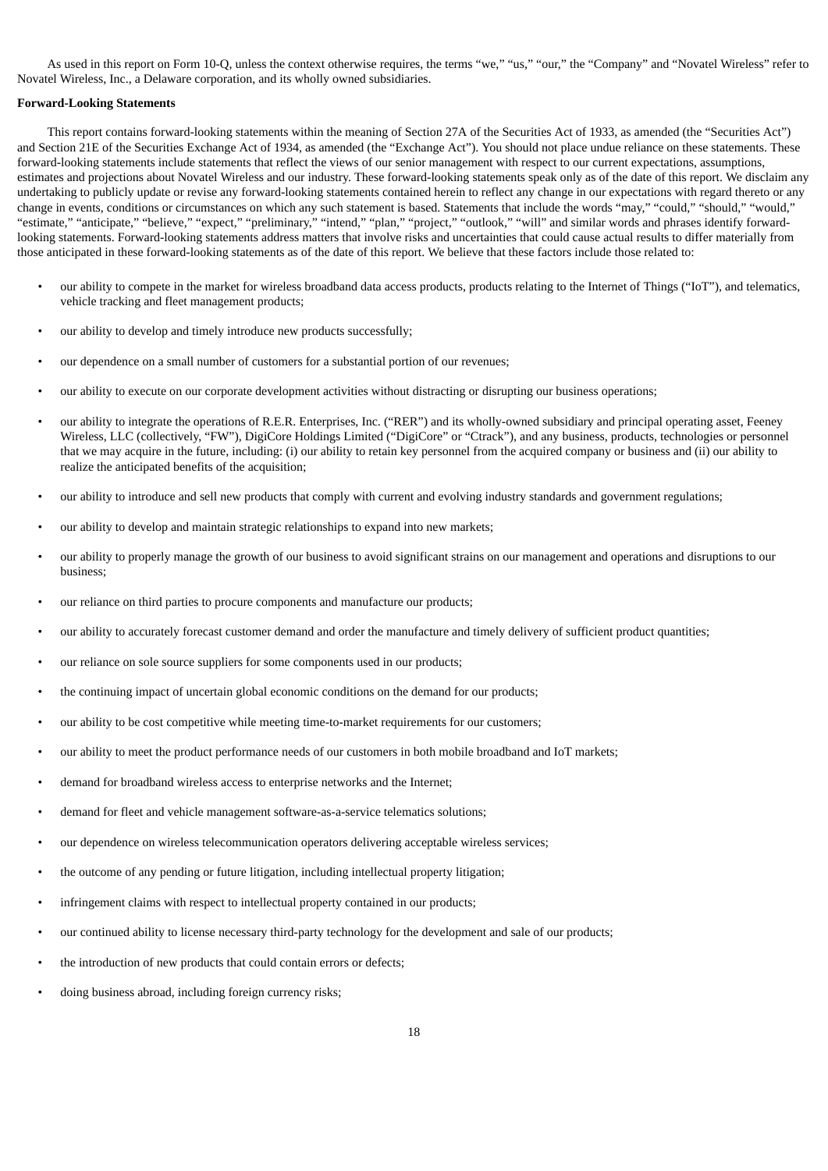As used in this report on Form 10-Q, unless the context otherwise requires, the terms "we," "us," "our," the "Company" and "Novatel Wireless" refer to Novatel Wireless, Inc., a Delaware corporation, and its wholly owned subsidiaries.

# **Forward-Looking Statements**

This report contains forward-looking statements within the meaning of Section 27A of the Securities Act of 1933, as amended (the "Securities Act") and Section 21E of the Securities Exchange Act of 1934, as amended (the "Exchange Act"). You should not place undue reliance on these statements. These forward-looking statements include statements that reflect the views of our senior management with respect to our current expectations, assumptions, estimates and projections about Novatel Wireless and our industry. These forward-looking statements speak only as of the date of this report. We disclaim any undertaking to publicly update or revise any forward-looking statements contained herein to reflect any change in our expectations with regard thereto or any change in events, conditions or circumstances on which any such statement is based. Statements that include the words "may," "could," "should," "would," "estimate," "anticipate," "believe," "expect," "preliminary," "intend," "plan," "project," "outlook," "will" and similar words and phrases identify forwardlooking statements. Forward-looking statements address matters that involve risks and uncertainties that could cause actual results to differ materially from those anticipated in these forward-looking statements as of the date of this report. We believe that these factors include those related to:

- our ability to compete in the market for wireless broadband data access products, products relating to the Internet of Things ("IoT"), and telematics, vehicle tracking and fleet management products;
- our ability to develop and timely introduce new products successfully;
- our dependence on a small number of customers for a substantial portion of our revenues;
- our ability to execute on our corporate development activities without distracting or disrupting our business operations;
- our ability to integrate the operations of R.E.R. Enterprises, Inc. ("RER") and its wholly-owned subsidiary and principal operating asset, Feeney Wireless, LLC (collectively, "FW"), DigiCore Holdings Limited ("DigiCore" or "Ctrack"), and any business, products, technologies or personnel that we may acquire in the future, including: (i) our ability to retain key personnel from the acquired company or business and (ii) our ability to realize the anticipated benefits of the acquisition;
- our ability to introduce and sell new products that comply with current and evolving industry standards and government regulations;
- our ability to develop and maintain strategic relationships to expand into new markets;
- our ability to properly manage the growth of our business to avoid significant strains on our management and operations and disruptions to our business;
- our reliance on third parties to procure components and manufacture our products;
- our ability to accurately forecast customer demand and order the manufacture and timely delivery of sufficient product quantities;
- our reliance on sole source suppliers for some components used in our products;
- the continuing impact of uncertain global economic conditions on the demand for our products;
- our ability to be cost competitive while meeting time-to-market requirements for our customers;
- our ability to meet the product performance needs of our customers in both mobile broadband and IoT markets;
- demand for broadband wireless access to enterprise networks and the Internet;
- demand for fleet and vehicle management software-as-a-service telematics solutions;
- our dependence on wireless telecommunication operators delivering acceptable wireless services;
- the outcome of any pending or future litigation, including intellectual property litigation;
- infringement claims with respect to intellectual property contained in our products;
- our continued ability to license necessary third-party technology for the development and sale of our products;
- the introduction of new products that could contain errors or defects;
- doing business abroad, including foreign currency risks;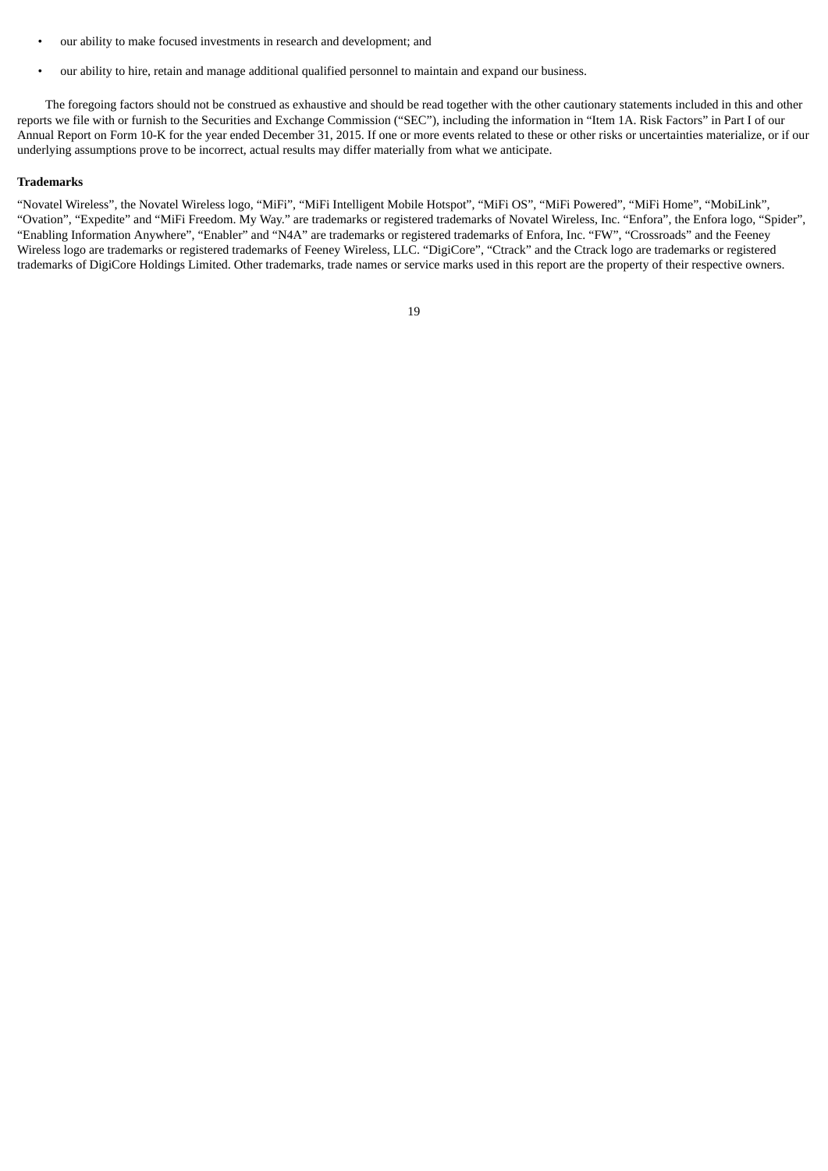- our ability to make focused investments in research and development; and
- our ability to hire, retain and manage additional qualified personnel to maintain and expand our business.

The foregoing factors should not be construed as exhaustive and should be read together with the other cautionary statements included in this and other reports we file with or furnish to the Securities and Exchange Commission ("SEC"), including the information in "Item 1A. Risk Factors" in Part I of our Annual Report on Form 10-K for the year ended December 31, 2015. If one or more events related to these or other risks or uncertainties materialize, or if our underlying assumptions prove to be incorrect, actual results may differ materially from what we anticipate.

#### **Trademarks**

"Novatel Wireless", the Novatel Wireless logo, "MiFi", "MiFi Intelligent Mobile Hotspot", "MiFi OS", "MiFi Powered", "MiFi Home", "MobiLink", "Ovation", "Expedite" and "MiFi Freedom. My Way." are trademarks or registered trademarks of Novatel Wireless, Inc. "Enfora", the Enfora logo, "Spider", "Enabling Information Anywhere", "Enabler" and "N4A" are trademarks or registered trademarks of Enfora, Inc. "FW", "Crossroads" and the Feeney Wireless logo are trademarks or registered trademarks of Feeney Wireless, LLC. "DigiCore", "Ctrack" and the Ctrack logo are trademarks or registered trademarks of DigiCore Holdings Limited. Other trademarks, trade names or service marks used in this report are the property of their respective owners.

| ۰.<br>×<br>۰, |
|---------------|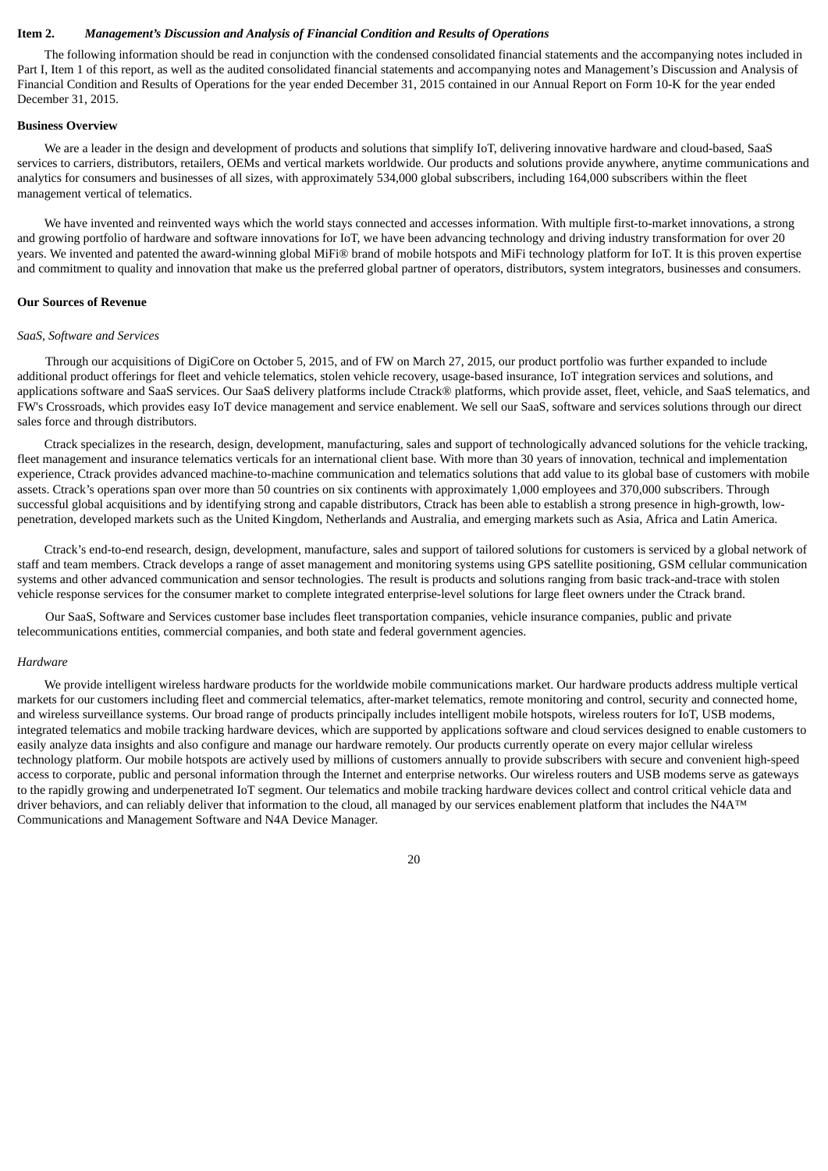#### **Item 2.** *Management's Discussion and Analysis of Financial Condition and Results of Operations*

The following information should be read in conjunction with the condensed consolidated financial statements and the accompanying notes included in Part I, Item 1 of this report, as well as the audited consolidated financial statements and accompanying notes and Management's Discussion and Analysis of Financial Condition and Results of Operations for the year ended December 31, 2015 contained in our Annual Report on Form 10-K for the year ended December 31, 2015.

#### **Business Overview**

We are a leader in the design and development of products and solutions that simplify IoT, delivering innovative hardware and cloud-based, SaaS services to carriers, distributors, retailers, OEMs and vertical markets worldwide. Our products and solutions provide anywhere, anytime communications and analytics for consumers and businesses of all sizes, with approximately 534,000 global subscribers, including 164,000 subscribers within the fleet management vertical of telematics.

We have invented and reinvented ways which the world stays connected and accesses information. With multiple first-to-market innovations, a strong and growing portfolio of hardware and software innovations for IoT, we have been advancing technology and driving industry transformation for over 20 years. We invented and patented the award-winning global MiFi® brand of mobile hotspots and MiFi technology platform for IoT. It is this proven expertise and commitment to quality and innovation that make us the preferred global partner of operators, distributors, system integrators, businesses and consumers.

#### **Our Sources of Revenue**

#### *SaaS, Software and Services*

Through our acquisitions of DigiCore on October 5, 2015, and of FW on March 27, 2015, our product portfolio was further expanded to include additional product offerings for fleet and vehicle telematics, stolen vehicle recovery, usage-based insurance, IoT integration services and solutions, and applications software and SaaS services. Our SaaS delivery platforms include Ctrack® platforms, which provide asset, fleet, vehicle, and SaaS telematics, and FW's Crossroads, which provides easy IoT device management and service enablement. We sell our SaaS, software and services solutions through our direct sales force and through distributors.

Ctrack specializes in the research, design, development, manufacturing, sales and support of technologically advanced solutions for the vehicle tracking, fleet management and insurance telematics verticals for an international client base. With more than 30 years of innovation, technical and implementation experience, Ctrack provides advanced machine-to-machine communication and telematics solutions that add value to its global base of customers with mobile assets. Ctrack's operations span over more than 50 countries on six continents with approximately 1,000 employees and 370,000 subscribers. Through successful global acquisitions and by identifying strong and capable distributors, Ctrack has been able to establish a strong presence in high-growth, lowpenetration, developed markets such as the United Kingdom, Netherlands and Australia, and emerging markets such as Asia, Africa and Latin America.

Ctrack's end-to-end research, design, development, manufacture, sales and support of tailored solutions for customers is serviced by a global network of staff and team members. Ctrack develops a range of asset management and monitoring systems using GPS satellite positioning, GSM cellular communication systems and other advanced communication and sensor technologies. The result is products and solutions ranging from basic track-and-trace with stolen vehicle response services for the consumer market to complete integrated enterprise-level solutions for large fleet owners under the Ctrack brand.

Our SaaS, Software and Services customer base includes fleet transportation companies, vehicle insurance companies, public and private telecommunications entities, commercial companies, and both state and federal government agencies.

#### *Hardware*

We provide intelligent wireless hardware products for the worldwide mobile communications market. Our hardware products address multiple vertical markets for our customers including fleet and commercial telematics, after-market telematics, remote monitoring and control, security and connected home, and wireless surveillance systems. Our broad range of products principally includes intelligent mobile hotspots, wireless routers for IoT, USB modems, integrated telematics and mobile tracking hardware devices, which are supported by applications software and cloud services designed to enable customers to easily analyze data insights and also configure and manage our hardware remotely. Our products currently operate on every major cellular wireless technology platform. Our mobile hotspots are actively used by millions of customers annually to provide subscribers with secure and convenient high-speed access to corporate, public and personal information through the Internet and enterprise networks. Our wireless routers and USB modems serve as gateways to the rapidly growing and underpenetrated IoT segment. Our telematics and mobile tracking hardware devices collect and control critical vehicle data and driver behaviors, and can reliably deliver that information to the cloud, all managed by our services enablement platform that includes the N4A™ Communications and Management Software and N4A Device Manager.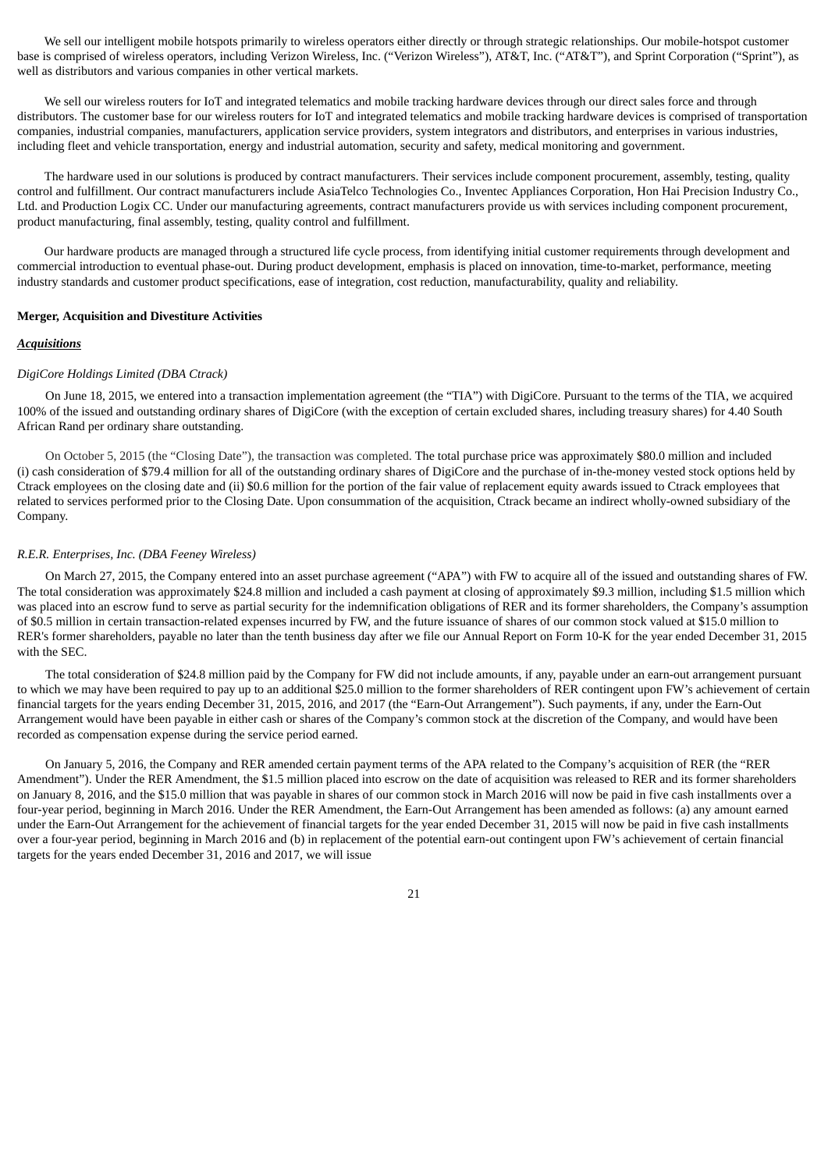We sell our intelligent mobile hotspots primarily to wireless operators either directly or through strategic relationships. Our mobile-hotspot customer base is comprised of wireless operators, including Verizon Wireless, Inc. ("Verizon Wireless"), AT&T, Inc. ("AT&T"), and Sprint Corporation ("Sprint"), as well as distributors and various companies in other vertical markets.

We sell our wireless routers for IoT and integrated telematics and mobile tracking hardware devices through our direct sales force and through distributors. The customer base for our wireless routers for IoT and integrated telematics and mobile tracking hardware devices is comprised of transportation companies, industrial companies, manufacturers, application service providers, system integrators and distributors, and enterprises in various industries, including fleet and vehicle transportation, energy and industrial automation, security and safety, medical monitoring and government.

The hardware used in our solutions is produced by contract manufacturers. Their services include component procurement, assembly, testing, quality control and fulfillment. Our contract manufacturers include AsiaTelco Technologies Co., Inventec Appliances Corporation, Hon Hai Precision Industry Co., Ltd. and Production Logix CC. Under our manufacturing agreements, contract manufacturers provide us with services including component procurement, product manufacturing, final assembly, testing, quality control and fulfillment.

Our hardware products are managed through a structured life cycle process, from identifying initial customer requirements through development and commercial introduction to eventual phase-out. During product development, emphasis is placed on innovation, time-to-market, performance, meeting industry standards and customer product specifications, ease of integration, cost reduction, manufacturability, quality and reliability.

# **Merger, Acquisition and Divestiture Activities**

### *Acquisitions*

### *DigiCore Holdings Limited (DBA Ctrack)*

On June 18, 2015, we entered into a transaction implementation agreement (the "TIA") with DigiCore. Pursuant to the terms of the TIA, we acquired 100% of the issued and outstanding ordinary shares of DigiCore (with the exception of certain excluded shares, including treasury shares) for 4.40 South African Rand per ordinary share outstanding.

On October 5, 2015 (the "Closing Date"), the transaction was completed. The total purchase price was approximately \$80.0 million and included (i) cash consideration of \$79.4 million for all of the outstanding ordinary shares of DigiCore and the purchase of in-the-money vested stock options held by Ctrack employees on the closing date and (ii) \$0.6 million for the portion of the fair value of replacement equity awards issued to Ctrack employees that related to services performed prior to the Closing Date. Upon consummation of the acquisition, Ctrack became an indirect wholly-owned subsidiary of the Company.

## *R.E.R. Enterprises, Inc. (DBA Feeney Wireless)*

On March 27, 2015, the Company entered into an asset purchase agreement ("APA") with FW to acquire all of the issued and outstanding shares of FW. The total consideration was approximately \$24.8 million and included a cash payment at closing of approximately \$9.3 million, including \$1.5 million which was placed into an escrow fund to serve as partial security for the indemnification obligations of RER and its former shareholders, the Company's assumption of \$0.5 million in certain transaction-related expenses incurred by FW, and the future issuance of shares of our common stock valued at \$15.0 million to RER's former shareholders, payable no later than the tenth business day after we file our Annual Report on Form 10-K for the year ended December 31, 2015 with the SEC.

The total consideration of \$24.8 million paid by the Company for FW did not include amounts, if any, payable under an earn-out arrangement pursuant to which we may have been required to pay up to an additional \$25.0 million to the former shareholders of RER contingent upon FW's achievement of certain financial targets for the years ending December 31, 2015, 2016, and 2017 (the "Earn-Out Arrangement"). Such payments, if any, under the Earn-Out Arrangement would have been payable in either cash or shares of the Company's common stock at the discretion of the Company, and would have been recorded as compensation expense during the service period earned.

On January 5, 2016, the Company and RER amended certain payment terms of the APA related to the Company's acquisition of RER (the "RER Amendment"). Under the RER Amendment, the \$1.5 million placed into escrow on the date of acquisition was released to RER and its former shareholders on January 8, 2016, and the \$15.0 million that was payable in shares of our common stock in March 2016 will now be paid in five cash installments over a four-year period, beginning in March 2016. Under the RER Amendment, the Earn-Out Arrangement has been amended as follows: (a) any amount earned under the Earn-Out Arrangement for the achievement of financial targets for the year ended December 31, 2015 will now be paid in five cash installments over a four-year period, beginning in March 2016 and (b) in replacement of the potential earn-out contingent upon FW's achievement of certain financial targets for the years ended December 31, 2016 and 2017, we will issue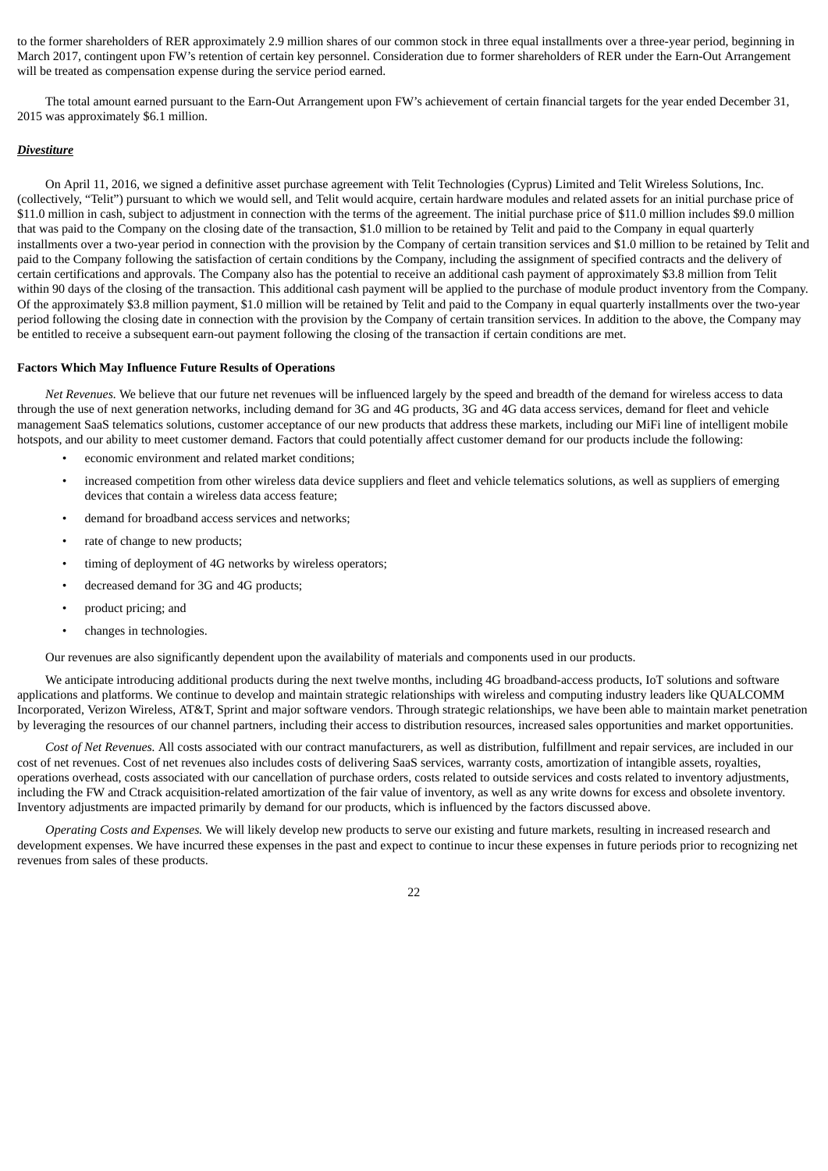to the former shareholders of RER approximately 2.9 million shares of our common stock in three equal installments over a three-year period, beginning in March 2017, contingent upon FW's retention of certain key personnel. Consideration due to former shareholders of RER under the Earn-Out Arrangement will be treated as compensation expense during the service period earned.

The total amount earned pursuant to the Earn-Out Arrangement upon FW's achievement of certain financial targets for the year ended December 31, 2015 was approximately \$6.1 million.

#### *Divestiture*

On April 11, 2016, we signed a definitive asset purchase agreement with Telit Technologies (Cyprus) Limited and Telit Wireless Solutions, Inc. (collectively, "Telit") pursuant to which we would sell, and Telit would acquire, certain hardware modules and related assets for an initial purchase price of \$11.0 million in cash, subject to adjustment in connection with the terms of the agreement. The initial purchase price of \$11.0 million includes \$9.0 million that was paid to the Company on the closing date of the transaction, \$1.0 million to be retained by Telit and paid to the Company in equal quarterly installments over a two-year period in connection with the provision by the Company of certain transition services and \$1.0 million to be retained by Telit and paid to the Company following the satisfaction of certain conditions by the Company, including the assignment of specified contracts and the delivery of certain certifications and approvals. The Company also has the potential to receive an additional cash payment of approximately \$3.8 million from Telit within 90 days of the closing of the transaction. This additional cash payment will be applied to the purchase of module product inventory from the Company. Of the approximately \$3.8 million payment, \$1.0 million will be retained by Telit and paid to the Company in equal quarterly installments over the two-year period following the closing date in connection with the provision by the Company of certain transition services. In addition to the above, the Company may be entitled to receive a subsequent earn-out payment following the closing of the transaction if certain conditions are met.

## **Factors Which May Influence Future Results of Operations**

*Net Revenues.* We believe that our future net revenues will be influenced largely by the speed and breadth of the demand for wireless access to data through the use of next generation networks, including demand for 3G and 4G products, 3G and 4G data access services, demand for fleet and vehicle management SaaS telematics solutions, customer acceptance of our new products that address these markets, including our MiFi line of intelligent mobile hotspots, and our ability to meet customer demand. Factors that could potentially affect customer demand for our products include the following:

- economic environment and related market conditions;
- increased competition from other wireless data device suppliers and fleet and vehicle telematics solutions, as well as suppliers of emerging devices that contain a wireless data access feature;
- demand for broadband access services and networks;
- rate of change to new products;
- timing of deployment of 4G networks by wireless operators;
- decreased demand for 3G and 4G products;
- product pricing; and
- changes in technologies.

Our revenues are also significantly dependent upon the availability of materials and components used in our products.

We anticipate introducing additional products during the next twelve months, including 4G broadband-access products, IoT solutions and software applications and platforms. We continue to develop and maintain strategic relationships with wireless and computing industry leaders like QUALCOMM Incorporated, Verizon Wireless, AT&T, Sprint and major software vendors. Through strategic relationships, we have been able to maintain market penetration by leveraging the resources of our channel partners, including their access to distribution resources, increased sales opportunities and market opportunities.

*Cost of Net Revenues.* All costs associated with our contract manufacturers, as well as distribution, fulfillment and repair services, are included in our cost of net revenues. Cost of net revenues also includes costs of delivering SaaS services, warranty costs, amortization of intangible assets, royalties, operations overhead, costs associated with our cancellation of purchase orders, costs related to outside services and costs related to inventory adjustments, including the FW and Ctrack acquisition-related amortization of the fair value of inventory, as well as any write downs for excess and obsolete inventory. Inventory adjustments are impacted primarily by demand for our products, which is influenced by the factors discussed above.

*Operating Costs and Expenses.* We will likely develop new products to serve our existing and future markets, resulting in increased research and development expenses. We have incurred these expenses in the past and expect to continue to incur these expenses in future periods prior to recognizing net revenues from sales of these products.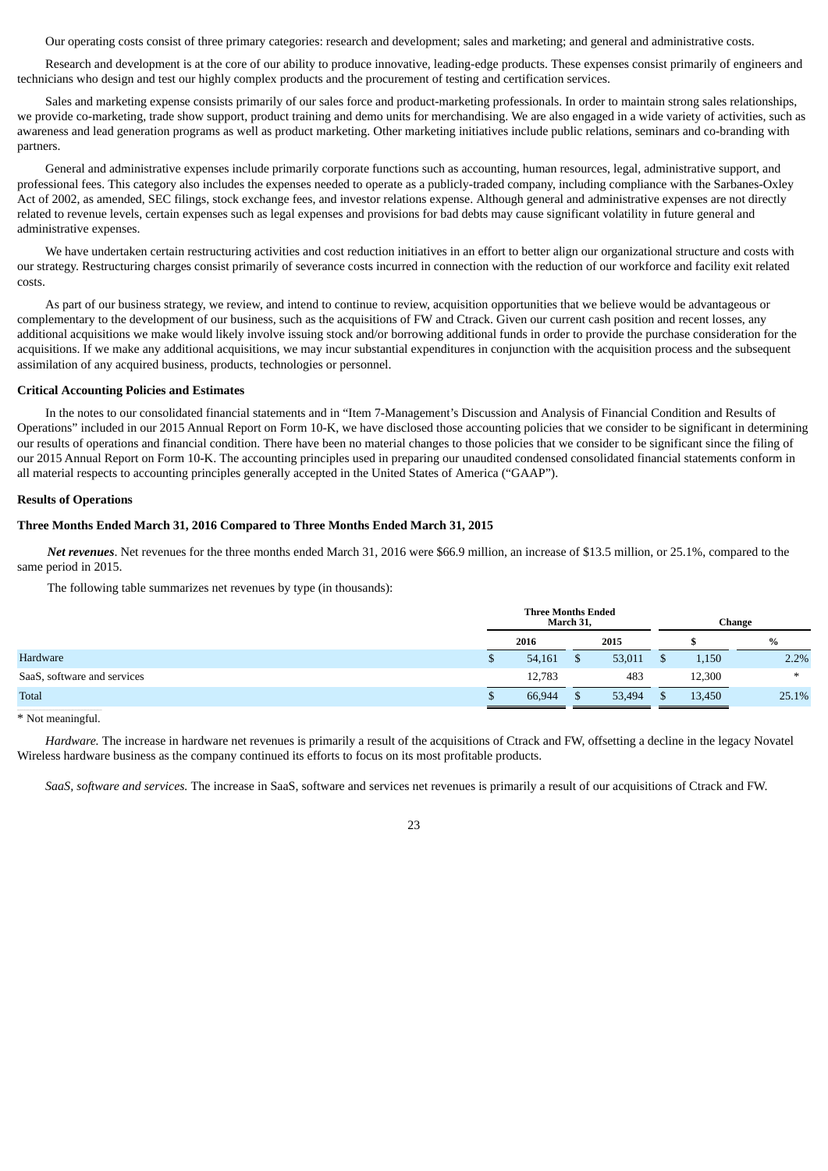Our operating costs consist of three primary categories: research and development; sales and marketing; and general and administrative costs.

Research and development is at the core of our ability to produce innovative, leading-edge products. These expenses consist primarily of engineers and technicians who design and test our highly complex products and the procurement of testing and certification services.

Sales and marketing expense consists primarily of our sales force and product-marketing professionals. In order to maintain strong sales relationships, we provide co-marketing, trade show support, product training and demo units for merchandising. We are also engaged in a wide variety of activities, such as awareness and lead generation programs as well as product marketing. Other marketing initiatives include public relations, seminars and co-branding with partners.

General and administrative expenses include primarily corporate functions such as accounting, human resources, legal, administrative support, and professional fees. This category also includes the expenses needed to operate as a publicly-traded company, including compliance with the Sarbanes-Oxley Act of 2002, as amended, SEC filings, stock exchange fees, and investor relations expense. Although general and administrative expenses are not directly related to revenue levels, certain expenses such as legal expenses and provisions for bad debts may cause significant volatility in future general and administrative expenses.

We have undertaken certain restructuring activities and cost reduction initiatives in an effort to better align our organizational structure and costs with our strategy. Restructuring charges consist primarily of severance costs incurred in connection with the reduction of our workforce and facility exit related costs.

As part of our business strategy, we review, and intend to continue to review, acquisition opportunities that we believe would be advantageous or complementary to the development of our business, such as the acquisitions of FW and Ctrack. Given our current cash position and recent losses, any additional acquisitions we make would likely involve issuing stock and/or borrowing additional funds in order to provide the purchase consideration for the acquisitions. If we make any additional acquisitions, we may incur substantial expenditures in conjunction with the acquisition process and the subsequent assimilation of any acquired business, products, technologies or personnel.

## **Critical Accounting Policies and Estimates**

In the notes to our consolidated financial statements and in "Item 7-Management's Discussion and Analysis of Financial Condition and Results of Operations" included in our 2015 Annual Report on Form 10-K, we have disclosed those accounting policies that we consider to be significant in determining our results of operations and financial condition. There have been no material changes to those policies that we consider to be significant since the filing of our 2015 Annual Report on Form 10-K. The accounting principles used in preparing our unaudited condensed consolidated financial statements conform in all material respects to accounting principles generally accepted in the United States of America ("GAAP").

#### **Results of Operations**

#### **Three Months Ended March 31, 2016 Compared to Three Months Ended March 31, 2015**

*Net revenues*. Net revenues for the three months ended March 31, 2016 were \$66.9 million, an increase of \$13.5 million, or 25.1%, compared to the same period in 2015.

The following table summarizes net revenues by type (in thousands):

|                             | <b>Three Months Ended</b><br>March 31, |        |    |        | Change |        |       |
|-----------------------------|----------------------------------------|--------|----|--------|--------|--------|-------|
|                             |                                        | 2016   |    | 2015   |        |        | $\%$  |
| Hardware                    |                                        | 54,161 | -S | 53,011 |        | 1,150  | 2.2%  |
| SaaS, software and services |                                        | 12,783 |    | 483    |        | 12,300 | $*$   |
| <b>Total</b>                |                                        | 66,944 | -S | 53,494 |        | 13,450 | 25.1% |

\* Not meaningful.

*Hardware.* The increase in hardware net revenues is primarily a result of the acquisitions of Ctrack and FW, offsetting a decline in the legacy Novatel Wireless hardware business as the company continued its efforts to focus on its most profitable products.

*SaaS, software and services.* The increase in SaaS, software and services net revenues is primarily a result of our acquisitions of Ctrack and FW.

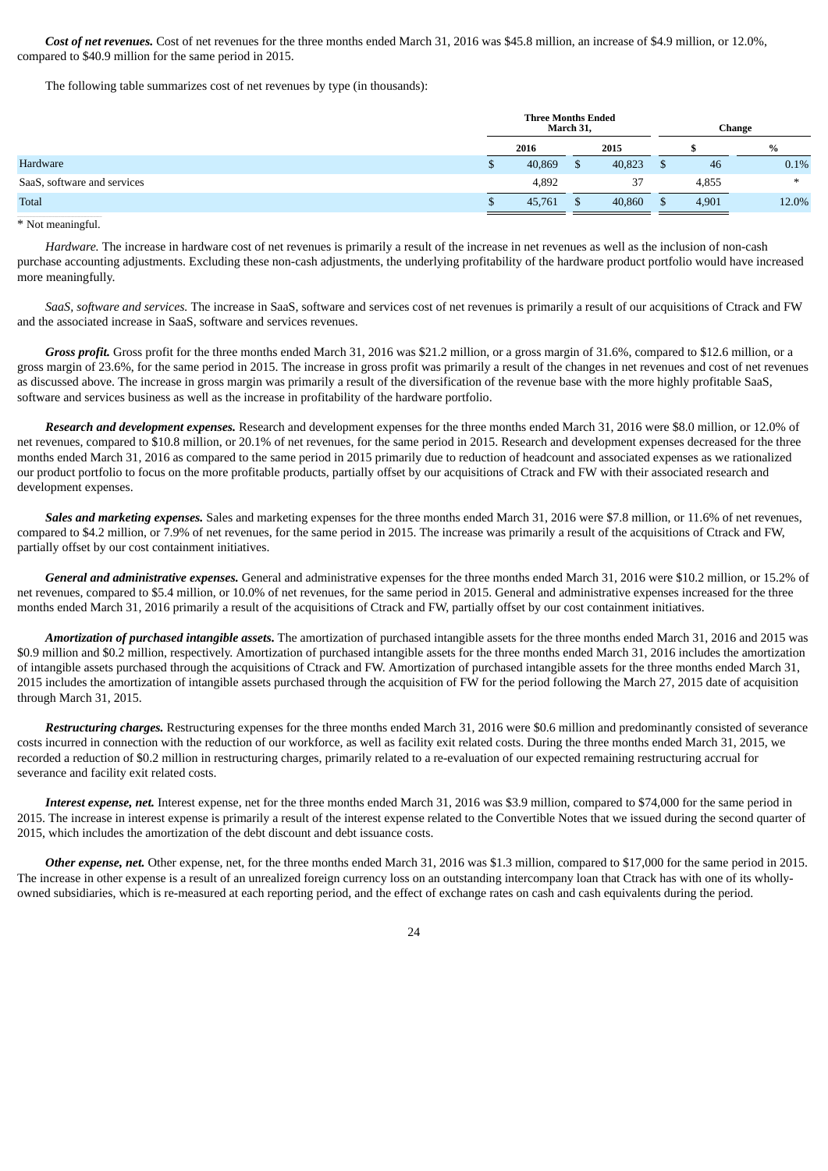*Cost of net revenues.* Cost of net revenues for the three months ended March 31, 2016 was \$45.8 million, an increase of \$4.9 million, or 12.0%, compared to \$40.9 million for the same period in 2015.

The following table summarizes cost of net revenues by type (in thousands):

|                             | <b>Three Months Ended</b><br>March 31, |        |  |        |  | Change |               |  |
|-----------------------------|----------------------------------------|--------|--|--------|--|--------|---------------|--|
|                             |                                        | 2016   |  | 2015   |  |        | $\frac{9}{6}$ |  |
| Hardware                    |                                        | 40,869 |  | 40,823 |  | 46     | 0.1%          |  |
| SaaS, software and services |                                        | 4,892  |  | 37     |  | 4,855  | $*$           |  |
| <b>Total</b>                |                                        | 45,761 |  | 40,860 |  | 4,901  | 12.0%         |  |

\* Not meaningful.

*Hardware.* The increase in hardware cost of net revenues is primarily a result of the increase in net revenues as well as the inclusion of non-cash purchase accounting adjustments. Excluding these non-cash adjustments, the underlying profitability of the hardware product portfolio would have increased more meaningfully.

*SaaS, software and services.* The increase in SaaS, software and services cost of net revenues is primarily a result of our acquisitions of Ctrack and FW and the associated increase in SaaS, software and services revenues.

*Gross profit.* Gross profit for the three months ended March 31, 2016 was \$21.2 million, or a gross margin of 31.6%, compared to \$12.6 million, or a gross margin of 23.6%, for the same period in 2015. The increase in gross profit was primarily a result of the changes in net revenues and cost of net revenues as discussed above. The increase in gross margin was primarily a result of the diversification of the revenue base with the more highly profitable SaaS, software and services business as well as the increase in profitability of the hardware portfolio.

*Research and development expenses.* Research and development expenses for the three months ended March 31, 2016 were \$8.0 million, or 12.0% of net revenues, compared to \$10.8 million, or 20.1% of net revenues, for the same period in 2015. Research and development expenses decreased for the three months ended March 31, 2016 as compared to the same period in 2015 primarily due to reduction of headcount and associated expenses as we rationalized our product portfolio to focus on the more profitable products, partially offset by our acquisitions of Ctrack and FW with their associated research and development expenses.

*Sales and marketing expenses.* Sales and marketing expenses for the three months ended March 31, 2016 were \$7.8 million, or 11.6% of net revenues, compared to \$4.2 million, or 7.9% of net revenues, for the same period in 2015. The increase was primarily a result of the acquisitions of Ctrack and FW, partially offset by our cost containment initiatives.

*General and administrative expenses.* General and administrative expenses for the three months ended March 31, 2016 were \$10.2 million, or 15.2% of net revenues, compared to \$5.4 million, or 10.0% of net revenues, for the same period in 2015. General and administrative expenses increased for the three months ended March 31, 2016 primarily a result of the acquisitions of Ctrack and FW, partially offset by our cost containment initiatives.

*Amortization of purchased intangible assets***.** The amortization of purchased intangible assets for the three months ended March 31, 2016 and 2015 was \$0.9 million and \$0.2 million, respectively. Amortization of purchased intangible assets for the three months ended March 31, 2016 includes the amortization of intangible assets purchased through the acquisitions of Ctrack and FW. Amortization of purchased intangible assets for the three months ended March 31, 2015 includes the amortization of intangible assets purchased through the acquisition of FW for the period following the March 27, 2015 date of acquisition through March 31, 2015.

*Restructuring charges.* Restructuring expenses for the three months ended March 31, 2016 were \$0.6 million and predominantly consisted of severance costs incurred in connection with the reduction of our workforce, as well as facility exit related costs. During the three months ended March 31, 2015, we recorded a reduction of \$0.2 million in restructuring charges, primarily related to a re-evaluation of our expected remaining restructuring accrual for severance and facility exit related costs.

*Interest expense, net.* Interest expense, net for the three months ended March 31, 2016 was \$3.9 million, compared to \$74,000 for the same period in 2015. The increase in interest expense is primarily a result of the interest expense related to the Convertible Notes that we issued during the second quarter of 2015, which includes the amortization of the debt discount and debt issuance costs.

*Other expense, net.* Other expense, net, for the three months ended March 31, 2016 was \$1.3 million, compared to \$17,000 for the same period in 2015. The increase in other expense is a result of an unrealized foreign currency loss on an outstanding intercompany loan that Ctrack has with one of its whollyowned subsidiaries, which is re-measured at each reporting period, and the effect of exchange rates on cash and cash equivalents during the period.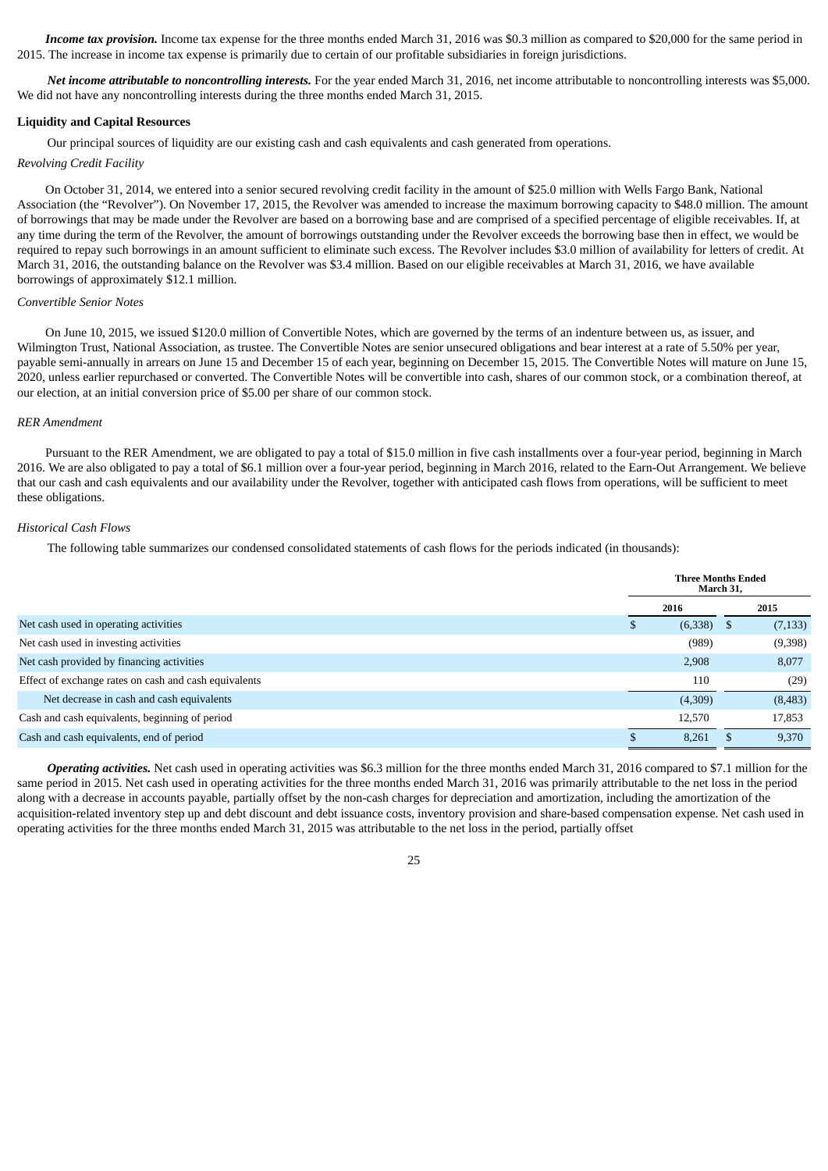*Income tax provision.* Income tax expense for the three months ended March 31, 2016 was \$0.3 million as compared to \$20,000 for the same period in 2015. The increase in income tax expense is primarily due to certain of our profitable subsidiaries in foreign jurisdictions.

*Net income attributable to noncontrolling interests.* For the year ended March 31, 2016, net income attributable to noncontrolling interests was \$5,000. We did not have any noncontrolling interests during the three months ended March 31, 2015.

#### **Liquidity and Capital Resources**

Our principal sources of liquidity are our existing cash and cash equivalents and cash generated from operations.

## *Revolving Credit Facility*

On October 31, 2014, we entered into a senior secured revolving credit facility in the amount of \$25.0 million with Wells Fargo Bank, National Association (the "Revolver"). On November 17, 2015, the Revolver was amended to increase the maximum borrowing capacity to \$48.0 million. The amount of borrowings that may be made under the Revolver are based on a borrowing base and are comprised of a specified percentage of eligible receivables. If, at any time during the term of the Revolver, the amount of borrowings outstanding under the Revolver exceeds the borrowing base then in effect, we would be required to repay such borrowings in an amount sufficient to eliminate such excess. The Revolver includes \$3.0 million of availability for letters of credit. At March 31, 2016, the outstanding balance on the Revolver was \$3.4 million. Based on our eligible receivables at March 31, 2016, we have available borrowings of approximately \$12.1 million.

#### *Convertible Senior Notes*

On June 10, 2015, we issued \$120.0 million of Convertible Notes, which are governed by the terms of an indenture between us, as issuer, and Wilmington Trust, National Association, as trustee. The Convertible Notes are senior unsecured obligations and bear interest at a rate of 5.50% per year, payable semi-annually in arrears on June 15 and December 15 of each year, beginning on December 15, 2015. The Convertible Notes will mature on June 15, 2020, unless earlier repurchased or converted. The Convertible Notes will be convertible into cash, shares of our common stock, or a combination thereof, at our election, at an initial conversion price of \$5.00 per share of our common stock.

## *RER Amendment*

Pursuant to the RER Amendment, we are obligated to pay a total of \$15.0 million in five cash installments over a four-year period, beginning in March 2016. We are also obligated to pay a total of \$6.1 million over a four-year period, beginning in March 2016, related to the Earn-Out Arrangement. We believe that our cash and cash equivalents and our availability under the Revolver, together with anticipated cash flows from operations, will be sufficient to meet these obligations.

## *Historical Cash Flows*

The following table summarizes our condensed consolidated statements of cash flows for the periods indicated (in thousands):

|                                                       | <b>Three Months Ended</b><br>March 31, |         |    |          |
|-------------------------------------------------------|----------------------------------------|---------|----|----------|
|                                                       |                                        | 2016    |    | 2015     |
| Net cash used in operating activities                 | п                                      | (6,338) | S, | (7, 133) |
| Net cash used in investing activities                 |                                        | (989)   |    | (9,398)  |
| Net cash provided by financing activities             |                                        | 2,908   |    | 8,077    |
| Effect of exchange rates on cash and cash equivalents |                                        | 110     |    | (29)     |
| Net decrease in cash and cash equivalents             |                                        | (4,309) |    | (8,483)  |
| Cash and cash equivalents, beginning of period        |                                        | 12,570  |    | 17,853   |
| Cash and cash equivalents, end of period              |                                        | 8,261   |    | 9,370    |

*Operating activities.* Net cash used in operating activities was \$6.3 million for the three months ended March 31, 2016 compared to \$7.1 million for the same period in 2015. Net cash used in operating activities for the three months ended March 31, 2016 was primarily attributable to the net loss in the period along with a decrease in accounts payable, partially offset by the non-cash charges for depreciation and amortization, including the amortization of the acquisition-related inventory step up and debt discount and debt issuance costs, inventory provision and share-based compensation expense. Net cash used in operating activities for the three months ended March 31, 2015 was attributable to the net loss in the period, partially offset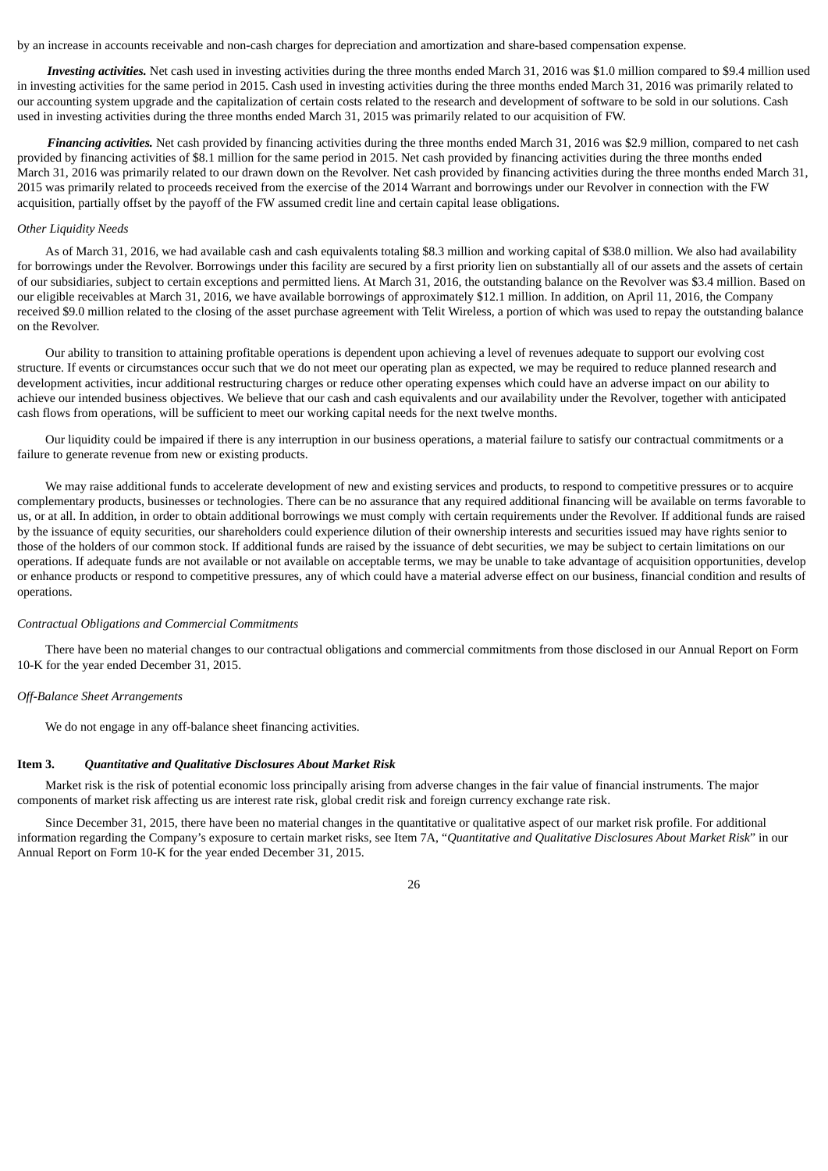by an increase in accounts receivable and non-cash charges for depreciation and amortization and share-based compensation expense.

*Investing activities*. Net cash used in investing activities during the three months ended March 31, 2016 was \$1.0 million compared to \$9.4 million used in investing activities for the same period in 2015. Cash used in investing activities during the three months ended March 31, 2016 was primarily related to our accounting system upgrade and the capitalization of certain costs related to the research and development of software to be sold in our solutions. Cash used in investing activities during the three months ended March 31, 2015 was primarily related to our acquisition of FW.

*Financing activities.* Net cash provided by financing activities during the three months ended March 31, 2016 was \$2.9 million, compared to net cash provided by financing activities of \$8.1 million for the same period in 2015. Net cash provided by financing activities during the three months ended March 31, 2016 was primarily related to our drawn down on the Revolver. Net cash provided by financing activities during the three months ended March 31, 2015 was primarily related to proceeds received from the exercise of the 2014 Warrant and borrowings under our Revolver in connection with the FW acquisition, partially offset by the payoff of the FW assumed credit line and certain capital lease obligations.

#### *Other Liquidity Needs*

As of March 31, 2016, we had available cash and cash equivalents totaling \$8.3 million and working capital of \$38.0 million. We also had availability for borrowings under the Revolver. Borrowings under this facility are secured by a first priority lien on substantially all of our assets and the assets of certain of our subsidiaries, subject to certain exceptions and permitted liens. At March 31, 2016, the outstanding balance on the Revolver was \$3.4 million. Based on our eligible receivables at March 31, 2016, we have available borrowings of approximately \$12.1 million. In addition, on April 11, 2016, the Company received \$9.0 million related to the closing of the asset purchase agreement with Telit Wireless, a portion of which was used to repay the outstanding balance on the Revolver.

Our ability to transition to attaining profitable operations is dependent upon achieving a level of revenues adequate to support our evolving cost structure. If events or circumstances occur such that we do not meet our operating plan as expected, we may be required to reduce planned research and development activities, incur additional restructuring charges or reduce other operating expenses which could have an adverse impact on our ability to achieve our intended business objectives. We believe that our cash and cash equivalents and our availability under the Revolver, together with anticipated cash flows from operations, will be sufficient to meet our working capital needs for the next twelve months.

Our liquidity could be impaired if there is any interruption in our business operations, a material failure to satisfy our contractual commitments or a failure to generate revenue from new or existing products.

We may raise additional funds to accelerate development of new and existing services and products, to respond to competitive pressures or to acquire complementary products, businesses or technologies. There can be no assurance that any required additional financing will be available on terms favorable to us, or at all. In addition, in order to obtain additional borrowings we must comply with certain requirements under the Revolver. If additional funds are raised by the issuance of equity securities, our shareholders could experience dilution of their ownership interests and securities issued may have rights senior to those of the holders of our common stock. If additional funds are raised by the issuance of debt securities, we may be subject to certain limitations on our operations. If adequate funds are not available or not available on acceptable terms, we may be unable to take advantage of acquisition opportunities, develop or enhance products or respond to competitive pressures, any of which could have a material adverse effect on our business, financial condition and results of operations.

#### *Contractual Obligations and Commercial Commitments*

There have been no material changes to our contractual obligations and commercial commitments from those disclosed in our Annual Report on Form 10-K for the year ended December 31, 2015.

#### *Off-Balance Sheet Arrangements*

We do not engage in any off-balance sheet financing activities.

#### **Item 3.** *Quantitative and Qualitative Disclosures About Market Risk*

Market risk is the risk of potential economic loss principally arising from adverse changes in the fair value of financial instruments. The major components of market risk affecting us are interest rate risk, global credit risk and foreign currency exchange rate risk.

Since December 31, 2015, there have been no material changes in the quantitative or qualitative aspect of our market risk profile. For additional information regarding the Company's exposure to certain market risks, see Item 7A, "*Quantitative and Qualitative Disclosures About Market Risk*" in our Annual Report on Form 10-K for the year ended December 31, 2015.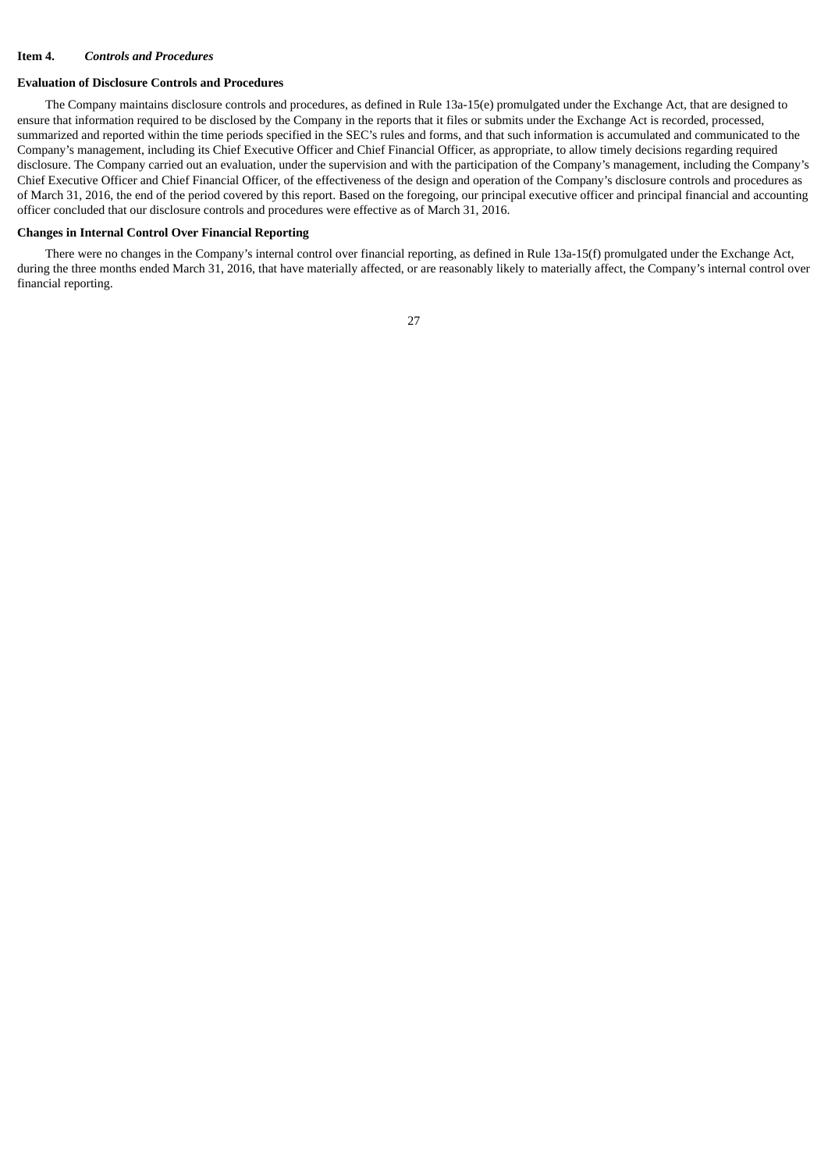# **Item 4.** *Controls and Procedures*

# **Evaluation of Disclosure Controls and Procedures**

The Company maintains disclosure controls and procedures, as defined in Rule 13a-15(e) promulgated under the Exchange Act, that are designed to ensure that information required to be disclosed by the Company in the reports that it files or submits under the Exchange Act is recorded, processed, summarized and reported within the time periods specified in the SEC's rules and forms, and that such information is accumulated and communicated to the Company's management, including its Chief Executive Officer and Chief Financial Officer, as appropriate, to allow timely decisions regarding required disclosure. The Company carried out an evaluation, under the supervision and with the participation of the Company's management, including the Company's Chief Executive Officer and Chief Financial Officer, of the effectiveness of the design and operation of the Company's disclosure controls and procedures as of March 31, 2016, the end of the period covered by this report. Based on the foregoing, our principal executive officer and principal financial and accounting officer concluded that our disclosure controls and procedures were effective as of March 31, 2016.

#### **Changes in Internal Control Over Financial Reporting**

There were no changes in the Company's internal control over financial reporting, as defined in Rule 13a-15(f) promulgated under the Exchange Act, during the three months ended March 31, 2016, that have materially affected, or are reasonably likely to materially affect, the Company's internal control over financial reporting.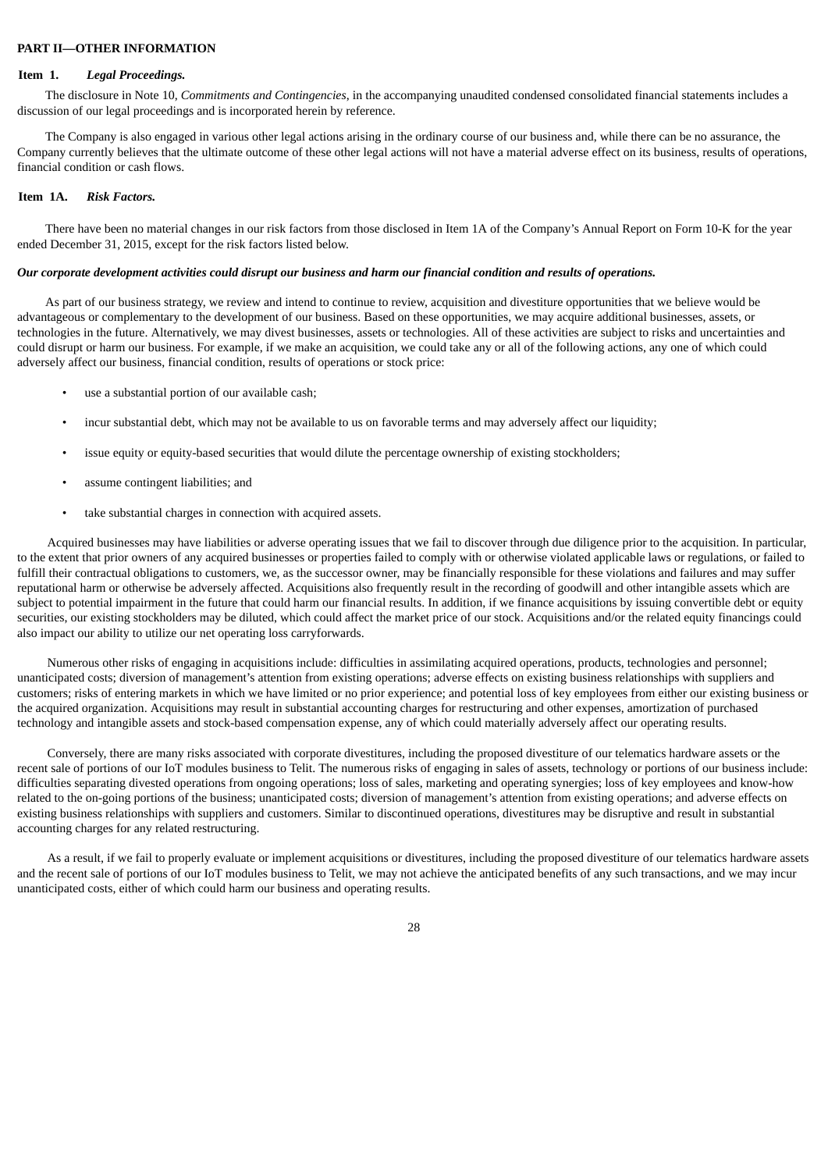# **PART II—OTHER INFORMATION**

# **Item 1.** *Legal Proceedings.*

The disclosure in Note 10, *Commitments and Contingencies*, in the accompanying unaudited condensed consolidated financial statements includes a discussion of our legal proceedings and is incorporated herein by reference.

The Company is also engaged in various other legal actions arising in the ordinary course of our business and, while there can be no assurance, the Company currently believes that the ultimate outcome of these other legal actions will not have a material adverse effect on its business, results of operations, financial condition or cash flows.

# **Item 1A.** *Risk Factors.*

There have been no material changes in our risk factors from those disclosed in Item 1A of the Company's Annual Report on Form 10-K for the year ended December 31, 2015, except for the risk factors listed below.

#### Our corporate development activities could disrupt our business and harm our financial condition and results of operations.

As part of our business strategy, we review and intend to continue to review, acquisition and divestiture opportunities that we believe would be advantageous or complementary to the development of our business. Based on these opportunities, we may acquire additional businesses, assets, or technologies in the future. Alternatively, we may divest businesses, assets or technologies. All of these activities are subject to risks and uncertainties and could disrupt or harm our business. For example, if we make an acquisition, we could take any or all of the following actions, any one of which could adversely affect our business, financial condition, results of operations or stock price:

- use a substantial portion of our available cash:
- incur substantial debt, which may not be available to us on favorable terms and may adversely affect our liquidity;
- issue equity or equity-based securities that would dilute the percentage ownership of existing stockholders;
- assume contingent liabilities; and
- take substantial charges in connection with acquired assets.

Acquired businesses may have liabilities or adverse operating issues that we fail to discover through due diligence prior to the acquisition. In particular, to the extent that prior owners of any acquired businesses or properties failed to comply with or otherwise violated applicable laws or regulations, or failed to fulfill their contractual obligations to customers, we, as the successor owner, may be financially responsible for these violations and failures and may suffer reputational harm or otherwise be adversely affected. Acquisitions also frequently result in the recording of goodwill and other intangible assets which are subject to potential impairment in the future that could harm our financial results. In addition, if we finance acquisitions by issuing convertible debt or equity securities, our existing stockholders may be diluted, which could affect the market price of our stock. Acquisitions and/or the related equity financings could also impact our ability to utilize our net operating loss carryforwards.

Numerous other risks of engaging in acquisitions include: difficulties in assimilating acquired operations, products, technologies and personnel; unanticipated costs; diversion of management's attention from existing operations; adverse effects on existing business relationships with suppliers and customers; risks of entering markets in which we have limited or no prior experience; and potential loss of key employees from either our existing business or the acquired organization. Acquisitions may result in substantial accounting charges for restructuring and other expenses, amortization of purchased technology and intangible assets and stock-based compensation expense, any of which could materially adversely affect our operating results.

Conversely, there are many risks associated with corporate divestitures, including the proposed divestiture of our telematics hardware assets or the recent sale of portions of our IoT modules business to Telit. The numerous risks of engaging in sales of assets, technology or portions of our business include: difficulties separating divested operations from ongoing operations; loss of sales, marketing and operating synergies; loss of key employees and know-how related to the on-going portions of the business; unanticipated costs; diversion of management's attention from existing operations; and adverse effects on existing business relationships with suppliers and customers. Similar to discontinued operations, divestitures may be disruptive and result in substantial accounting charges for any related restructuring.

As a result, if we fail to properly evaluate or implement acquisitions or divestitures, including the proposed divestiture of our telematics hardware assets and the recent sale of portions of our IoT modules business to Telit, we may not achieve the anticipated benefits of any such transactions, and we may incur unanticipated costs, either of which could harm our business and operating results.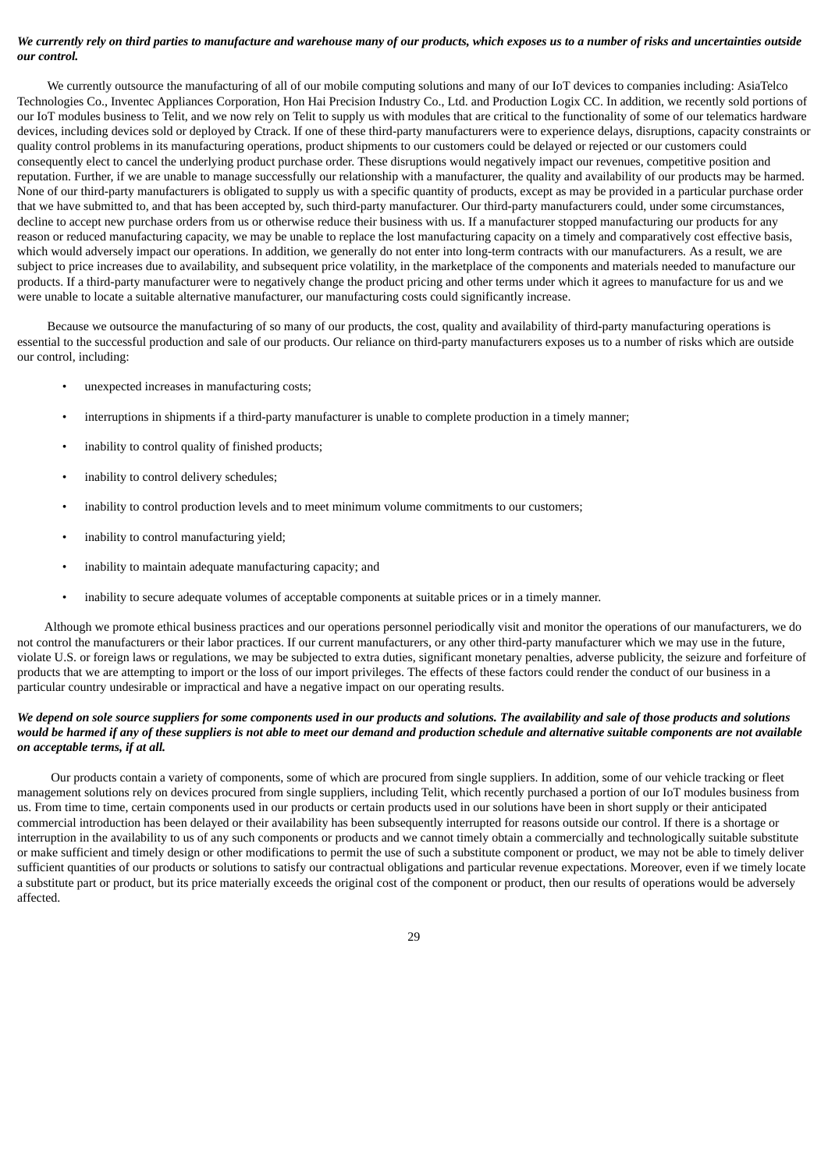# We currently rely on third parties to manufacture and warehouse many of our products, which exposes us to a number of risks and uncertainties outside *our control.*

We currently outsource the manufacturing of all of our mobile computing solutions and many of our IoT devices to companies including: AsiaTelco Technologies Co., Inventec Appliances Corporation, Hon Hai Precision Industry Co., Ltd. and Production Logix CC. In addition, we recently sold portions of our IoT modules business to Telit, and we now rely on Telit to supply us with modules that are critical to the functionality of some of our telematics hardware devices, including devices sold or deployed by Ctrack. If one of these third-party manufacturers were to experience delays, disruptions, capacity constraints or quality control problems in its manufacturing operations, product shipments to our customers could be delayed or rejected or our customers could consequently elect to cancel the underlying product purchase order. These disruptions would negatively impact our revenues, competitive position and reputation. Further, if we are unable to manage successfully our relationship with a manufacturer, the quality and availability of our products may be harmed. None of our third-party manufacturers is obligated to supply us with a specific quantity of products, except as may be provided in a particular purchase order that we have submitted to, and that has been accepted by, such third-party manufacturer. Our third-party manufacturers could, under some circumstances, decline to accept new purchase orders from us or otherwise reduce their business with us. If a manufacturer stopped manufacturing our products for any reason or reduced manufacturing capacity, we may be unable to replace the lost manufacturing capacity on a timely and comparatively cost effective basis, which would adversely impact our operations. In addition, we generally do not enter into long-term contracts with our manufacturers. As a result, we are subject to price increases due to availability, and subsequent price volatility, in the marketplace of the components and materials needed to manufacture our products. If a third-party manufacturer were to negatively change the product pricing and other terms under which it agrees to manufacture for us and we were unable to locate a suitable alternative manufacturer, our manufacturing costs could significantly increase.

Because we outsource the manufacturing of so many of our products, the cost, quality and availability of third-party manufacturing operations is essential to the successful production and sale of our products. Our reliance on third-party manufacturers exposes us to a number of risks which are outside our control, including:

- unexpected increases in manufacturing costs;
- interruptions in shipments if a third-party manufacturer is unable to complete production in a timely manner;
- inability to control quality of finished products;
- inability to control delivery schedules:
- inability to control production levels and to meet minimum volume commitments to our customers;
- inability to control manufacturing yield;
- inability to maintain adequate manufacturing capacity; and
- inability to secure adequate volumes of acceptable components at suitable prices or in a timely manner.

Although we promote ethical business practices and our operations personnel periodically visit and monitor the operations of our manufacturers, we do not control the manufacturers or their labor practices. If our current manufacturers, or any other third-party manufacturer which we may use in the future, violate U.S. or foreign laws or regulations, we may be subjected to extra duties, significant monetary penalties, adverse publicity, the seizure and forfeiture of products that we are attempting to import or the loss of our import privileges. The effects of these factors could render the conduct of our business in a particular country undesirable or impractical and have a negative impact on our operating results.

# We depend on sole source suppliers for some components used in our products and solutions. The availability and sale of those products and solutions would be harmed if any of these suppliers is not able to meet our demand and production schedule and alternative suitable components are not available *on acceptable terms, if at all.*

Our products contain a variety of components, some of which are procured from single suppliers. In addition, some of our vehicle tracking or fleet management solutions rely on devices procured from single suppliers, including Telit, which recently purchased a portion of our IoT modules business from us. From time to time, certain components used in our products or certain products used in our solutions have been in short supply or their anticipated commercial introduction has been delayed or their availability has been subsequently interrupted for reasons outside our control. If there is a shortage or interruption in the availability to us of any such components or products and we cannot timely obtain a commercially and technologically suitable substitute or make sufficient and timely design or other modifications to permit the use of such a substitute component or product, we may not be able to timely deliver sufficient quantities of our products or solutions to satisfy our contractual obligations and particular revenue expectations. Moreover, even if we timely locate a substitute part or product, but its price materially exceeds the original cost of the component or product, then our results of operations would be adversely affected.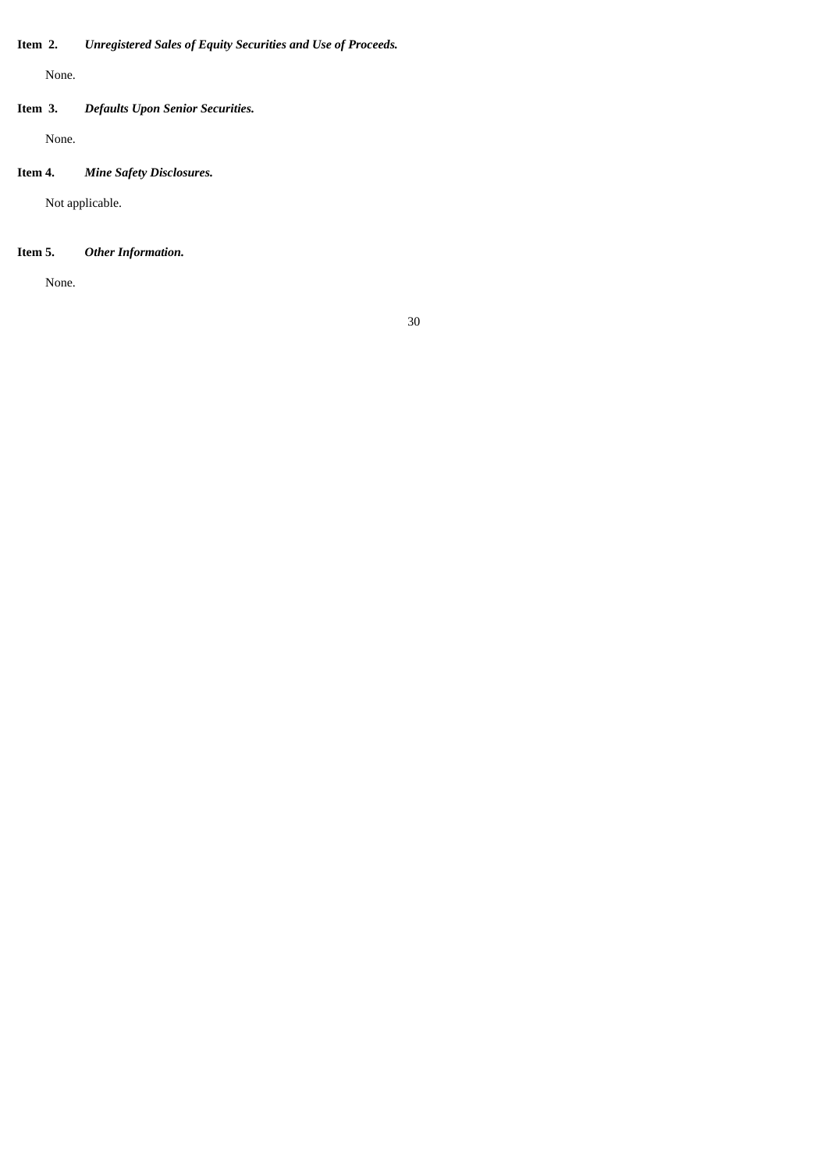# **Item 2.** *Unregistered Sales of Equity Securities and Use of Proceeds.*

None.

# **Item 3.** *Defaults Upon Senior Securities.*

None.

# **Item 4.** *Mine Safety Disclosures.*

Not applicable.

# **Item 5.** *Other Information.*

None.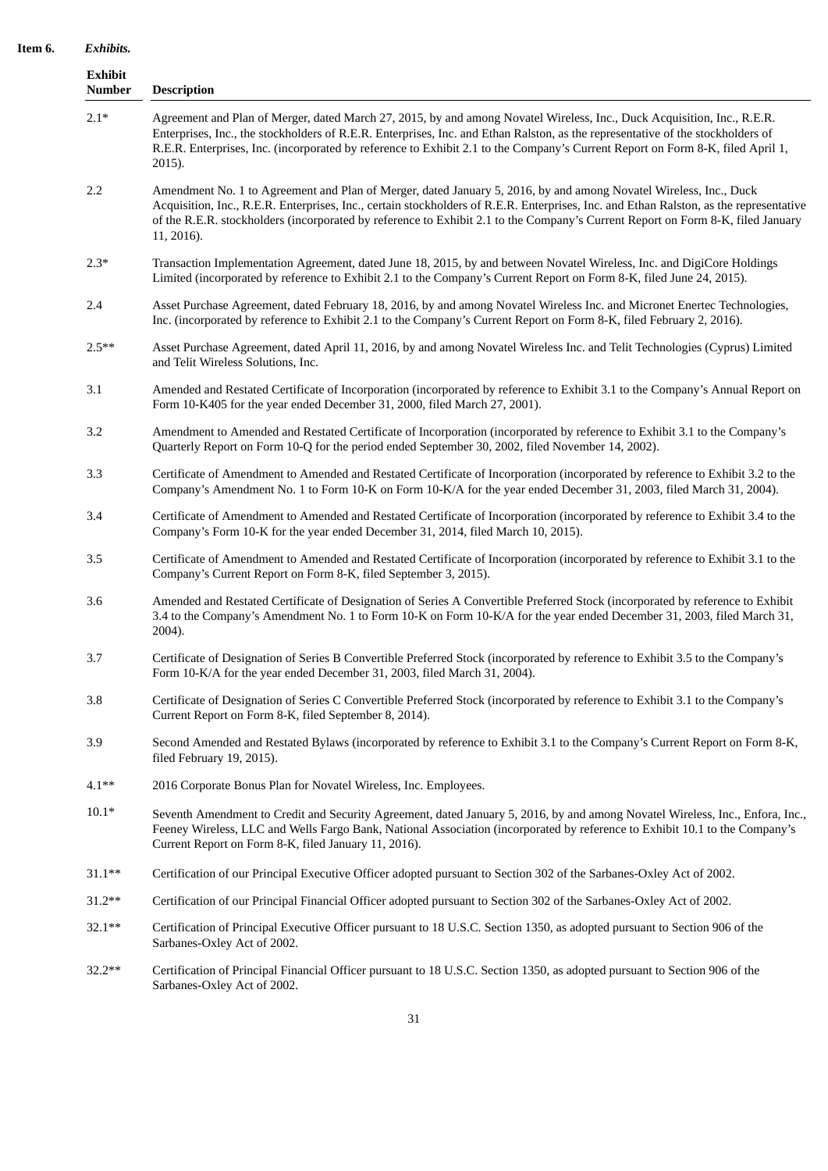# **Item 6.** *Exhibits.*

| <b>Exhibit</b><br><b>Number</b> | <b>Description</b>                                                                                                                                                                                                                                                                                                                                                                                           |
|---------------------------------|--------------------------------------------------------------------------------------------------------------------------------------------------------------------------------------------------------------------------------------------------------------------------------------------------------------------------------------------------------------------------------------------------------------|
| $2.1*$                          | Agreement and Plan of Merger, dated March 27, 2015, by and among Novatel Wireless, Inc., Duck Acquisition, Inc., R.E.R.<br>Enterprises, Inc., the stockholders of R.E.R. Enterprises, Inc. and Ethan Ralston, as the representative of the stockholders of<br>R.E.R. Enterprises, Inc. (incorporated by reference to Exhibit 2.1 to the Company's Current Report on Form 8-K, filed April 1,<br>2015).       |
| 2.2                             | Amendment No. 1 to Agreement and Plan of Merger, dated January 5, 2016, by and among Novatel Wireless, Inc., Duck<br>Acquisition, Inc., R.E.R. Enterprises, Inc., certain stockholders of R.E.R. Enterprises, Inc. and Ethan Ralston, as the representative<br>of the R.E.R. stockholders (incorporated by reference to Exhibit 2.1 to the Company's Current Report on Form 8-K, filed January<br>11, 2016). |
| $2.3*$                          | Transaction Implementation Agreement, dated June 18, 2015, by and between Novatel Wireless, Inc. and DigiCore Holdings<br>Limited (incorporated by reference to Exhibit 2.1 to the Company's Current Report on Form 8-K, filed June 24, 2015).                                                                                                                                                               |
| 2.4                             | Asset Purchase Agreement, dated February 18, 2016, by and among Novatel Wireless Inc. and Micronet Enertec Technologies,<br>Inc. (incorporated by reference to Exhibit 2.1 to the Company's Current Report on Form 8-K, filed February 2, 2016).                                                                                                                                                             |
| $2.5***$                        | Asset Purchase Agreement, dated April 11, 2016, by and among Novatel Wireless Inc. and Telit Technologies (Cyprus) Limited<br>and Telit Wireless Solutions, Inc.                                                                                                                                                                                                                                             |
| 3.1                             | Amended and Restated Certificate of Incorporation (incorporated by reference to Exhibit 3.1 to the Company's Annual Report on<br>Form 10-K405 for the year ended December 31, 2000, filed March 27, 2001).                                                                                                                                                                                                   |
| 3.2                             | Amendment to Amended and Restated Certificate of Incorporation (incorporated by reference to Exhibit 3.1 to the Company's<br>Quarterly Report on Form 10-Q for the period ended September 30, 2002, filed November 14, 2002).                                                                                                                                                                                |
| 3.3                             | Certificate of Amendment to Amended and Restated Certificate of Incorporation (incorporated by reference to Exhibit 3.2 to the<br>Company's Amendment No. 1 to Form 10-K on Form 10-K/A for the year ended December 31, 2003, filed March 31, 2004).                                                                                                                                                         |
| 3.4                             | Certificate of Amendment to Amended and Restated Certificate of Incorporation (incorporated by reference to Exhibit 3.4 to the<br>Company's Form 10-K for the year ended December 31, 2014, filed March 10, 2015).                                                                                                                                                                                           |
| 3.5                             | Certificate of Amendment to Amended and Restated Certificate of Incorporation (incorporated by reference to Exhibit 3.1 to the<br>Company's Current Report on Form 8-K, filed September 3, 2015).                                                                                                                                                                                                            |
| 3.6                             | Amended and Restated Certificate of Designation of Series A Convertible Preferred Stock (incorporated by reference to Exhibit<br>3.4 to the Company's Amendment No. 1 to Form 10-K on Form 10-K/A for the year ended December 31, 2003, filed March 31,<br>2004).                                                                                                                                            |
| 3.7                             | Certificate of Designation of Series B Convertible Preferred Stock (incorporated by reference to Exhibit 3.5 to the Company's<br>Form 10-K/A for the year ended December 31, 2003, filed March 31, 2004).                                                                                                                                                                                                    |
| 3.8                             | Certificate of Designation of Series C Convertible Preferred Stock (incorporated by reference to Exhibit 3.1 to the Company's<br>Current Report on Form 8-K, filed September 8, 2014).                                                                                                                                                                                                                       |
| 3.9                             | Second Amended and Restated Bylaws (incorporated by reference to Exhibit 3.1 to the Company's Current Report on Form 8-K,<br>filed February 19, 2015).                                                                                                                                                                                                                                                       |
| $4.1**$                         | 2016 Corporate Bonus Plan for Novatel Wireless, Inc. Employees.                                                                                                                                                                                                                                                                                                                                              |
| $10.1*$                         | Seventh Amendment to Credit and Security Agreement, dated January 5, 2016, by and among Novatel Wireless, Inc., Enfora, Inc.,<br>Feeney Wireless, LLC and Wells Fargo Bank, National Association (incorporated by reference to Exhibit 10.1 to the Company's<br>Current Report on Form 8-K, filed January 11, 2016).                                                                                         |
| $31.1***$                       | Certification of our Principal Executive Officer adopted pursuant to Section 302 of the Sarbanes-Oxley Act of 2002.                                                                                                                                                                                                                                                                                          |
| $31.2**$                        | Certification of our Principal Financial Officer adopted pursuant to Section 302 of the Sarbanes-Oxley Act of 2002.                                                                                                                                                                                                                                                                                          |
| $32.1***$                       | Certification of Principal Executive Officer pursuant to 18 U.S.C. Section 1350, as adopted pursuant to Section 906 of the<br>Sarbanes-Oxley Act of 2002.                                                                                                                                                                                                                                                    |
| $32.2**$                        | Certification of Principal Financial Officer pursuant to 18 U.S.C. Section 1350, as adopted pursuant to Section 906 of the<br>Sarbanes-Oxley Act of 2002.                                                                                                                                                                                                                                                    |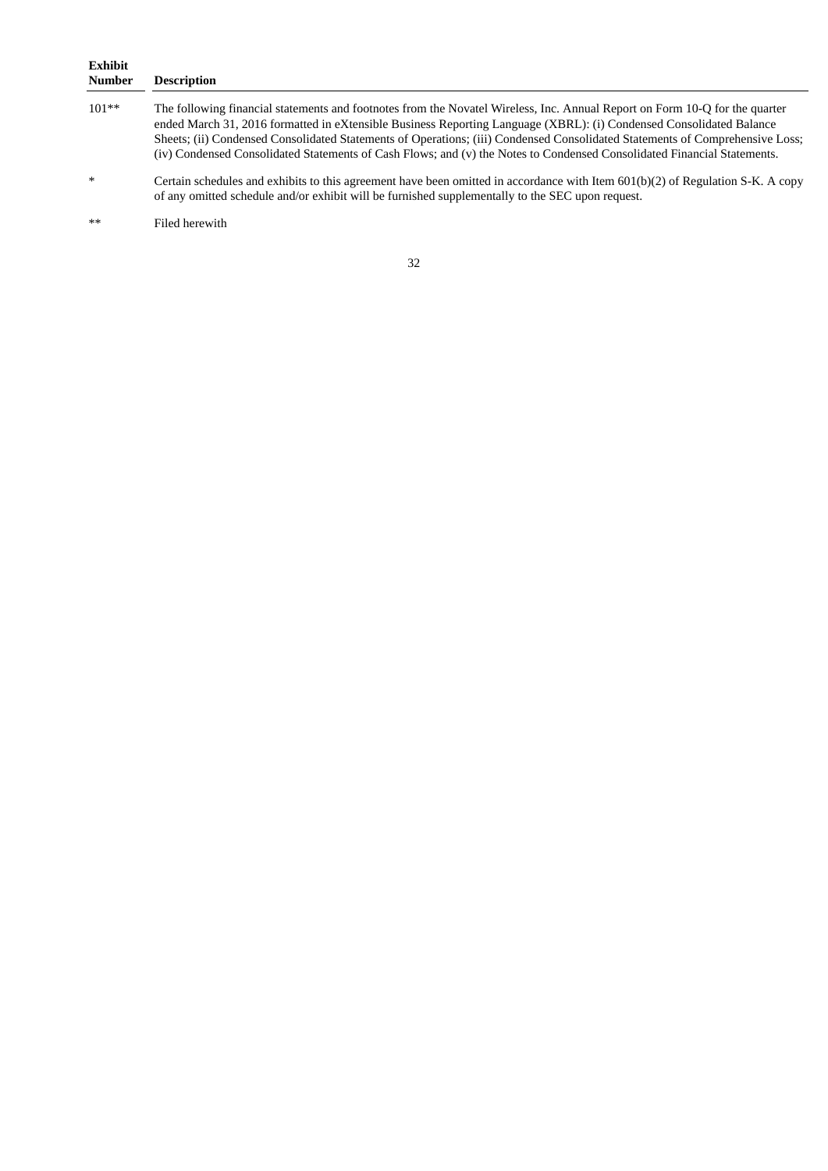| Exhibit<br><b>Number</b> | <b>Description</b>                                                                                                                                                                                                                                                                                                                                                                                                                                                                                            |
|--------------------------|---------------------------------------------------------------------------------------------------------------------------------------------------------------------------------------------------------------------------------------------------------------------------------------------------------------------------------------------------------------------------------------------------------------------------------------------------------------------------------------------------------------|
| $101**$                  | The following financial statements and footnotes from the Novatel Wireless, Inc. Annual Report on Form 10-Q for the quarter<br>ended March 31, 2016 formatted in eXtensible Business Reporting Language (XBRL): (i) Condensed Consolidated Balance<br>Sheets; (ii) Condensed Consolidated Statements of Operations; (iii) Condensed Consolidated Statements of Comprehensive Loss;<br>(iv) Condensed Consolidated Statements of Cash Flows; and (v) the Notes to Condensed Consolidated Financial Statements. |
| $\ast$                   | Certain schedules and exhibits to this agreement have been omitted in accordance with Item 601(b)(2) of Regulation S-K. A copy<br>of any omitted schedule and/or exhibit will be furnished supplementally to the SEC upon request.                                                                                                                                                                                                                                                                            |
| $**$                     | Filed herewith                                                                                                                                                                                                                                                                                                                                                                                                                                                                                                |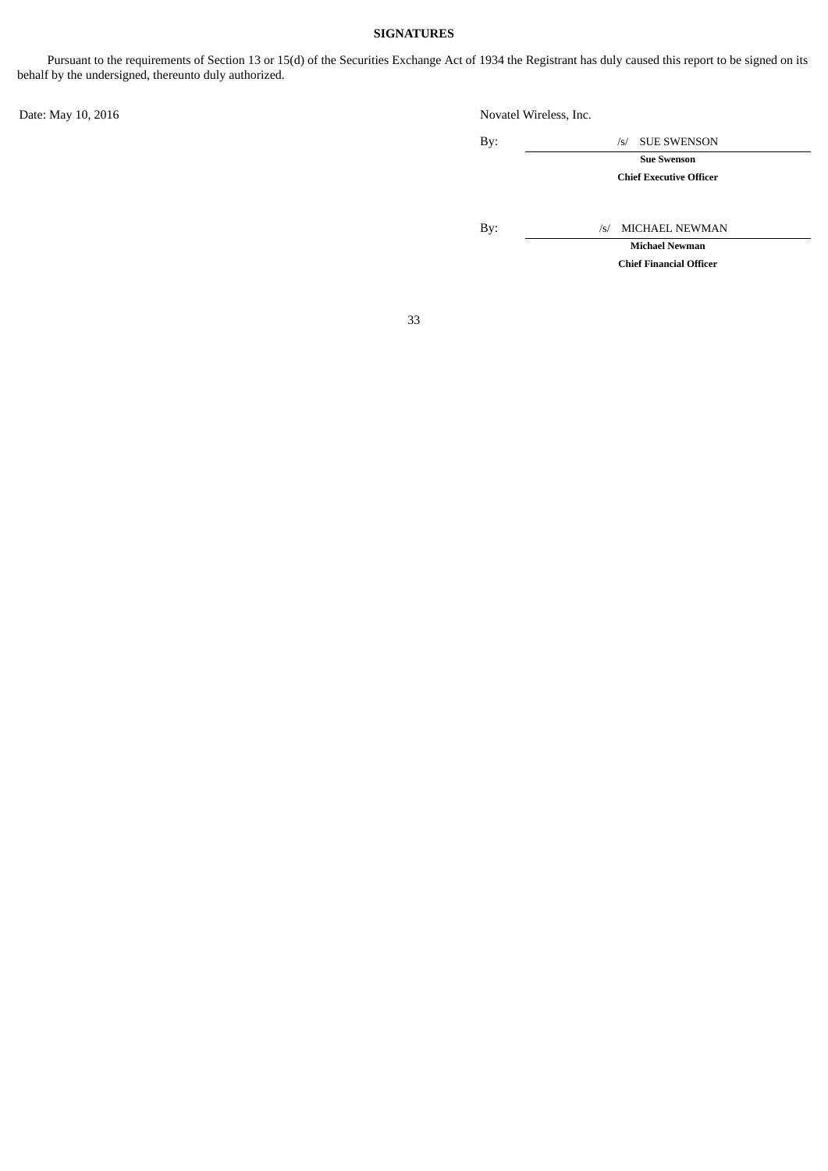# **SIGNATURES**

Pursuant to the requirements of Section 13 or 15(d) of the Securities Exchange Act of 1934 the Registrant has duly caused this report to be signed on its behalf by the undersigned, thereunto duly authorized.

Date: May 10, 2016 Novatel Wireless, Inc.

| By: | /s/ SUE SWENSON    |
|-----|--------------------|
|     | <b>Sue Swenson</b> |

**Chief Executive Officer**

By: /s/ MICHAEL NEWMAN

**Michael Newman Chief Financial Officer**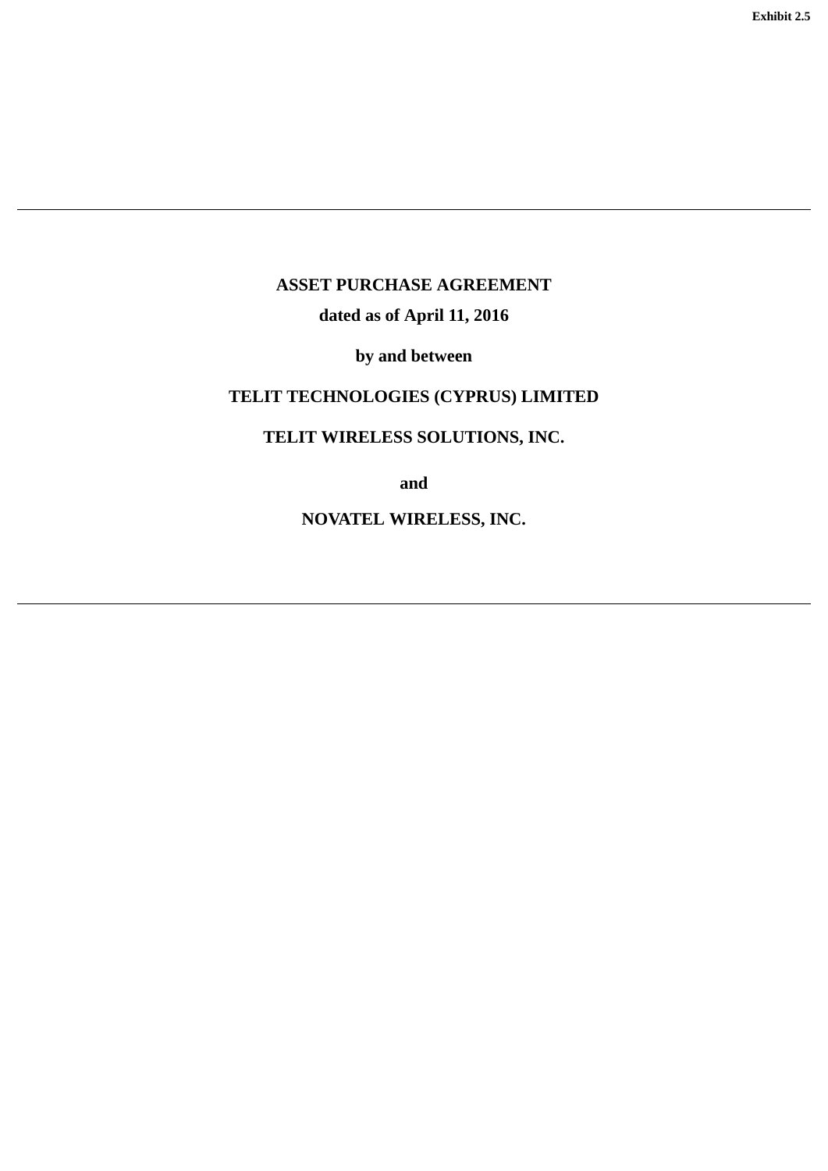# **ASSET PURCHASE AGREEMENT**

# **dated as of April 11, 2016**

**by and between**

# **TELIT TECHNOLOGIES (CYPRUS) LIMITED**

# **TELIT WIRELESS SOLUTIONS, INC.**

**and**

**NOVATEL WIRELESS, INC.**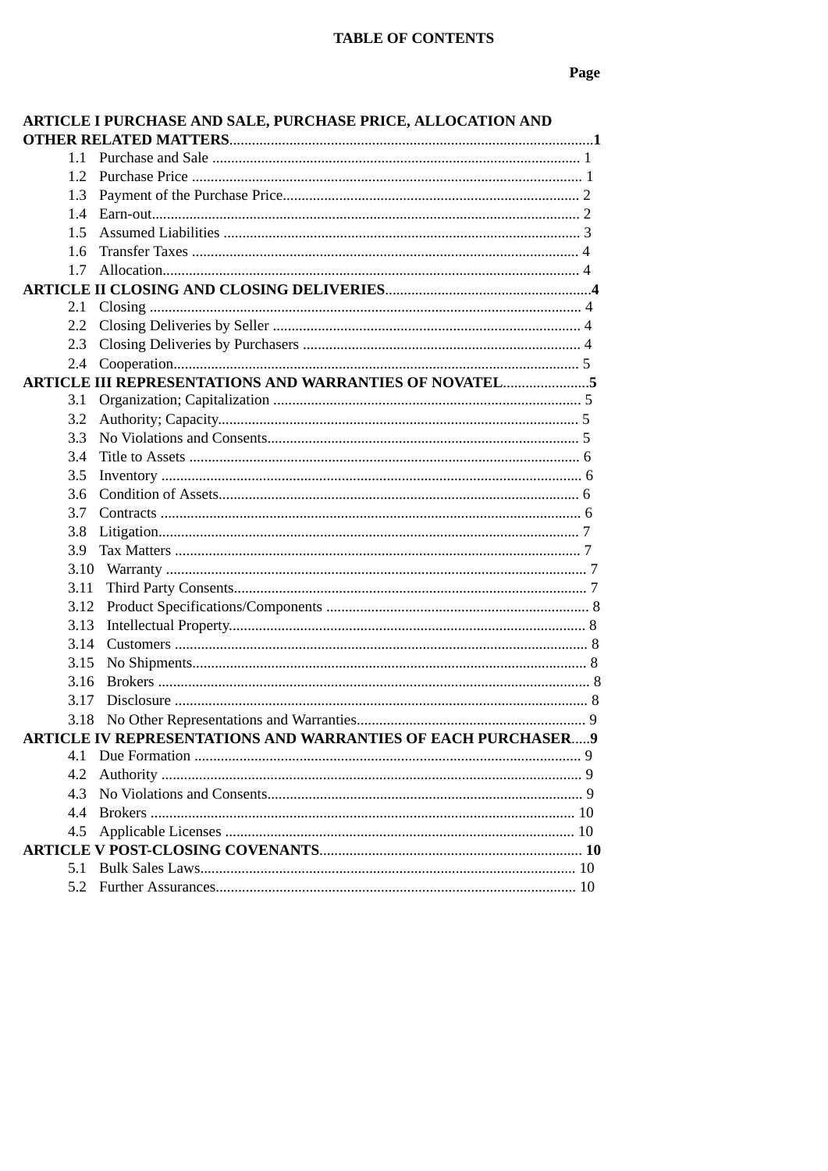# **TABLE OF CONTENTS**

|               | <b>ARTICLE I PURCHASE AND SALE, PURCHASE PRICE, ALLOCATION AND</b>   |
|---------------|----------------------------------------------------------------------|
|               |                                                                      |
| 1.1           |                                                                      |
| $1.2^{\circ}$ |                                                                      |
| 1.3           |                                                                      |
| 1.4           |                                                                      |
| 1.5           |                                                                      |
| 1.6           |                                                                      |
| 1.7           |                                                                      |
|               |                                                                      |
| 2.1           |                                                                      |
| 2.2           |                                                                      |
| 2.3           |                                                                      |
| 2.4           |                                                                      |
|               | ARTICLE III REPRESENTATIONS AND WARRANTIES OF NOVATEL5               |
| 3.1           |                                                                      |
| 3.2           |                                                                      |
| 3.3           |                                                                      |
| 3.4           |                                                                      |
| 3.5           |                                                                      |
| 3.6           |                                                                      |
| 3.7           |                                                                      |
| 3.8           |                                                                      |
| 3.9           |                                                                      |
| 3.10          |                                                                      |
| 3.11          |                                                                      |
| 3.12          |                                                                      |
| 3.13          |                                                                      |
| 3.14          |                                                                      |
| 3.15          |                                                                      |
| 3.16          |                                                                      |
| 3.17          |                                                                      |
| 3.18          |                                                                      |
|               | <b>ARTICLE IV REPRESENTATIONS AND WARRANTIES OF EACH PURCHASER 9</b> |
|               |                                                                      |
| 4.2           |                                                                      |
| 4.3           |                                                                      |
| 4.4           |                                                                      |
|               |                                                                      |
|               |                                                                      |
|               |                                                                      |
|               |                                                                      |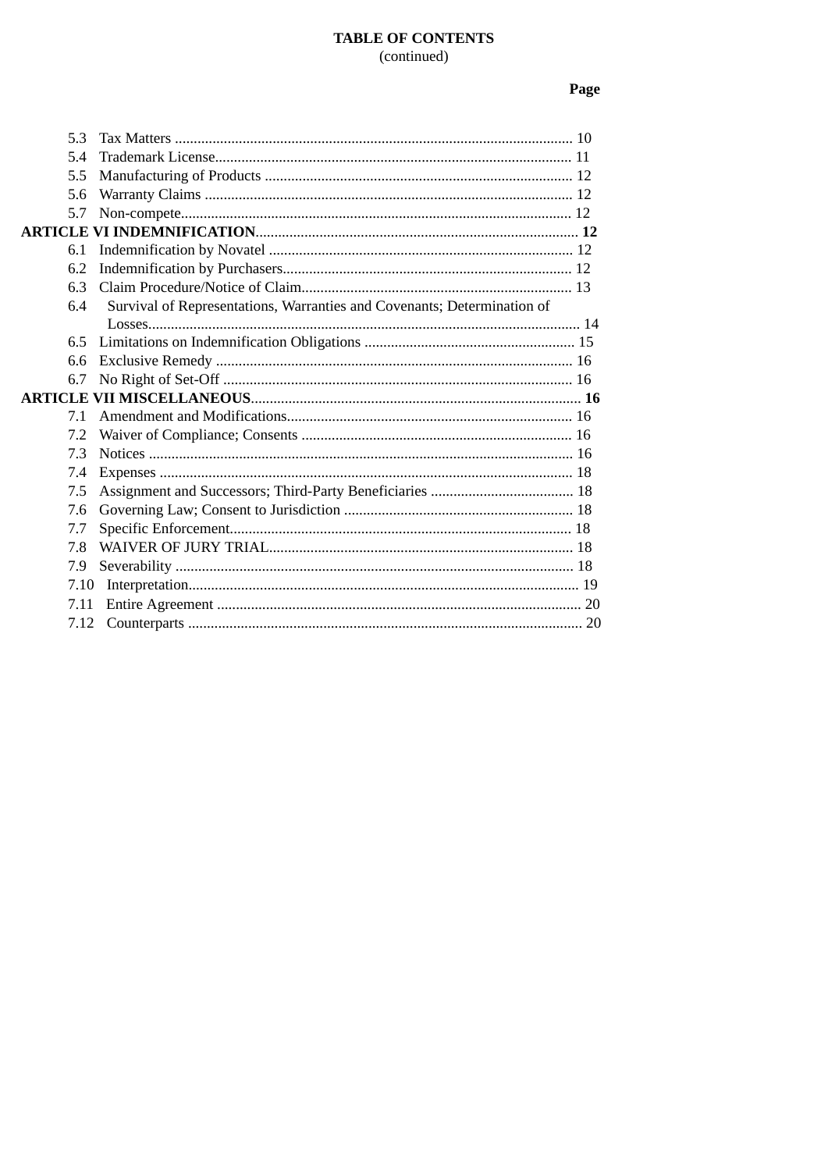# **TABLE OF CONTENTS** (continued)

# Page

| 5.3  |                                                                         |  |
|------|-------------------------------------------------------------------------|--|
| 5.4  |                                                                         |  |
| 5.5  |                                                                         |  |
| 5.6  |                                                                         |  |
| 5.7  |                                                                         |  |
|      |                                                                         |  |
| 6.1  |                                                                         |  |
| 6.2  |                                                                         |  |
| 6.3  |                                                                         |  |
| 6.4  | Survival of Representations, Warranties and Covenants; Determination of |  |
|      |                                                                         |  |
| 6.5  |                                                                         |  |
| 6.6  |                                                                         |  |
| 6.7  |                                                                         |  |
|      |                                                                         |  |
|      |                                                                         |  |
| 7.1  |                                                                         |  |
| 7.2  |                                                                         |  |
| 7.3  |                                                                         |  |
| 7.4  |                                                                         |  |
| 7.5  |                                                                         |  |
| 7.6  |                                                                         |  |
| 7.7  |                                                                         |  |
| 7.8  |                                                                         |  |
| 7.9  |                                                                         |  |
| 7.10 |                                                                         |  |
| 7.11 |                                                                         |  |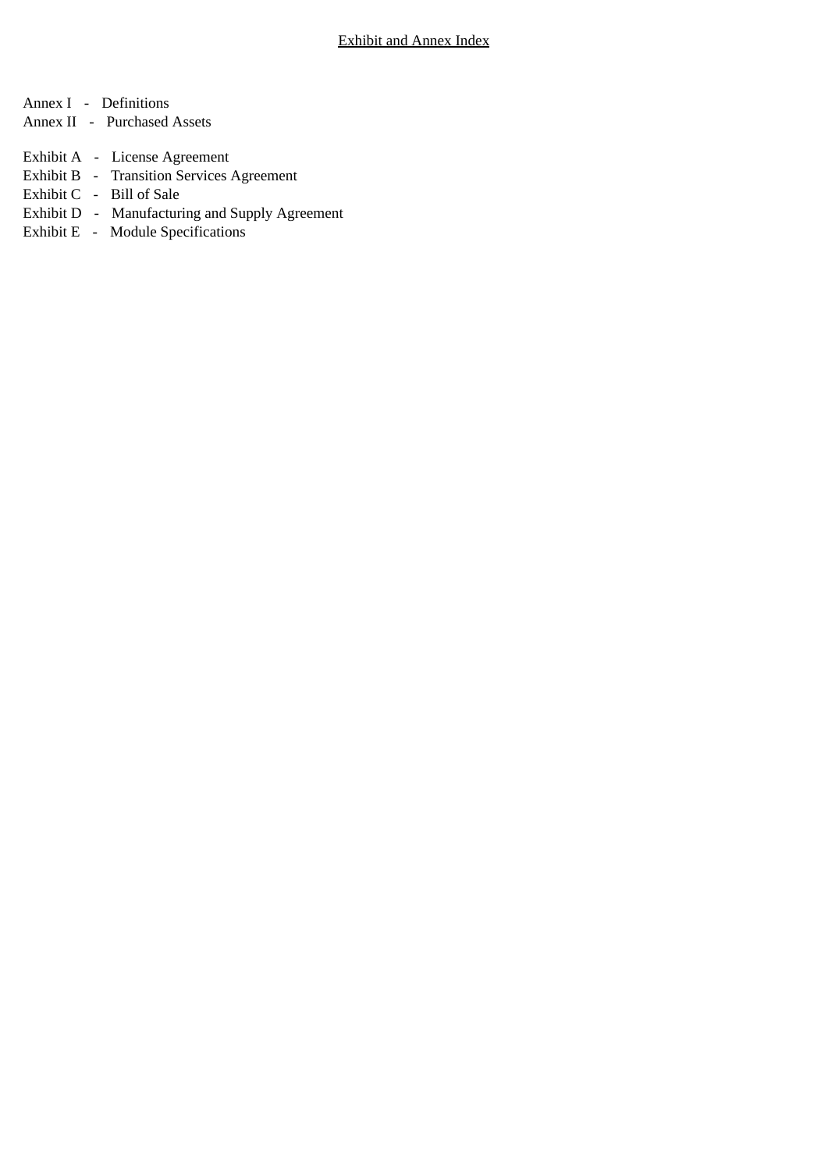| Annex I - Definitions         |
|-------------------------------|
| Annex II - Purchased Assets   |
|                               |
| Exhibit A - License Agreement |

- Exhibit B Transition Services Agreement
- Exhibit C Bill of Sale
- Exhibit D Manufacturing and Supply Agreement
- Exhibit E Module Specifications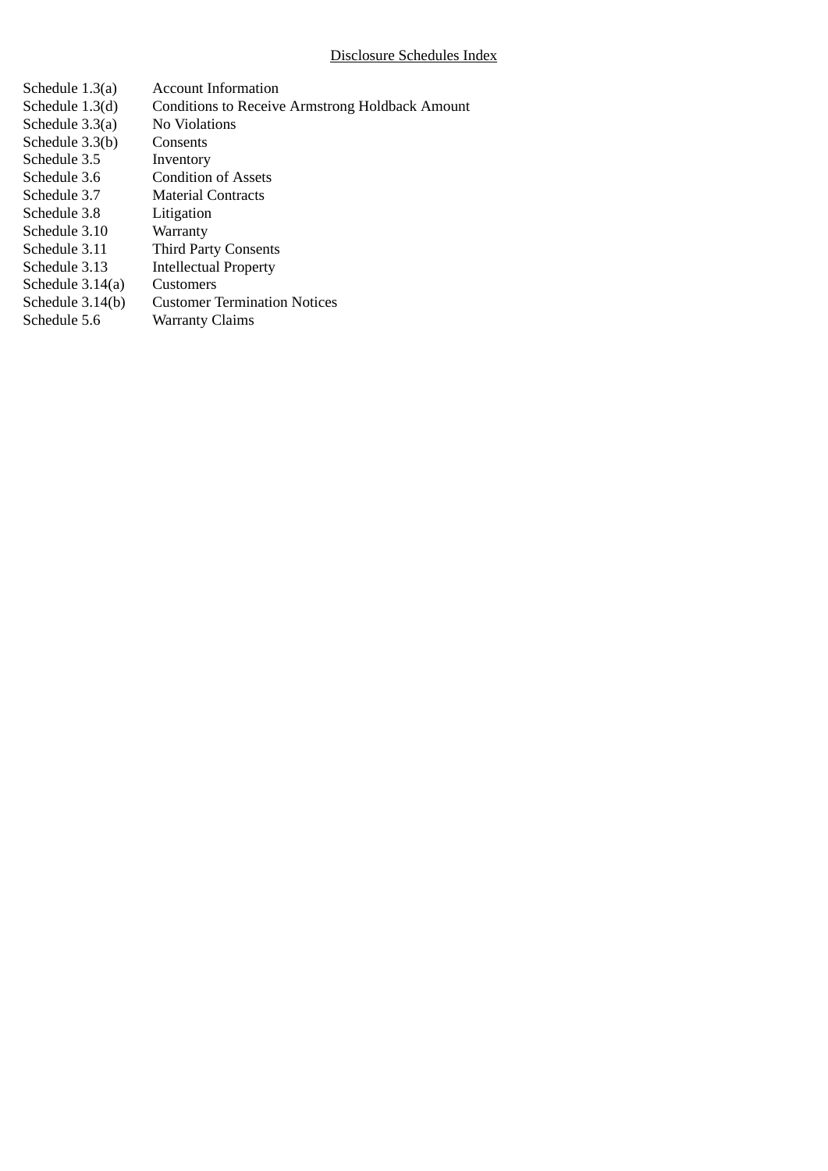# Disclosure Schedules Index

| Schedule 1.3(a)    | Account Information                                    |
|--------------------|--------------------------------------------------------|
| Schedule 1.3(d)    | <b>Conditions to Receive Armstrong Holdback Amount</b> |
| Schedule 3.3(a)    | No Violations                                          |
| Schedule 3.3(b)    | Consents                                               |
| Schedule 3.5       | Inventory                                              |
| Schedule 3.6       | Condition of Assets                                    |
| Schedule 3.7       | <b>Material Contracts</b>                              |
| Schedule 3.8       | Litigation                                             |
| Schedule 3.10      | Warranty                                               |
| Schedule 3.11      | <b>Third Party Consents</b>                            |
| Schedule 3.13      | Intellectual Property                                  |
| Schedule $3.14(a)$ | <b>Customers</b>                                       |
| Schedule 3.14(b)   | <b>Customer Termination Notices</b>                    |
| Schedule 5.6       | Warranty Claims                                        |
|                    |                                                        |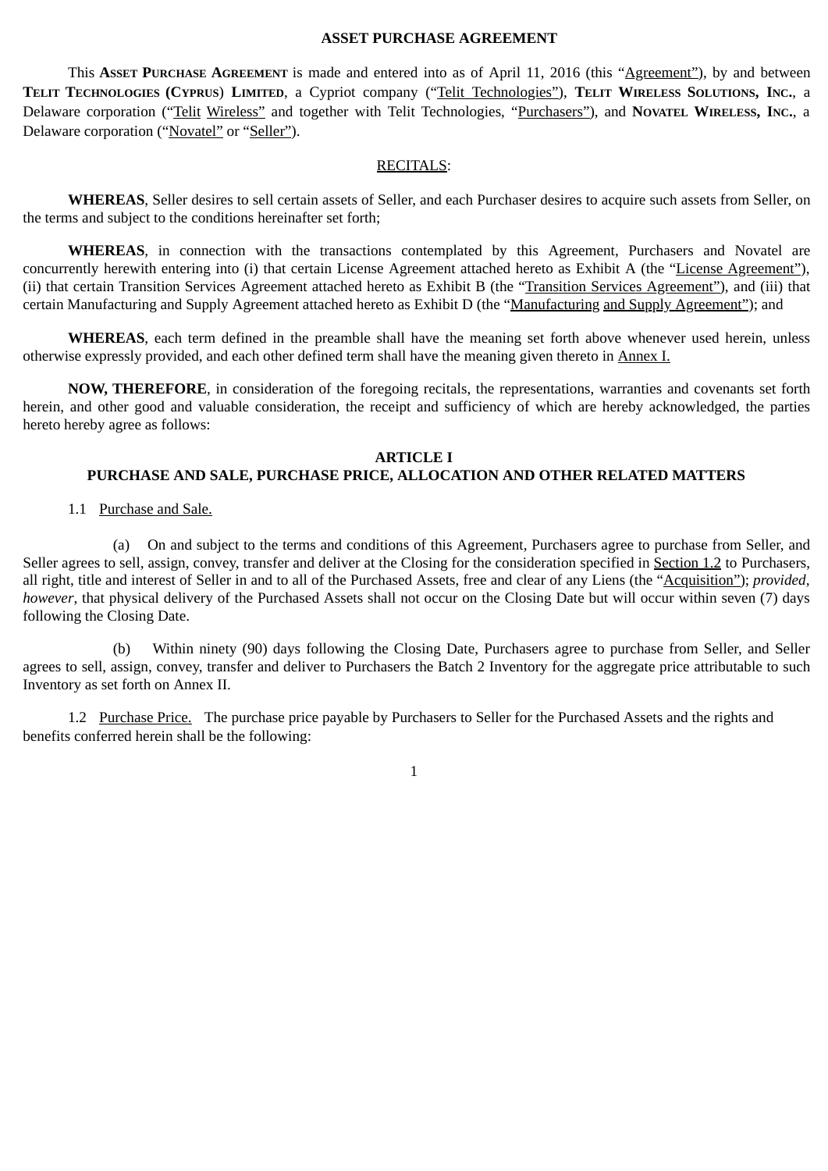### **ASSET PURCHASE AGREEMENT**

This **ASSET PURCHASE AGREEMENT** is made and entered into as of April 11, 2016 (this "Agreement"), by and between TELIT TECHNOLOGIES (CYPRUS) LIMITED, a Cypriot company ("Telit Technologies"), TELIT WIRELESS SOLUTIONS, INC., a Delaware corporation ("Telit Wireless" and together with Telit Technologies, "Purchasers"), and **NOVATEL WIRELESS, INC.**, a Delaware corporation ("Novatel" or "Seller").

#### RECITALS:

**WHEREAS**, Seller desires to sell certain assets of Seller, and each Purchaser desires to acquire such assets from Seller, on the terms and subject to the conditions hereinafter set forth;

**WHEREAS**, in connection with the transactions contemplated by this Agreement, Purchasers and Novatel are concurrently herewith entering into (i) that certain License Agreement attached hereto as Exhibit A (the "License Agreement"), (ii) that certain Transition Services Agreement attached hereto as Exhibit B (the "Transition Services Agreement"), and (iii) that certain Manufacturing and Supply Agreement attached hereto as Exhibit D (the "Manufacturing and Supply Agreement"); and

**WHEREAS**, each term defined in the preamble shall have the meaning set forth above whenever used herein, unless otherwise expressly provided, and each other defined term shall have the meaning given thereto in Annex I.

**NOW, THEREFORE**, in consideration of the foregoing recitals, the representations, warranties and covenants set forth herein, and other good and valuable consideration, the receipt and sufficiency of which are hereby acknowledged, the parties hereto hereby agree as follows:

#### **ARTICLE I**

#### **PURCHASE AND SALE, PURCHASE PRICE, ALLOCATION AND OTHER RELATED MATTERS**

### 1.1 Purchase and Sale.

(a) On and subject to the terms and conditions of this Agreement, Purchasers agree to purchase from Seller, and Seller agrees to sell, assign, convey, transfer and deliver at the Closing for the consideration specified in Section 1.2 to Purchasers, all right, title and interest of Seller in and to all of the Purchased Assets, free and clear of any Liens (the "Acquisition"); *provided, however*, that physical delivery of the Purchased Assets shall not occur on the Closing Date but will occur within seven (7) days following the Closing Date.

(b) Within ninety (90) days following the Closing Date, Purchasers agree to purchase from Seller, and Seller agrees to sell, assign, convey, transfer and deliver to Purchasers the Batch 2 Inventory for the aggregate price attributable to such Inventory as set forth on Annex II.

1.2 Purchase Price. The purchase price payable by Purchasers to Seller for the Purchased Assets and the rights and benefits conferred herein shall be the following: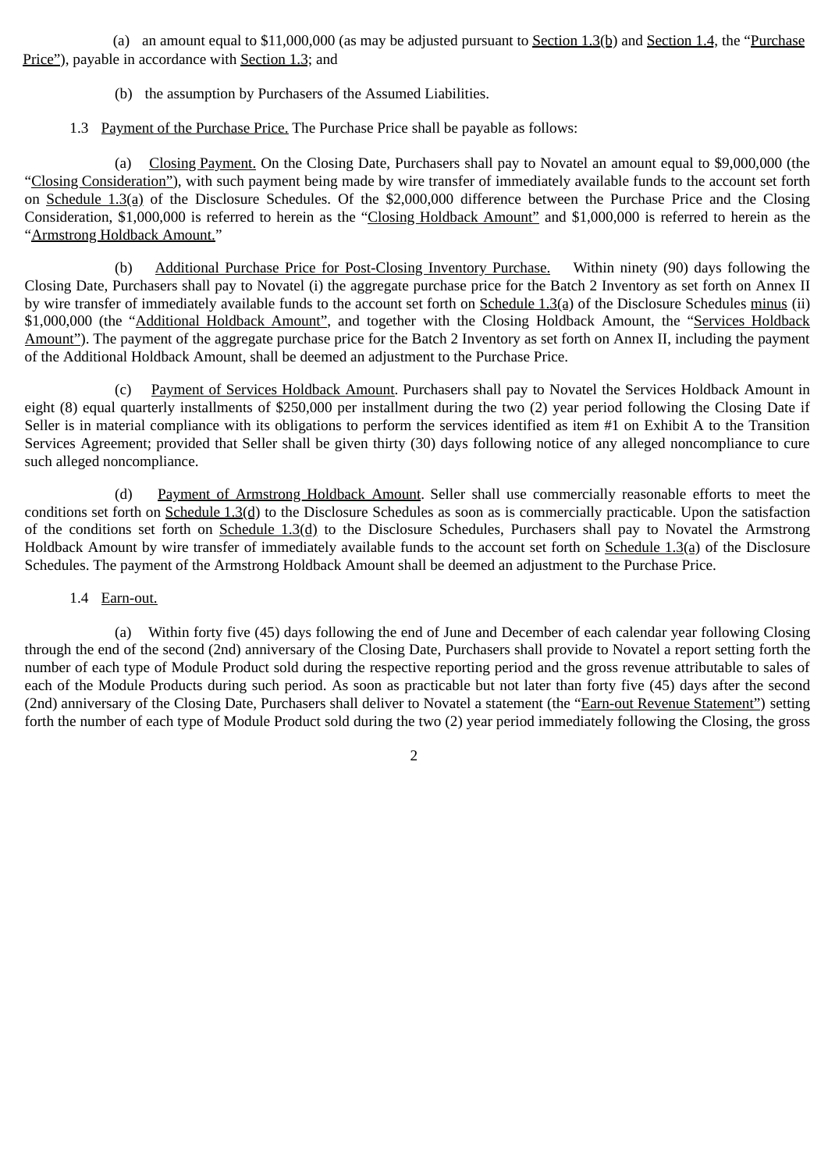(a) an amount equal to \$11,000,000 (as may be adjusted pursuant to Section 1.3(b) and Section 1.4, the "Purchase Price"), payable in accordance with Section 1.3; and

- (b) the assumption by Purchasers of the Assumed Liabilities.
- 1.3 Payment of the Purchase Price. The Purchase Price shall be payable as follows:

(a) Closing Payment. On the Closing Date, Purchasers shall pay to Novatel an amount equal to \$9,000,000 (the "Closing Consideration"), with such payment being made by wire transfer of immediately available funds to the account set forth on Schedule 1.3(a) of the Disclosure Schedules. Of the \$2,000,000 difference between the Purchase Price and the Closing Consideration, \$1,000,000 is referred to herein as the "Closing Holdback Amount" and \$1,000,000 is referred to herein as the "Armstrong Holdback Amount."

(b) Additional Purchase Price for Post-Closing Inventory Purchase. Within ninety (90) days following the Closing Date, Purchasers shall pay to Novatel (i) the aggregate purchase price for the Batch 2 Inventory as set forth on Annex II by wire transfer of immediately available funds to the account set forth on Schedule 1.3(a) of the Disclosure Schedules minus (ii) \$1,000,000 (the "Additional Holdback Amount", and together with the Closing Holdback Amount, the "Services Holdback Amount"). The payment of the aggregate purchase price for the Batch 2 Inventory as set forth on Annex II, including the payment of the Additional Holdback Amount, shall be deemed an adjustment to the Purchase Price.

(c) Payment of Services Holdback Amount. Purchasers shall pay to Novatel the Services Holdback Amount in eight (8) equal quarterly installments of \$250,000 per installment during the two (2) year period following the Closing Date if Seller is in material compliance with its obligations to perform the services identified as item #1 on Exhibit A to the Transition Services Agreement; provided that Seller shall be given thirty (30) days following notice of any alleged noncompliance to cure such alleged noncompliance.

(d) Payment of Armstrong Holdback Amount. Seller shall use commercially reasonable efforts to meet the conditions set forth on Schedule 1.3(d) to the Disclosure Schedules as soon as is commercially practicable. Upon the satisfaction of the conditions set forth on Schedule 1.3(d) to the Disclosure Schedules, Purchasers shall pay to Novatel the Armstrong Holdback Amount by wire transfer of immediately available funds to the account set forth on Schedule 1.3(a) of the Disclosure Schedules. The payment of the Armstrong Holdback Amount shall be deemed an adjustment to the Purchase Price.

## 1.4 Earn-out.

(a) Within forty five (45) days following the end of June and December of each calendar year following Closing through the end of the second (2nd) anniversary of the Closing Date, Purchasers shall provide to Novatel a report setting forth the number of each type of Module Product sold during the respective reporting period and the gross revenue attributable to sales of each of the Module Products during such period. As soon as practicable but not later than forty five (45) days after the second (2nd) anniversary of the Closing Date, Purchasers shall deliver to Novatel a statement (the "Earn-out Revenue Statement") setting forth the number of each type of Module Product sold during the two (2) year period immediately following the Closing, the gross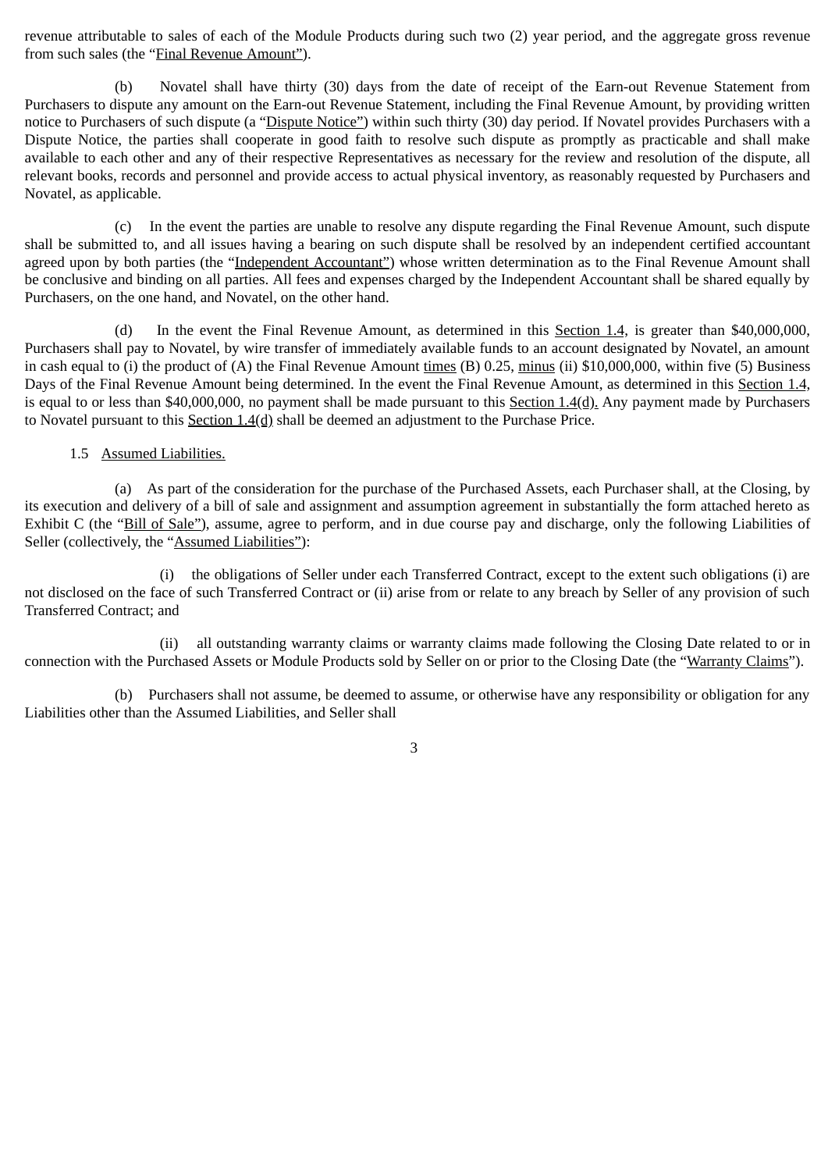revenue attributable to sales of each of the Module Products during such two (2) year period, and the aggregate gross revenue from such sales (the "Final Revenue Amount").

(b) Novatel shall have thirty (30) days from the date of receipt of the Earn-out Revenue Statement from Purchasers to dispute any amount on the Earn-out Revenue Statement, including the Final Revenue Amount, by providing written notice to Purchasers of such dispute (a "Dispute Notice") within such thirty (30) day period. If Novatel provides Purchasers with a Dispute Notice, the parties shall cooperate in good faith to resolve such dispute as promptly as practicable and shall make available to each other and any of their respective Representatives as necessary for the review and resolution of the dispute, all relevant books, records and personnel and provide access to actual physical inventory, as reasonably requested by Purchasers and Novatel, as applicable.

(c) In the event the parties are unable to resolve any dispute regarding the Final Revenue Amount, such dispute shall be submitted to, and all issues having a bearing on such dispute shall be resolved by an independent certified accountant agreed upon by both parties (the "Independent Accountant") whose written determination as to the Final Revenue Amount shall be conclusive and binding on all parties. All fees and expenses charged by the Independent Accountant shall be shared equally by Purchasers, on the one hand, and Novatel, on the other hand.

(d) In the event the Final Revenue Amount, as determined in this Section 1.4, is greater than \$40,000,000, Purchasers shall pay to Novatel, by wire transfer of immediately available funds to an account designated by Novatel, an amount in cash equal to (i) the product of  $(A)$  the Final Revenue Amount times  $(B)$  0.25, minus (ii) \$10,000,000, within five (5) Business Days of the Final Revenue Amount being determined. In the event the Final Revenue Amount, as determined in this Section 1.4, is equal to or less than \$40,000,000, no payment shall be made pursuant to this Section 1.4(d). Any payment made by Purchasers to Novatel pursuant to this Section 1.4(d) shall be deemed an adjustment to the Purchase Price.

## 1.5 Assumed Liabilities.

(a) As part of the consideration for the purchase of the Purchased Assets, each Purchaser shall, at the Closing, by its execution and delivery of a bill of sale and assignment and assumption agreement in substantially the form attached hereto as Exhibit C (the "Bill of Sale"), assume, agree to perform, and in due course pay and discharge, only the following Liabilities of Seller (collectively, the "Assumed Liabilities"):

(i) the obligations of Seller under each Transferred Contract, except to the extent such obligations (i) are not disclosed on the face of such Transferred Contract or (ii) arise from or relate to any breach by Seller of any provision of such Transferred Contract; and

(ii) all outstanding warranty claims or warranty claims made following the Closing Date related to or in connection with the Purchased Assets or Module Products sold by Seller on or prior to the Closing Date (the "Warranty Claims").

(b) Purchasers shall not assume, be deemed to assume, or otherwise have any responsibility or obligation for any Liabilities other than the Assumed Liabilities, and Seller shall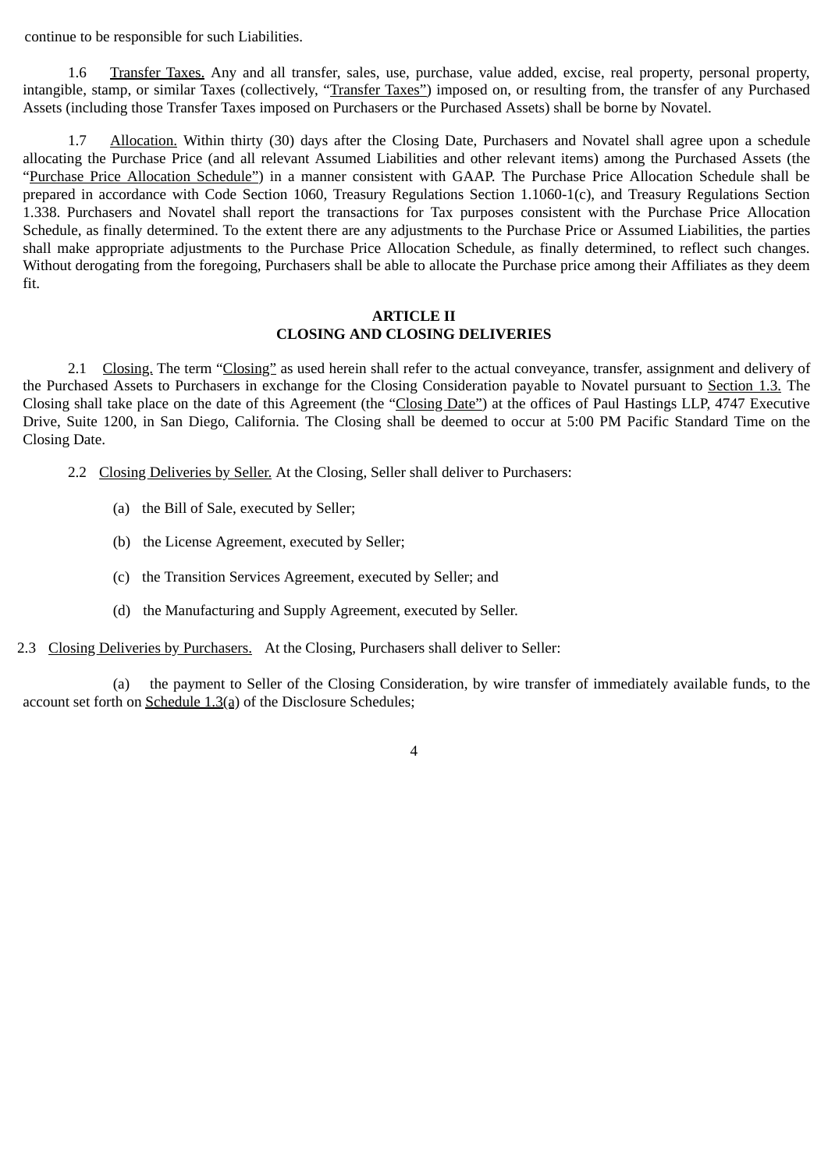continue to be responsible for such Liabilities.

1.6 Transfer Taxes. Any and all transfer, sales, use, purchase, value added, excise, real property, personal property, intangible, stamp, or similar Taxes (collectively, "Transfer Taxes") imposed on, or resulting from, the transfer of any Purchased Assets (including those Transfer Taxes imposed on Purchasers or the Purchased Assets) shall be borne by Novatel.

1.7 Allocation. Within thirty (30) days after the Closing Date, Purchasers and Novatel shall agree upon a schedule allocating the Purchase Price (and all relevant Assumed Liabilities and other relevant items) among the Purchased Assets (the "Purchase Price Allocation Schedule") in a manner consistent with GAAP. The Purchase Price Allocation Schedule shall be prepared in accordance with Code Section 1060, Treasury Regulations Section 1.1060-1(c), and Treasury Regulations Section 1.338. Purchasers and Novatel shall report the transactions for Tax purposes consistent with the Purchase Price Allocation Schedule, as finally determined. To the extent there are any adjustments to the Purchase Price or Assumed Liabilities, the parties shall make appropriate adjustments to the Purchase Price Allocation Schedule, as finally determined, to reflect such changes. Without derogating from the foregoing, Purchasers shall be able to allocate the Purchase price among their Affiliates as they deem fit.

## **ARTICLE II CLOSING AND CLOSING DELIVERIES**

2.1 Closing. The term "Closing" as used herein shall refer to the actual conveyance, transfer, assignment and delivery of the Purchased Assets to Purchasers in exchange for the Closing Consideration payable to Novatel pursuant to Section 1.3. The Closing shall take place on the date of this Agreement (the "Closing Date") at the offices of Paul Hastings LLP, 4747 Executive Drive, Suite 1200, in San Diego, California. The Closing shall be deemed to occur at 5:00 PM Pacific Standard Time on the Closing Date.

- 2.2 Closing Deliveries by Seller. At the Closing, Seller shall deliver to Purchasers:
	- (a) the Bill of Sale, executed by Seller;
	- (b) the License Agreement, executed by Seller;
	- (c) the Transition Services Agreement, executed by Seller; and
	- (d) the Manufacturing and Supply Agreement, executed by Seller.
- 2.3 Closing Deliveries by Purchasers. At the Closing, Purchasers shall deliver to Seller:

(a) the payment to Seller of the Closing Consideration, by wire transfer of immediately available funds, to the account set forth on Schedule 1.3(a) of the Disclosure Schedules;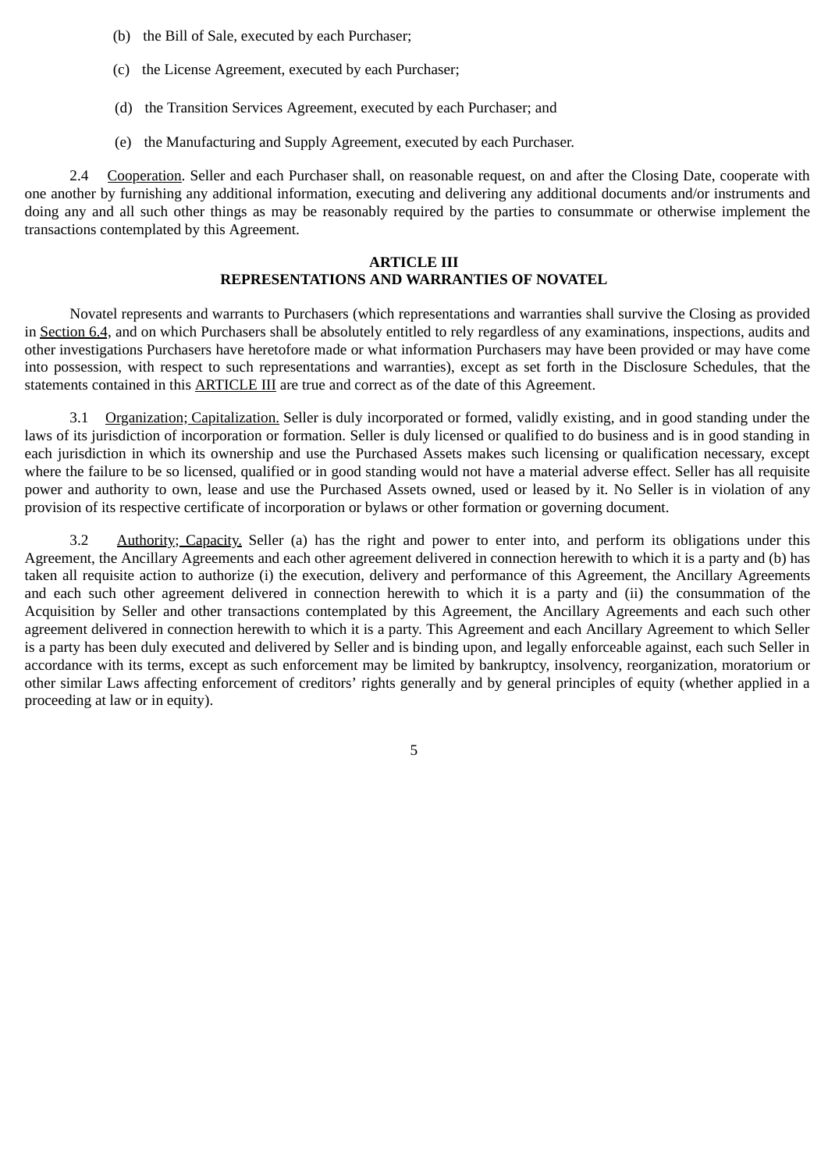- (b) the Bill of Sale, executed by each Purchaser;
- (c) the License Agreement, executed by each Purchaser;
- (d) the Transition Services Agreement, executed by each Purchaser; and
- (e) the Manufacturing and Supply Agreement, executed by each Purchaser.

2.4 Cooperation. Seller and each Purchaser shall, on reasonable request, on and after the Closing Date, cooperate with one another by furnishing any additional information, executing and delivering any additional documents and/or instruments and doing any and all such other things as may be reasonably required by the parties to consummate or otherwise implement the transactions contemplated by this Agreement.

#### **ARTICLE III**

# **REPRESENTATIONS AND WARRANTIES OF NOVATEL**

Novatel represents and warrants to Purchasers (which representations and warranties shall survive the Closing as provided in Section 6.4, and on which Purchasers shall be absolutely entitled to rely regardless of any examinations, inspections, audits and other investigations Purchasers have heretofore made or what information Purchasers may have been provided or may have come into possession, with respect to such representations and warranties), except as set forth in the Disclosure Schedules, that the statements contained in this **ARTICLE III** are true and correct as of the date of this Agreement.

3.1 Organization; Capitalization. Seller is duly incorporated or formed, validly existing, and in good standing under the laws of its jurisdiction of incorporation or formation. Seller is duly licensed or qualified to do business and is in good standing in each jurisdiction in which its ownership and use the Purchased Assets makes such licensing or qualification necessary, except where the failure to be so licensed, qualified or in good standing would not have a material adverse effect. Seller has all requisite power and authority to own, lease and use the Purchased Assets owned, used or leased by it. No Seller is in violation of any provision of its respective certificate of incorporation or bylaws or other formation or governing document.

3.2 Authority; Capacity. Seller (a) has the right and power to enter into, and perform its obligations under this Agreement, the Ancillary Agreements and each other agreement delivered in connection herewith to which it is a party and (b) has taken all requisite action to authorize (i) the execution, delivery and performance of this Agreement, the Ancillary Agreements and each such other agreement delivered in connection herewith to which it is a party and (ii) the consummation of the Acquisition by Seller and other transactions contemplated by this Agreement, the Ancillary Agreements and each such other agreement delivered in connection herewith to which it is a party. This Agreement and each Ancillary Agreement to which Seller is a party has been duly executed and delivered by Seller and is binding upon, and legally enforceable against, each such Seller in accordance with its terms, except as such enforcement may be limited by bankruptcy, insolvency, reorganization, moratorium or other similar Laws affecting enforcement of creditors' rights generally and by general principles of equity (whether applied in a proceeding at law or in equity).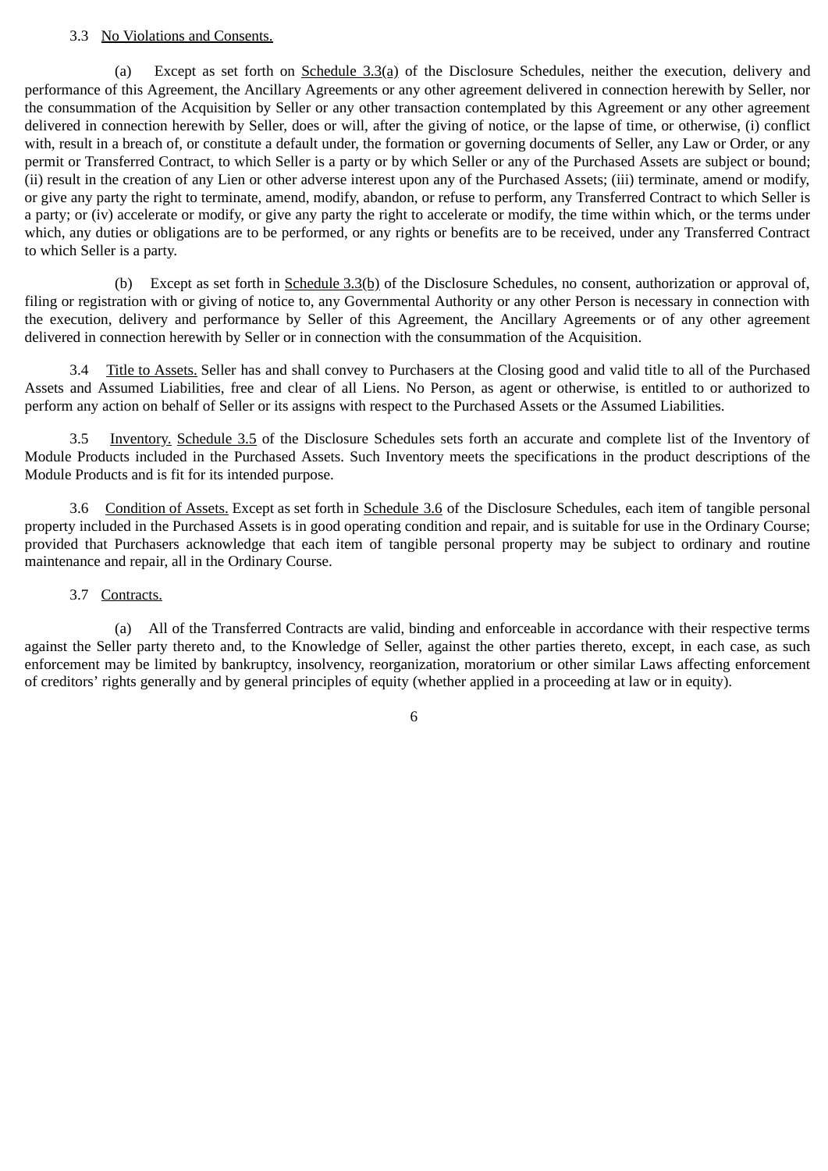#### 3.3 No Violations and Consents.

(a) Except as set forth on Schedule 3.3(a) of the Disclosure Schedules, neither the execution, delivery and performance of this Agreement, the Ancillary Agreements or any other agreement delivered in connection herewith by Seller, nor the consummation of the Acquisition by Seller or any other transaction contemplated by this Agreement or any other agreement delivered in connection herewith by Seller, does or will, after the giving of notice, or the lapse of time, or otherwise, (i) conflict with, result in a breach of, or constitute a default under, the formation or governing documents of Seller, any Law or Order, or any permit or Transferred Contract, to which Seller is a party or by which Seller or any of the Purchased Assets are subject or bound; (ii) result in the creation of any Lien or other adverse interest upon any of the Purchased Assets; (iii) terminate, amend or modify, or give any party the right to terminate, amend, modify, abandon, or refuse to perform, any Transferred Contract to which Seller is a party; or (iv) accelerate or modify, or give any party the right to accelerate or modify, the time within which, or the terms under which, any duties or obligations are to be performed, or any rights or benefits are to be received, under any Transferred Contract to which Seller is a party.

(b) Except as set forth in Schedule 3.3(b) of the Disclosure Schedules, no consent, authorization or approval of, filing or registration with or giving of notice to, any Governmental Authority or any other Person is necessary in connection with the execution, delivery and performance by Seller of this Agreement, the Ancillary Agreements or of any other agreement delivered in connection herewith by Seller or in connection with the consummation of the Acquisition.

3.4 Title to Assets. Seller has and shall convey to Purchasers at the Closing good and valid title to all of the Purchased Assets and Assumed Liabilities, free and clear of all Liens. No Person, as agent or otherwise, is entitled to or authorized to perform any action on behalf of Seller or its assigns with respect to the Purchased Assets or the Assumed Liabilities.

3.5 Inventory. Schedule 3.5 of the Disclosure Schedules sets forth an accurate and complete list of the Inventory of Module Products included in the Purchased Assets. Such Inventory meets the specifications in the product descriptions of the Module Products and is fit for its intended purpose.

3.6 Condition of Assets. Except as set forth in Schedule 3.6 of the Disclosure Schedules, each item of tangible personal property included in the Purchased Assets is in good operating condition and repair, and is suitable for use in the Ordinary Course; provided that Purchasers acknowledge that each item of tangible personal property may be subject to ordinary and routine maintenance and repair, all in the Ordinary Course.

## 3.7 Contracts.

(a) All of the Transferred Contracts are valid, binding and enforceable in accordance with their respective terms against the Seller party thereto and, to the Knowledge of Seller, against the other parties thereto, except, in each case, as such enforcement may be limited by bankruptcy, insolvency, reorganization, moratorium or other similar Laws affecting enforcement of creditors' rights generally and by general principles of equity (whether applied in a proceeding at law or in equity).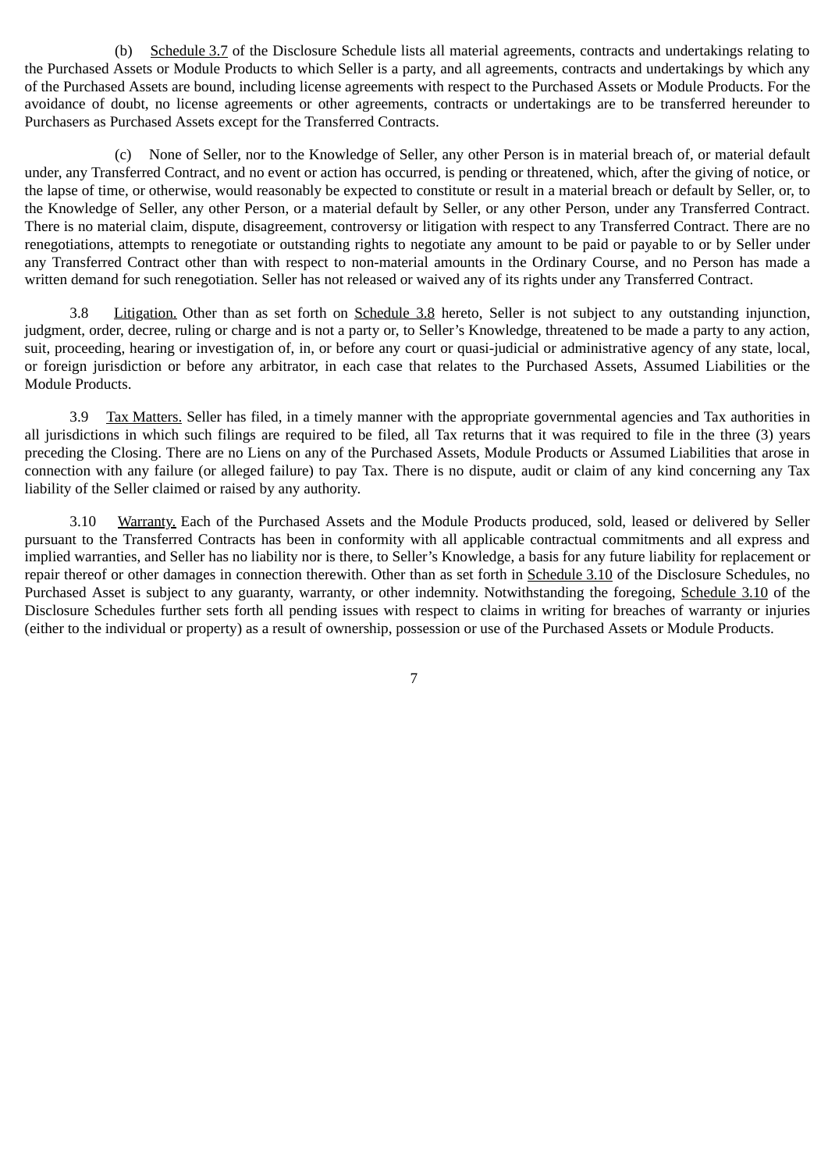(b) Schedule 3.7 of the Disclosure Schedule lists all material agreements, contracts and undertakings relating to the Purchased Assets or Module Products to which Seller is a party, and all agreements, contracts and undertakings by which any of the Purchased Assets are bound, including license agreements with respect to the Purchased Assets or Module Products. For the avoidance of doubt, no license agreements or other agreements, contracts or undertakings are to be transferred hereunder to Purchasers as Purchased Assets except for the Transferred Contracts.

(c) None of Seller, nor to the Knowledge of Seller, any other Person is in material breach of, or material default under, any Transferred Contract, and no event or action has occurred, is pending or threatened, which, after the giving of notice, or the lapse of time, or otherwise, would reasonably be expected to constitute or result in a material breach or default by Seller, or, to the Knowledge of Seller, any other Person, or a material default by Seller, or any other Person, under any Transferred Contract. There is no material claim, dispute, disagreement, controversy or litigation with respect to any Transferred Contract. There are no renegotiations, attempts to renegotiate or outstanding rights to negotiate any amount to be paid or payable to or by Seller under any Transferred Contract other than with respect to non-material amounts in the Ordinary Course, and no Person has made a written demand for such renegotiation. Seller has not released or waived any of its rights under any Transferred Contract.

3.8 Litigation. Other than as set forth on Schedule 3.8 hereto, Seller is not subject to any outstanding injunction, judgment, order, decree, ruling or charge and is not a party or, to Seller's Knowledge, threatened to be made a party to any action, suit, proceeding, hearing or investigation of, in, or before any court or quasi-judicial or administrative agency of any state, local, or foreign jurisdiction or before any arbitrator, in each case that relates to the Purchased Assets, Assumed Liabilities or the Module Products.

3.9 Tax Matters. Seller has filed, in a timely manner with the appropriate governmental agencies and Tax authorities in all jurisdictions in which such filings are required to be filed, all Tax returns that it was required to file in the three (3) years preceding the Closing. There are no Liens on any of the Purchased Assets, Module Products or Assumed Liabilities that arose in connection with any failure (or alleged failure) to pay Tax. There is no dispute, audit or claim of any kind concerning any Tax liability of the Seller claimed or raised by any authority.

3.10 Warranty. Each of the Purchased Assets and the Module Products produced, sold, leased or delivered by Seller pursuant to the Transferred Contracts has been in conformity with all applicable contractual commitments and all express and implied warranties, and Seller has no liability nor is there, to Seller's Knowledge, a basis for any future liability for replacement or repair thereof or other damages in connection therewith. Other than as set forth in Schedule 3.10 of the Disclosure Schedules, no Purchased Asset is subject to any guaranty, warranty, or other indemnity. Notwithstanding the foregoing, Schedule 3.10 of the Disclosure Schedules further sets forth all pending issues with respect to claims in writing for breaches of warranty or injuries (either to the individual or property) as a result of ownership, possession or use of the Purchased Assets or Module Products.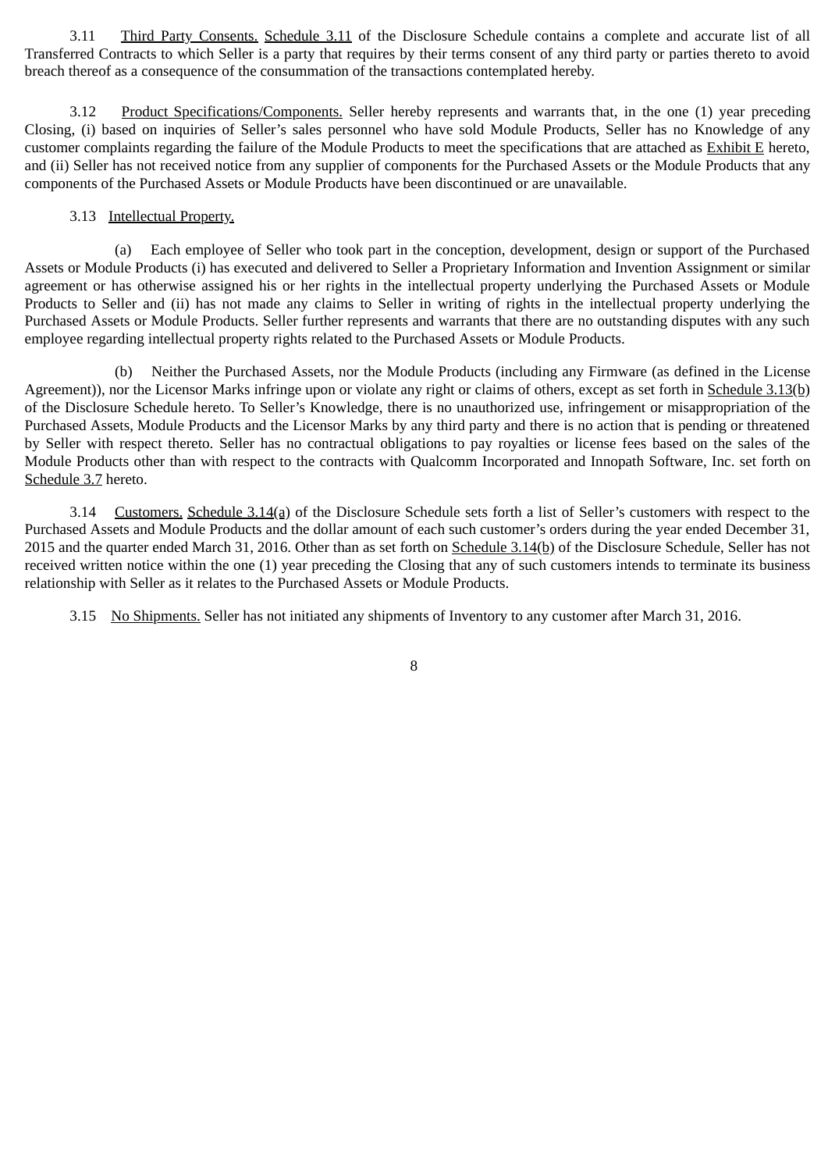3.11 Third Party Consents. Schedule 3.11 of the Disclosure Schedule contains a complete and accurate list of all Transferred Contracts to which Seller is a party that requires by their terms consent of any third party or parties thereto to avoid breach thereof as a consequence of the consummation of the transactions contemplated hereby.

3.12 Product Specifications/Components. Seller hereby represents and warrants that, in the one (1) year preceding Closing, (i) based on inquiries of Seller's sales personnel who have sold Module Products, Seller has no Knowledge of any customer complaints regarding the failure of the Module Products to meet the specifications that are attached as Exhibit E hereto, and (ii) Seller has not received notice from any supplier of components for the Purchased Assets or the Module Products that any components of the Purchased Assets or Module Products have been discontinued or are unavailable.

## 3.13 Intellectual Property.

(a) Each employee of Seller who took part in the conception, development, design or support of the Purchased Assets or Module Products (i) has executed and delivered to Seller a Proprietary Information and Invention Assignment or similar agreement or has otherwise assigned his or her rights in the intellectual property underlying the Purchased Assets or Module Products to Seller and (ii) has not made any claims to Seller in writing of rights in the intellectual property underlying the Purchased Assets or Module Products. Seller further represents and warrants that there are no outstanding disputes with any such employee regarding intellectual property rights related to the Purchased Assets or Module Products.

(b) Neither the Purchased Assets, nor the Module Products (including any Firmware (as defined in the License Agreement)), nor the Licensor Marks infringe upon or violate any right or claims of others, except as set forth in Schedule 3.13(b) of the Disclosure Schedule hereto. To Seller's Knowledge, there is no unauthorized use, infringement or misappropriation of the Purchased Assets, Module Products and the Licensor Marks by any third party and there is no action that is pending or threatened by Seller with respect thereto. Seller has no contractual obligations to pay royalties or license fees based on the sales of the Module Products other than with respect to the contracts with Qualcomm Incorporated and Innopath Software, Inc. set forth on Schedule 3.7 hereto.

3.14 Customers. Schedule 3.14(a) of the Disclosure Schedule sets forth a list of Seller's customers with respect to the Purchased Assets and Module Products and the dollar amount of each such customer's orders during the year ended December 31, 2015 and the quarter ended March 31, 2016. Other than as set forth on Schedule 3.14(b) of the Disclosure Schedule, Seller has not received written notice within the one (1) year preceding the Closing that any of such customers intends to terminate its business relationship with Seller as it relates to the Purchased Assets or Module Products.

3.15 No Shipments. Seller has not initiated any shipments of Inventory to any customer after March 31, 2016.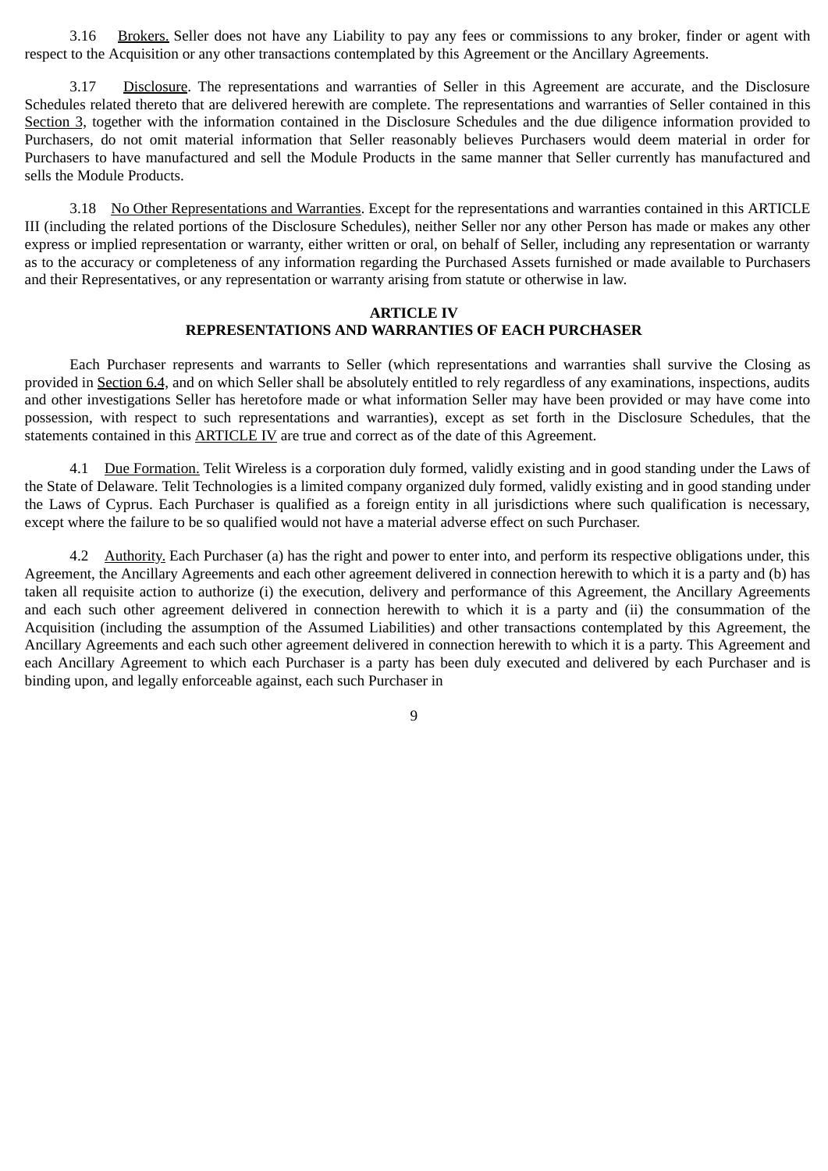3.16 Brokers. Seller does not have any Liability to pay any fees or commissions to any broker, finder or agent with respect to the Acquisition or any other transactions contemplated by this Agreement or the Ancillary Agreements.

3.17 Disclosure. The representations and warranties of Seller in this Agreement are accurate, and the Disclosure Schedules related thereto that are delivered herewith are complete. The representations and warranties of Seller contained in this Section 3, together with the information contained in the Disclosure Schedules and the due diligence information provided to Purchasers, do not omit material information that Seller reasonably believes Purchasers would deem material in order for Purchasers to have manufactured and sell the Module Products in the same manner that Seller currently has manufactured and sells the Module Products.

3.18 No Other Representations and Warranties. Except for the representations and warranties contained in this ARTICLE III (including the related portions of the Disclosure Schedules), neither Seller nor any other Person has made or makes any other express or implied representation or warranty, either written or oral, on behalf of Seller, including any representation or warranty as to the accuracy or completeness of any information regarding the Purchased Assets furnished or made available to Purchasers and their Representatives, or any representation or warranty arising from statute or otherwise in law.

## **ARTICLE IV REPRESENTATIONS AND WARRANTIES OF EACH PURCHASER**

Each Purchaser represents and warrants to Seller (which representations and warranties shall survive the Closing as provided in Section 6.4, and on which Seller shall be absolutely entitled to rely regardless of any examinations, inspections, audits and other investigations Seller has heretofore made or what information Seller may have been provided or may have come into possession, with respect to such representations and warranties), except as set forth in the Disclosure Schedules, that the statements contained in this ARTICLE IV are true and correct as of the date of this Agreement.

4.1 Due Formation. Telit Wireless is a corporation duly formed, validly existing and in good standing under the Laws of the State of Delaware. Telit Technologies is a limited company organized duly formed, validly existing and in good standing under the Laws of Cyprus. Each Purchaser is qualified as a foreign entity in all jurisdictions where such qualification is necessary, except where the failure to be so qualified would not have a material adverse effect on such Purchaser.

4.2 Authority. Each Purchaser (a) has the right and power to enter into, and perform its respective obligations under, this Agreement, the Ancillary Agreements and each other agreement delivered in connection herewith to which it is a party and (b) has taken all requisite action to authorize (i) the execution, delivery and performance of this Agreement, the Ancillary Agreements and each such other agreement delivered in connection herewith to which it is a party and (ii) the consummation of the Acquisition (including the assumption of the Assumed Liabilities) and other transactions contemplated by this Agreement, the Ancillary Agreements and each such other agreement delivered in connection herewith to which it is a party. This Agreement and each Ancillary Agreement to which each Purchaser is a party has been duly executed and delivered by each Purchaser and is binding upon, and legally enforceable against, each such Purchaser in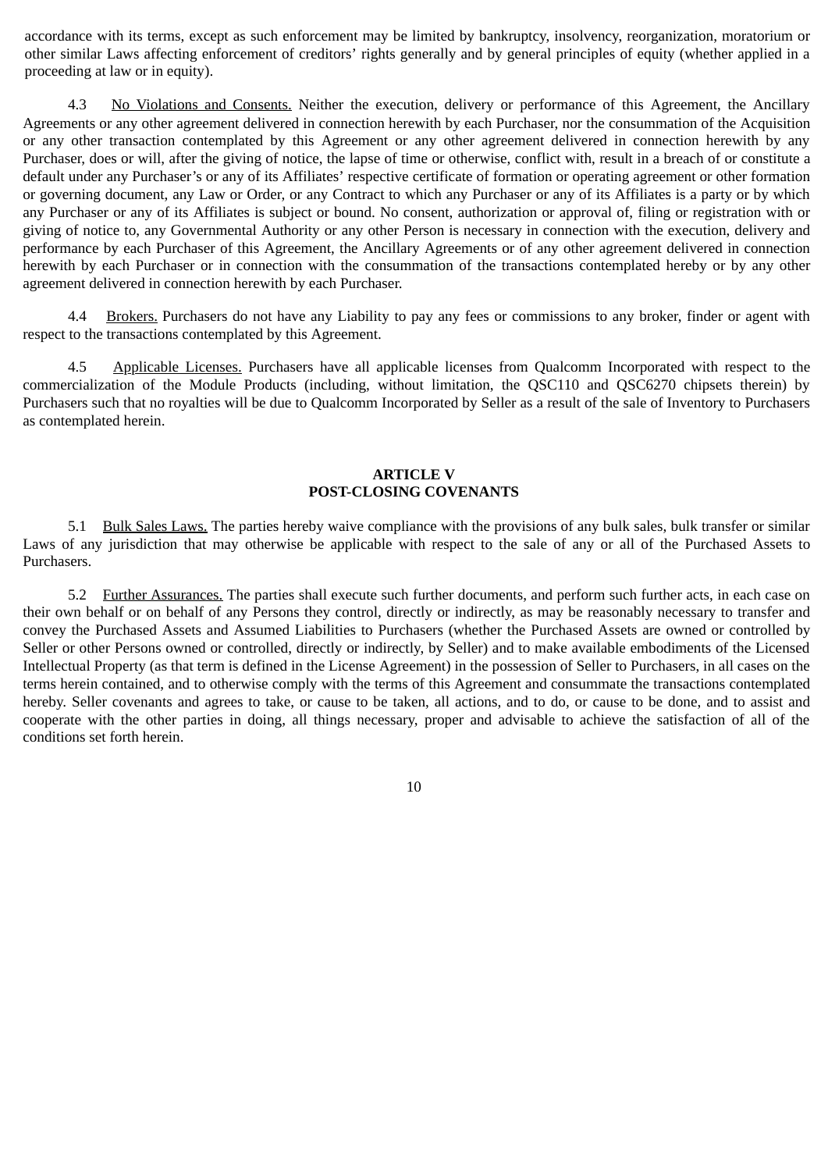accordance with its terms, except as such enforcement may be limited by bankruptcy, insolvency, reorganization, moratorium or other similar Laws affecting enforcement of creditors' rights generally and by general principles of equity (whether applied in a proceeding at law or in equity).

4.3 No Violations and Consents. Neither the execution, delivery or performance of this Agreement, the Ancillary Agreements or any other agreement delivered in connection herewith by each Purchaser, nor the consummation of the Acquisition or any other transaction contemplated by this Agreement or any other agreement delivered in connection herewith by any Purchaser, does or will, after the giving of notice, the lapse of time or otherwise, conflict with, result in a breach of or constitute a default under any Purchaser's or any of its Affiliates' respective certificate of formation or operating agreement or other formation or governing document, any Law or Order, or any Contract to which any Purchaser or any of its Affiliates is a party or by which any Purchaser or any of its Affiliates is subject or bound. No consent, authorization or approval of, filing or registration with or giving of notice to, any Governmental Authority or any other Person is necessary in connection with the execution, delivery and performance by each Purchaser of this Agreement, the Ancillary Agreements or of any other agreement delivered in connection herewith by each Purchaser or in connection with the consummation of the transactions contemplated hereby or by any other agreement delivered in connection herewith by each Purchaser.

4.4 Brokers. Purchasers do not have any Liability to pay any fees or commissions to any broker, finder or agent with respect to the transactions contemplated by this Agreement.

4.5 Applicable Licenses. Purchasers have all applicable licenses from Qualcomm Incorporated with respect to the commercialization of the Module Products (including, without limitation, the QSC110 and QSC6270 chipsets therein) by Purchasers such that no royalties will be due to Qualcomm Incorporated by Seller as a result of the sale of Inventory to Purchasers as contemplated herein.

### **ARTICLE V POST-CLOSING COVENANTS**

5.1 Bulk Sales Laws. The parties hereby waive compliance with the provisions of any bulk sales, bulk transfer or similar Laws of any jurisdiction that may otherwise be applicable with respect to the sale of any or all of the Purchased Assets to Purchasers.

5.2 Further Assurances. The parties shall execute such further documents, and perform such further acts, in each case on their own behalf or on behalf of any Persons they control, directly or indirectly, as may be reasonably necessary to transfer and convey the Purchased Assets and Assumed Liabilities to Purchasers (whether the Purchased Assets are owned or controlled by Seller or other Persons owned or controlled, directly or indirectly, by Seller) and to make available embodiments of the Licensed Intellectual Property (as that term is defined in the License Agreement) in the possession of Seller to Purchasers, in all cases on the terms herein contained, and to otherwise comply with the terms of this Agreement and consummate the transactions contemplated hereby. Seller covenants and agrees to take, or cause to be taken, all actions, and to do, or cause to be done, and to assist and cooperate with the other parties in doing, all things necessary, proper and advisable to achieve the satisfaction of all of the conditions set forth herein.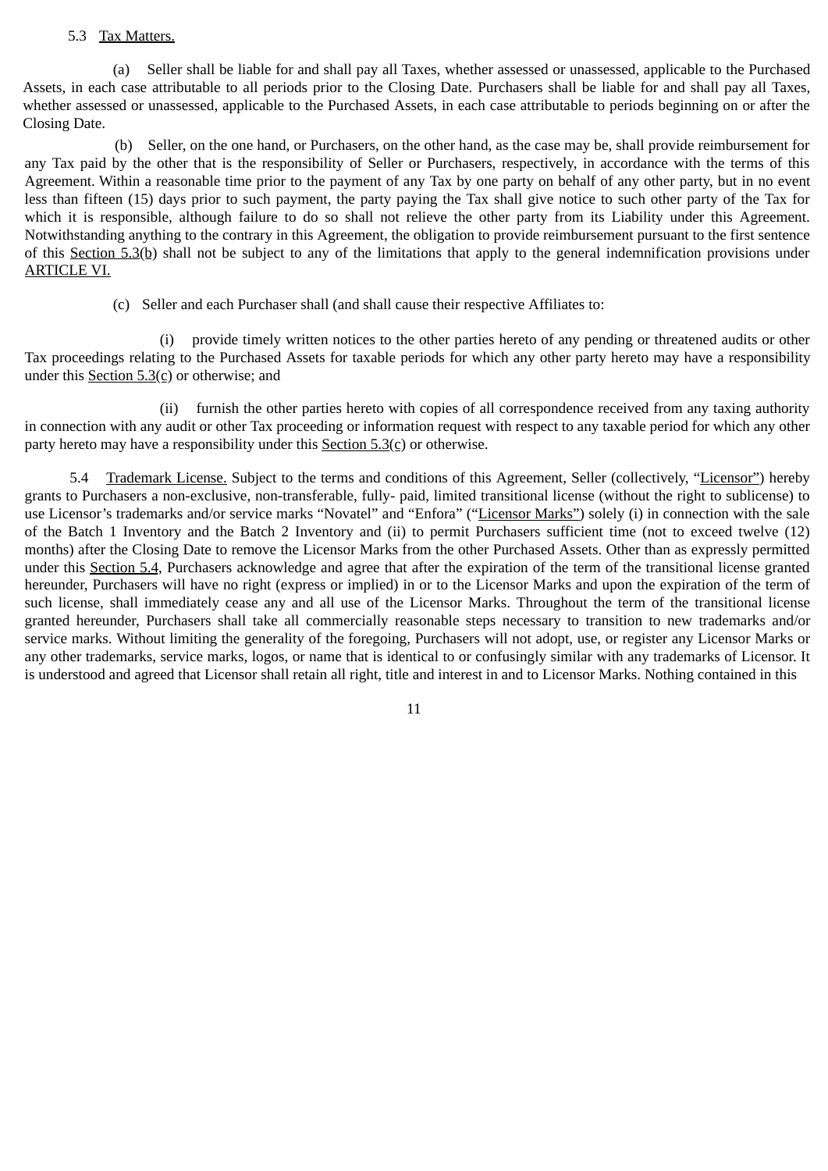#### 5.3 Tax Matters.

(a) Seller shall be liable for and shall pay all Taxes, whether assessed or unassessed, applicable to the Purchased Assets, in each case attributable to all periods prior to the Closing Date. Purchasers shall be liable for and shall pay all Taxes, whether assessed or unassessed, applicable to the Purchased Assets, in each case attributable to periods beginning on or after the Closing Date.

(b) Seller, on the one hand, or Purchasers, on the other hand, as the case may be, shall provide reimbursement for any Tax paid by the other that is the responsibility of Seller or Purchasers, respectively, in accordance with the terms of this Agreement. Within a reasonable time prior to the payment of any Tax by one party on behalf of any other party, but in no event less than fifteen (15) days prior to such payment, the party paying the Tax shall give notice to such other party of the Tax for which it is responsible, although failure to do so shall not relieve the other party from its Liability under this Agreement. Notwithstanding anything to the contrary in this Agreement, the obligation to provide reimbursement pursuant to the first sentence of this Section 5.3(b) shall not be subject to any of the limitations that apply to the general indemnification provisions under ARTICLE VI.

(c) Seller and each Purchaser shall (and shall cause their respective Affiliates to:

(i) provide timely written notices to the other parties hereto of any pending or threatened audits or other Tax proceedings relating to the Purchased Assets for taxable periods for which any other party hereto may have a responsibility under this **Section 5.3(c)** or otherwise; and

(ii) furnish the other parties hereto with copies of all correspondence received from any taxing authority in connection with any audit or other Tax proceeding or information request with respect to any taxable period for which any other party hereto may have a responsibility under this  $Section 5.3(c)$  or otherwise.

5.4 Trademark License. Subject to the terms and conditions of this Agreement, Seller (collectively, "Licensor") hereby grants to Purchasers a non-exclusive, non-transferable, fully- paid, limited transitional license (without the right to sublicense) to use Licensor's trademarks and/or service marks "Novatel" and "Enfora" ("Licensor Marks") solely (i) in connection with the sale of the Batch 1 Inventory and the Batch 2 Inventory and (ii) to permit Purchasers sufficient time (not to exceed twelve (12) months) after the Closing Date to remove the Licensor Marks from the other Purchased Assets. Other than as expressly permitted under this Section 5.4, Purchasers acknowledge and agree that after the expiration of the term of the transitional license granted hereunder, Purchasers will have no right (express or implied) in or to the Licensor Marks and upon the expiration of the term of such license, shall immediately cease any and all use of the Licensor Marks. Throughout the term of the transitional license granted hereunder, Purchasers shall take all commercially reasonable steps necessary to transition to new trademarks and/or service marks. Without limiting the generality of the foregoing, Purchasers will not adopt, use, or register any Licensor Marks or any other trademarks, service marks, logos, or name that is identical to or confusingly similar with any trademarks of Licensor. It is understood and agreed that Licensor shall retain all right, title and interest in and to Licensor Marks. Nothing contained in this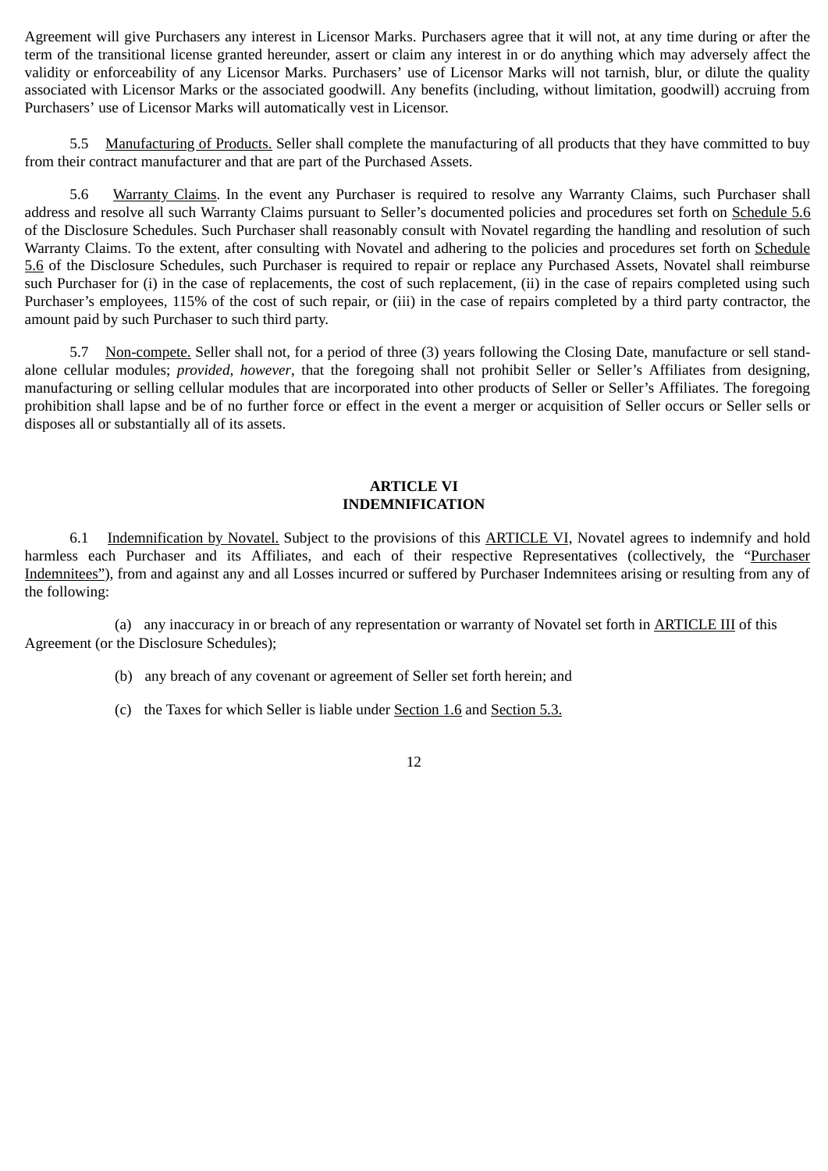Agreement will give Purchasers any interest in Licensor Marks. Purchasers agree that it will not, at any time during or after the term of the transitional license granted hereunder, assert or claim any interest in or do anything which may adversely affect the validity or enforceability of any Licensor Marks. Purchasers' use of Licensor Marks will not tarnish, blur, or dilute the quality associated with Licensor Marks or the associated goodwill. Any benefits (including, without limitation, goodwill) accruing from Purchasers' use of Licensor Marks will automatically vest in Licensor.

5.5 Manufacturing of Products. Seller shall complete the manufacturing of all products that they have committed to buy from their contract manufacturer and that are part of the Purchased Assets.

5.6 Warranty Claims. In the event any Purchaser is required to resolve any Warranty Claims, such Purchaser shall address and resolve all such Warranty Claims pursuant to Seller's documented policies and procedures set forth on Schedule 5.6 of the Disclosure Schedules. Such Purchaser shall reasonably consult with Novatel regarding the handling and resolution of such Warranty Claims. To the extent, after consulting with Novatel and adhering to the policies and procedures set forth on Schedule 5.6 of the Disclosure Schedules, such Purchaser is required to repair or replace any Purchased Assets, Novatel shall reimburse such Purchaser for (i) in the case of replacements, the cost of such replacement, (ii) in the case of repairs completed using such Purchaser's employees, 115% of the cost of such repair, or (iii) in the case of repairs completed by a third party contractor, the amount paid by such Purchaser to such third party.

5.7 Non-compete. Seller shall not, for a period of three (3) years following the Closing Date, manufacture or sell standalone cellular modules; *provided, however*, that the foregoing shall not prohibit Seller or Seller's Affiliates from designing, manufacturing or selling cellular modules that are incorporated into other products of Seller or Seller's Affiliates. The foregoing prohibition shall lapse and be of no further force or effect in the event a merger or acquisition of Seller occurs or Seller sells or disposes all or substantially all of its assets.

## **ARTICLE VI INDEMNIFICATION**

6.1 Indemnification by Novatel. Subject to the provisions of this ARTICLE VI, Novatel agrees to indemnify and hold harmless each Purchaser and its Affiliates, and each of their respective Representatives (collectively, the "Purchaser Indemnitees"), from and against any and all Losses incurred or suffered by Purchaser Indemnitees arising or resulting from any of the following:

(a) any inaccuracy in or breach of any representation or warranty of Novatel set forth in ARTICLE III of this Agreement (or the Disclosure Schedules);

- (b) any breach of any covenant or agreement of Seller set forth herein; and
- (c) the Taxes for which Seller is liable under Section 1.6 and Section 5.3.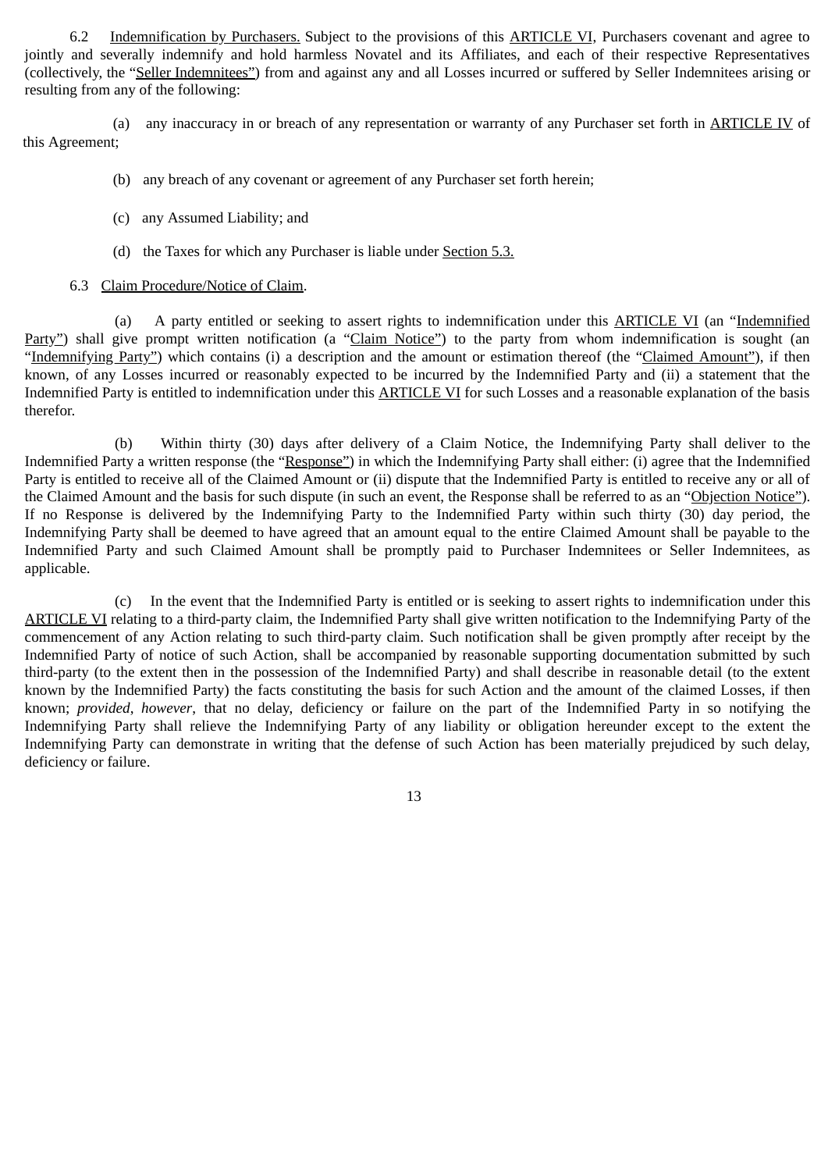6.2 Indemnification by Purchasers. Subject to the provisions of this ARTICLE VI, Purchasers covenant and agree to jointly and severally indemnify and hold harmless Novatel and its Affiliates, and each of their respective Representatives (collectively, the "Seller Indemnitees") from and against any and all Losses incurred or suffered by Seller Indemnitees arising or resulting from any of the following:

(a) any inaccuracy in or breach of any representation or warranty of any Purchaser set forth in ARTICLE IV of this Agreement;

- (b) any breach of any covenant or agreement of any Purchaser set forth herein;
- (c) any Assumed Liability; and
- (d) the Taxes for which any Purchaser is liable under Section 5.3.

#### 6.3 Claim Procedure/Notice of Claim.

(a) A party entitled or seeking to assert rights to indemnification under this ARTICLE VI (an "Indemnified Party") shall give prompt written notification (a "Claim Notice") to the party from whom indemnification is sought (an "Indemnifying Party") which contains (i) a description and the amount or estimation thereof (the "Claimed Amount"), if then known, of any Losses incurred or reasonably expected to be incurred by the Indemnified Party and (ii) a statement that the Indemnified Party is entitled to indemnification under this ARTICLE VI for such Losses and a reasonable explanation of the basis therefor.

(b) Within thirty (30) days after delivery of a Claim Notice, the Indemnifying Party shall deliver to the Indemnified Party a written response (the "Response") in which the Indemnifying Party shall either: (i) agree that the Indemnified Party is entitled to receive all of the Claimed Amount or (ii) dispute that the Indemnified Party is entitled to receive any or all of the Claimed Amount and the basis for such dispute (in such an event, the Response shall be referred to as an "Objection Notice"). If no Response is delivered by the Indemnifying Party to the Indemnified Party within such thirty (30) day period, the Indemnifying Party shall be deemed to have agreed that an amount equal to the entire Claimed Amount shall be payable to the Indemnified Party and such Claimed Amount shall be promptly paid to Purchaser Indemnitees or Seller Indemnitees, as applicable.

(c) In the event that the Indemnified Party is entitled or is seeking to assert rights to indemnification under this ARTICLE VI relating to a third-party claim, the Indemnified Party shall give written notification to the Indemnifying Party of the commencement of any Action relating to such third-party claim. Such notification shall be given promptly after receipt by the Indemnified Party of notice of such Action, shall be accompanied by reasonable supporting documentation submitted by such third-party (to the extent then in the possession of the Indemnified Party) and shall describe in reasonable detail (to the extent known by the Indemnified Party) the facts constituting the basis for such Action and the amount of the claimed Losses, if then known; *provided*, *however*, that no delay, deficiency or failure on the part of the Indemnified Party in so notifying the Indemnifying Party shall relieve the Indemnifying Party of any liability or obligation hereunder except to the extent the Indemnifying Party can demonstrate in writing that the defense of such Action has been materially prejudiced by such delay, deficiency or failure.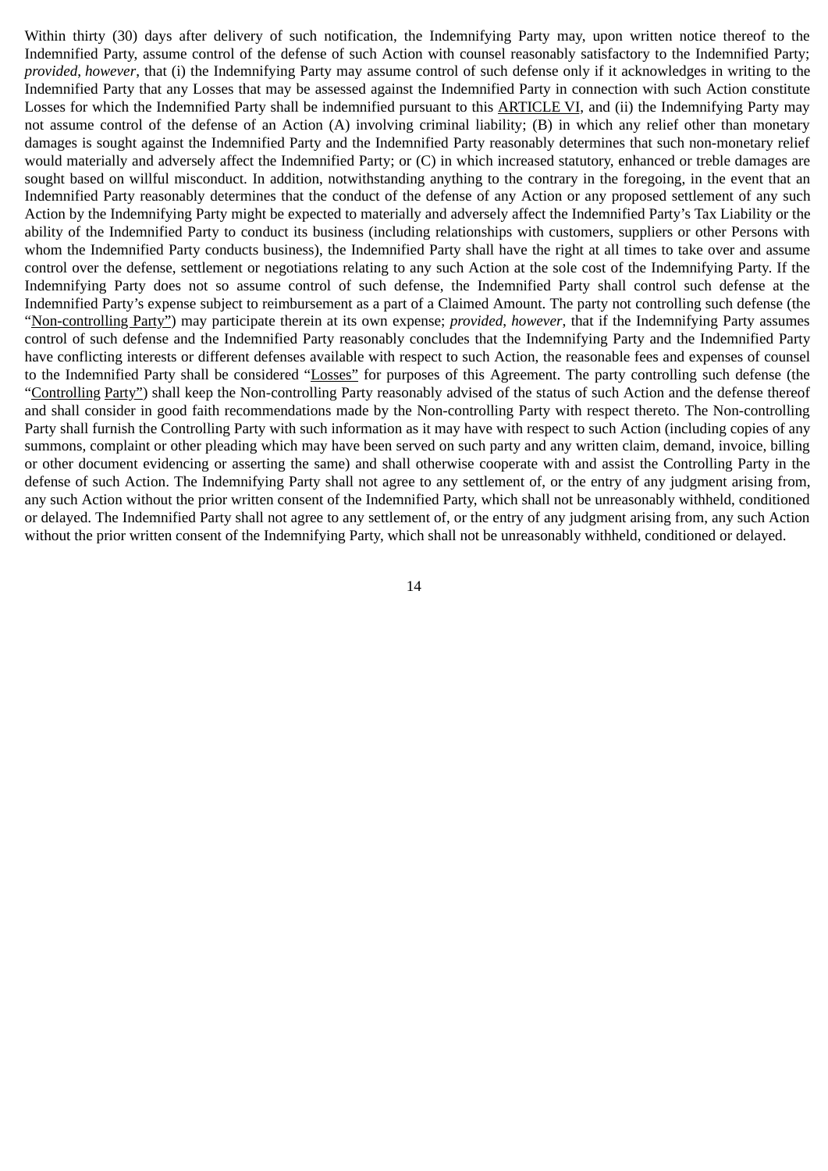Within thirty (30) days after delivery of such notification, the Indemnifying Party may, upon written notice thereof to the Indemnified Party, assume control of the defense of such Action with counsel reasonably satisfactory to the Indemnified Party; *provided*, *however*, that (i) the Indemnifying Party may assume control of such defense only if it acknowledges in writing to the Indemnified Party that any Losses that may be assessed against the Indemnified Party in connection with such Action constitute Losses for which the Indemnified Party shall be indemnified pursuant to this ARTICLE VI, and (ii) the Indemnifying Party may not assume control of the defense of an Action (A) involving criminal liability; (B) in which any relief other than monetary damages is sought against the Indemnified Party and the Indemnified Party reasonably determines that such non-monetary relief would materially and adversely affect the Indemnified Party; or (C) in which increased statutory, enhanced or treble damages are sought based on willful misconduct. In addition, notwithstanding anything to the contrary in the foregoing, in the event that an Indemnified Party reasonably determines that the conduct of the defense of any Action or any proposed settlement of any such Action by the Indemnifying Party might be expected to materially and adversely affect the Indemnified Party's Tax Liability or the ability of the Indemnified Party to conduct its business (including relationships with customers, suppliers or other Persons with whom the Indemnified Party conducts business), the Indemnified Party shall have the right at all times to take over and assume control over the defense, settlement or negotiations relating to any such Action at the sole cost of the Indemnifying Party. If the Indemnifying Party does not so assume control of such defense, the Indemnified Party shall control such defense at the Indemnified Party's expense subject to reimbursement as a part of a Claimed Amount. The party not controlling such defense (the "Non-controlling Party") may participate therein at its own expense; *provided*, *however*, that if the Indemnifying Party assumes control of such defense and the Indemnified Party reasonably concludes that the Indemnifying Party and the Indemnified Party have conflicting interests or different defenses available with respect to such Action, the reasonable fees and expenses of counsel to the Indemnified Party shall be considered "Losses" for purposes of this Agreement. The party controlling such defense (the "Controlling Party") shall keep the Non-controlling Party reasonably advised of the status of such Action and the defense thereof and shall consider in good faith recommendations made by the Non-controlling Party with respect thereto. The Non-controlling Party shall furnish the Controlling Party with such information as it may have with respect to such Action (including copies of any summons, complaint or other pleading which may have been served on such party and any written claim, demand, invoice, billing or other document evidencing or asserting the same) and shall otherwise cooperate with and assist the Controlling Party in the defense of such Action. The Indemnifying Party shall not agree to any settlement of, or the entry of any judgment arising from, any such Action without the prior written consent of the Indemnified Party, which shall not be unreasonably withheld, conditioned or delayed. The Indemnified Party shall not agree to any settlement of, or the entry of any judgment arising from, any such Action without the prior written consent of the Indemnifying Party, which shall not be unreasonably withheld, conditioned or delayed.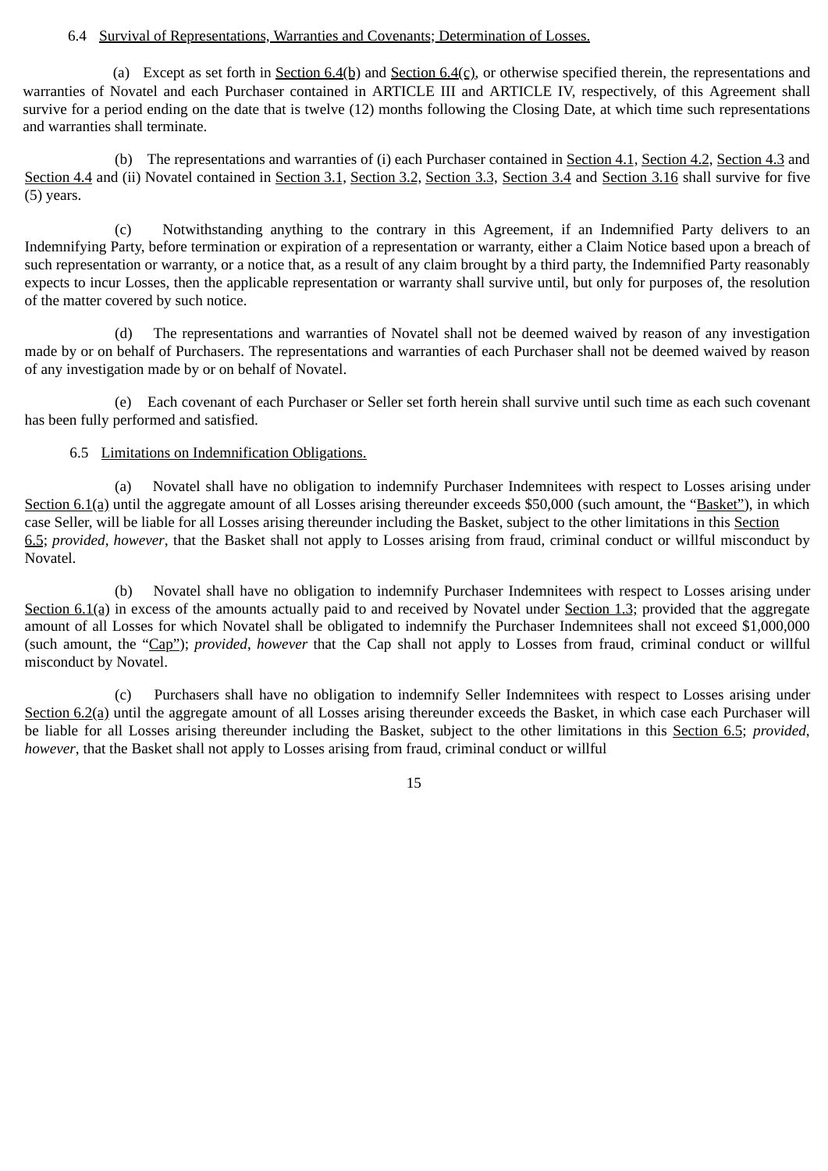#### 6.4 Survival of Representations, Warranties and Covenants; Determination of Losses.

(a) Except as set forth in <u>Section 6.4(b</u>) and Section 6.4(c), or otherwise specified therein, the representations and warranties of Novatel and each Purchaser contained in ARTICLE III and ARTICLE IV, respectively, of this Agreement shall survive for a period ending on the date that is twelve (12) months following the Closing Date, at which time such representations and warranties shall terminate.

(b) The representations and warranties of (i) each Purchaser contained in Section 4.1, Section 4.2, Section 4.3 and Section 4.4 and (ii) Novatel contained in Section 3.1, Section 3.2, Section 3.3, Section 3.4 and Section 3.16 shall survive for five (5) years.

(c) Notwithstanding anything to the contrary in this Agreement, if an Indemnified Party delivers to an Indemnifying Party, before termination or expiration of a representation or warranty, either a Claim Notice based upon a breach of such representation or warranty, or a notice that, as a result of any claim brought by a third party, the Indemnified Party reasonably expects to incur Losses, then the applicable representation or warranty shall survive until, but only for purposes of, the resolution of the matter covered by such notice.

(d) The representations and warranties of Novatel shall not be deemed waived by reason of any investigation made by or on behalf of Purchasers. The representations and warranties of each Purchaser shall not be deemed waived by reason of any investigation made by or on behalf of Novatel.

(e) Each covenant of each Purchaser or Seller set forth herein shall survive until such time as each such covenant has been fully performed and satisfied.

#### 6.5 Limitations on Indemnification Obligations.

(a) Novatel shall have no obligation to indemnify Purchaser Indemnitees with respect to Losses arising under Section 6.1(a) until the aggregate amount of all Losses arising thereunder exceeds \$50,000 (such amount, the "Basket"), in which case Seller, will be liable for all Losses arising thereunder including the Basket, subject to the other limitations in this Section 6.5; *provided*, *however*, that the Basket shall not apply to Losses arising from fraud, criminal conduct or willful misconduct by Novatel.

(b) Novatel shall have no obligation to indemnify Purchaser Indemnitees with respect to Losses arising under Section 6.1(a) in excess of the amounts actually paid to and received by Novatel under Section 1.3; provided that the aggregate amount of all Losses for which Novatel shall be obligated to indemnify the Purchaser Indemnitees shall not exceed \$1,000,000 (such amount, the "Cap"); *provided*, *however* that the Cap shall not apply to Losses from fraud, criminal conduct or willful misconduct by Novatel.

(c) Purchasers shall have no obligation to indemnify Seller Indemnitees with respect to Losses arising under Section 6.2(a) until the aggregate amount of all Losses arising thereunder exceeds the Basket, in which case each Purchaser will be liable for all Losses arising thereunder including the Basket, subject to the other limitations in this Section 6.5; *provided*, *however*, that the Basket shall not apply to Losses arising from fraud, criminal conduct or willful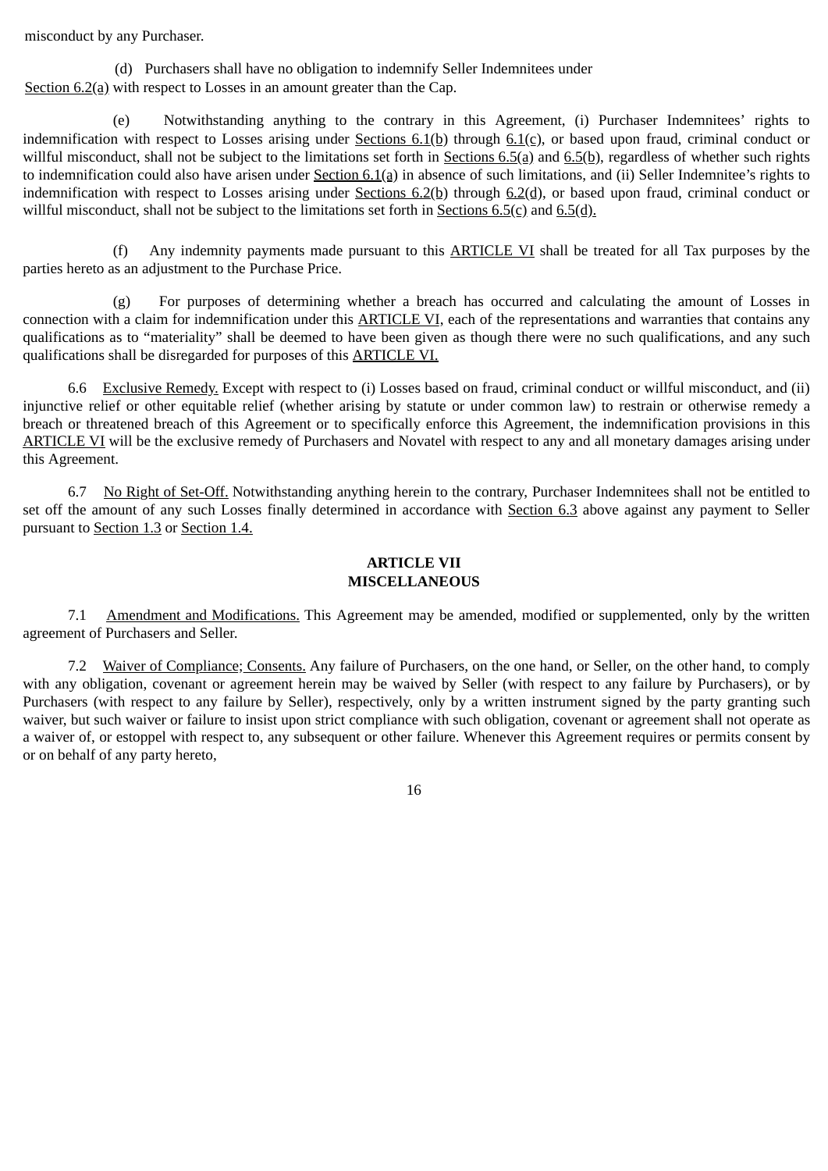misconduct by any Purchaser.

(d) Purchasers shall have no obligation to indemnify Seller Indemnitees under Section 6.2(a) with respect to Losses in an amount greater than the Cap.

Notwithstanding anything to the contrary in this Agreement, (i) Purchaser Indemnitees' rights to indemnification with respect to Losses arising under Sections  $6.1(b)$  through  $6.1(c)$ , or based upon fraud, criminal conduct or willful misconduct, shall not be subject to the limitations set forth in Sections  $6.5(a)$  and  $6.5(b)$ , regardless of whether such rights to indemnification could also have arisen under Section  $6.1(a)$  in absence of such limitations, and (ii) Seller Indemnitee's rights to indemnification with respect to Losses arising under Sections 6.2(b) through 6.2(d), or based upon fraud, criminal conduct or willful misconduct, shall not be subject to the limitations set forth in Sections 6.5(c) and 6.5(d).

(f) Any indemnity payments made pursuant to this ARTICLE VI shall be treated for all Tax purposes by the parties hereto as an adjustment to the Purchase Price.

(g) For purposes of determining whether a breach has occurred and calculating the amount of Losses in connection with a claim for indemnification under this ARTICLE VI, each of the representations and warranties that contains any qualifications as to "materiality" shall be deemed to have been given as though there were no such qualifications, and any such qualifications shall be disregarded for purposes of this ARTICLE VI.

6.6 Exclusive Remedy. Except with respect to (i) Losses based on fraud, criminal conduct or willful misconduct, and (ii) injunctive relief or other equitable relief (whether arising by statute or under common law) to restrain or otherwise remedy a breach or threatened breach of this Agreement or to specifically enforce this Agreement, the indemnification provisions in this ARTICLE VI will be the exclusive remedy of Purchasers and Novatel with respect to any and all monetary damages arising under this Agreement.

6.7 No Right of Set-Off. Notwithstanding anything herein to the contrary, Purchaser Indemnitees shall not be entitled to set off the amount of any such Losses finally determined in accordance with Section 6.3 above against any payment to Seller pursuant to Section 1.3 or Section 1.4.

## **ARTICLE VII MISCELLANEOUS**

7.1 Amendment and Modifications. This Agreement may be amended, modified or supplemented, only by the written agreement of Purchasers and Seller.

7.2 Waiver of Compliance; Consents. Any failure of Purchasers, on the one hand, or Seller, on the other hand, to comply with any obligation, covenant or agreement herein may be waived by Seller (with respect to any failure by Purchasers), or by Purchasers (with respect to any failure by Seller), respectively, only by a written instrument signed by the party granting such waiver, but such waiver or failure to insist upon strict compliance with such obligation, covenant or agreement shall not operate as a waiver of, or estoppel with respect to, any subsequent or other failure. Whenever this Agreement requires or permits consent by or on behalf of any party hereto,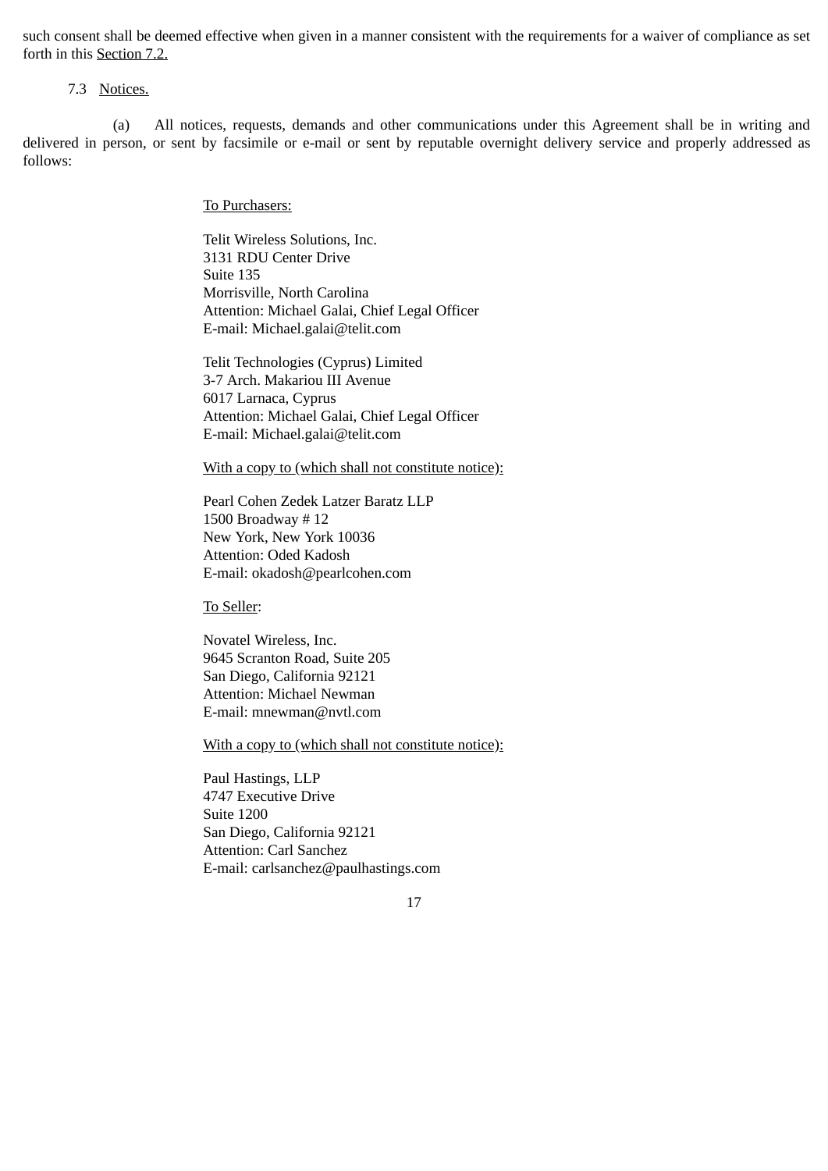such consent shall be deemed effective when given in a manner consistent with the requirements for a waiver of compliance as set forth in this Section 7.2.

#### 7.3 Notices.

(a) All notices, requests, demands and other communications under this Agreement shall be in writing and delivered in person, or sent by facsimile or e-mail or sent by reputable overnight delivery service and properly addressed as follows:

To Purchasers:

Telit Wireless Solutions, Inc. 3131 RDU Center Drive Suite 135 Morrisville, North Carolina Attention: Michael Galai, Chief Legal Officer E-mail: Michael.galai@telit.com

Telit Technologies (Cyprus) Limited 3-7 Arch. Makariou III Avenue 6017 Larnaca, Cyprus Attention: Michael Galai, Chief Legal Officer E-mail: Michael.galai@telit.com

With a copy to (which shall not constitute notice):

Pearl Cohen Zedek Latzer Baratz LLP 1500 Broadway # 12 New York, New York 10036 Attention: Oded Kadosh E-mail: okadosh@pearlcohen.com

To Seller:

Novatel Wireless, Inc. 9645 Scranton Road, Suite 205 San Diego, California 92121 Attention: Michael Newman E-mail: mnewman@nvtl.com

With a copy to (which shall not constitute notice):

Paul Hastings, LLP 4747 Executive Drive Suite 1200 San Diego, California 92121 Attention: Carl Sanchez E-mail: carlsanchez@paulhastings.com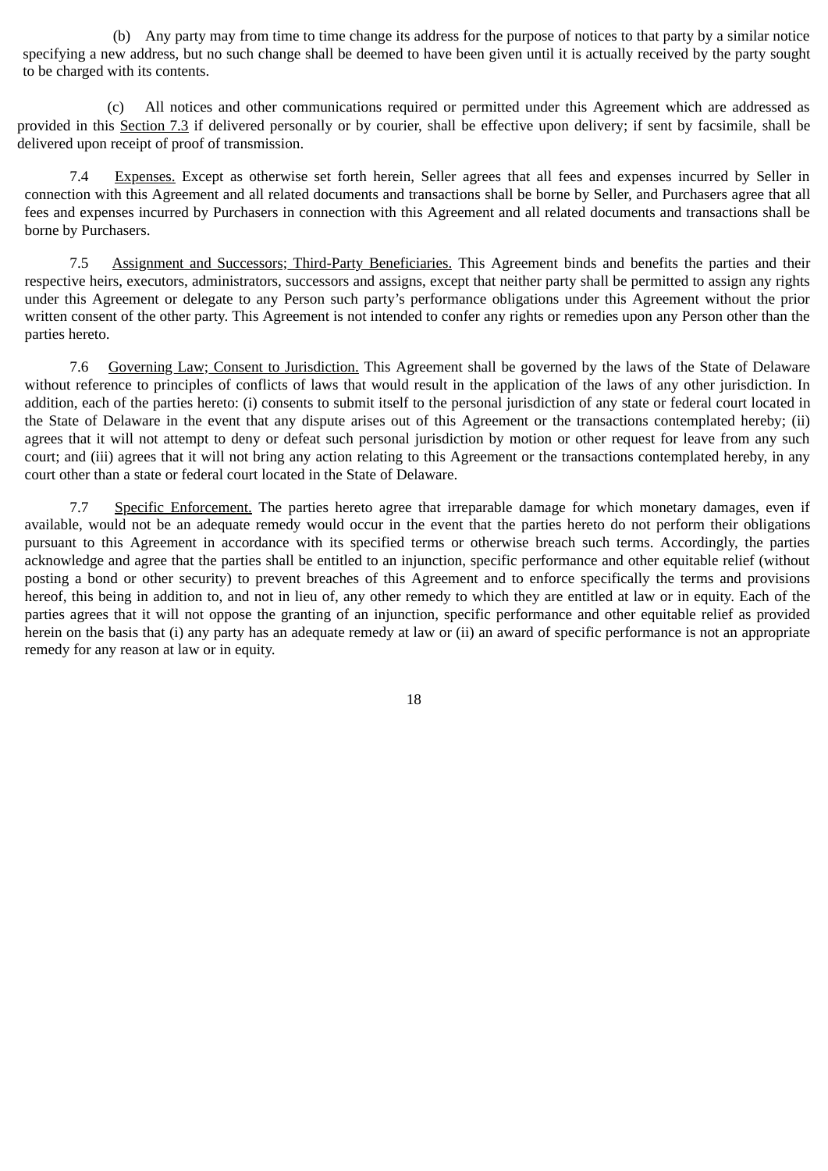(b) Any party may from time to time change its address for the purpose of notices to that party by a similar notice specifying a new address, but no such change shall be deemed to have been given until it is actually received by the party sought to be charged with its contents.

(c) All notices and other communications required or permitted under this Agreement which are addressed as provided in this Section 7.3 if delivered personally or by courier, shall be effective upon delivery; if sent by facsimile, shall be delivered upon receipt of proof of transmission.

7.4 Expenses. Except as otherwise set forth herein, Seller agrees that all fees and expenses incurred by Seller in connection with this Agreement and all related documents and transactions shall be borne by Seller, and Purchasers agree that all fees and expenses incurred by Purchasers in connection with this Agreement and all related documents and transactions shall be borne by Purchasers.

7.5 Assignment and Successors; Third-Party Beneficiaries. This Agreement binds and benefits the parties and their respective heirs, executors, administrators, successors and assigns, except that neither party shall be permitted to assign any rights under this Agreement or delegate to any Person such party's performance obligations under this Agreement without the prior written consent of the other party. This Agreement is not intended to confer any rights or remedies upon any Person other than the parties hereto.

7.6 Governing Law; Consent to Jurisdiction. This Agreement shall be governed by the laws of the State of Delaware without reference to principles of conflicts of laws that would result in the application of the laws of any other jurisdiction. In addition, each of the parties hereto: (i) consents to submit itself to the personal jurisdiction of any state or federal court located in the State of Delaware in the event that any dispute arises out of this Agreement or the transactions contemplated hereby; (ii) agrees that it will not attempt to deny or defeat such personal jurisdiction by motion or other request for leave from any such court; and (iii) agrees that it will not bring any action relating to this Agreement or the transactions contemplated hereby, in any court other than a state or federal court located in the State of Delaware.

7.7 Specific Enforcement. The parties hereto agree that irreparable damage for which monetary damages, even if available, would not be an adequate remedy would occur in the event that the parties hereto do not perform their obligations pursuant to this Agreement in accordance with its specified terms or otherwise breach such terms. Accordingly, the parties acknowledge and agree that the parties shall be entitled to an injunction, specific performance and other equitable relief (without posting a bond or other security) to prevent breaches of this Agreement and to enforce specifically the terms and provisions hereof, this being in addition to, and not in lieu of, any other remedy to which they are entitled at law or in equity. Each of the parties agrees that it will not oppose the granting of an injunction, specific performance and other equitable relief as provided herein on the basis that (i) any party has an adequate remedy at law or (ii) an award of specific performance is not an appropriate remedy for any reason at law or in equity.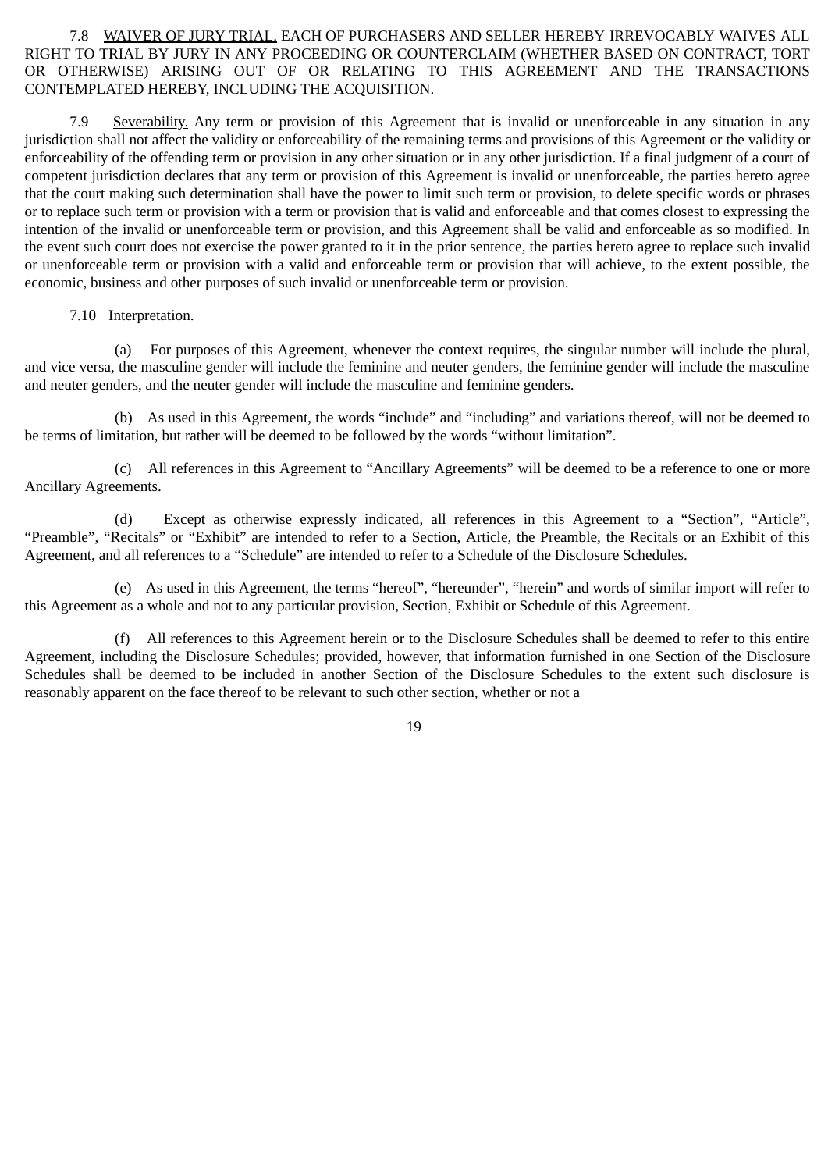## 7.8 WAIVER OF JURY TRIAL. EACH OF PURCHASERS AND SELLER HEREBY IRREVOCABLY WAIVES ALL RIGHT TO TRIAL BY JURY IN ANY PROCEEDING OR COUNTERCLAIM (WHETHER BASED ON CONTRACT, TORT OR OTHERWISE) ARISING OUT OF OR RELATING TO THIS AGREEMENT AND THE TRANSACTIONS CONTEMPLATED HEREBY, INCLUDING THE ACQUISITION.

7.9 Severability. Any term or provision of this Agreement that is invalid or unenforceable in any situation in any jurisdiction shall not affect the validity or enforceability of the remaining terms and provisions of this Agreement or the validity or enforceability of the offending term or provision in any other situation or in any other jurisdiction. If a final judgment of a court of competent jurisdiction declares that any term or provision of this Agreement is invalid or unenforceable, the parties hereto agree that the court making such determination shall have the power to limit such term or provision, to delete specific words or phrases or to replace such term or provision with a term or provision that is valid and enforceable and that comes closest to expressing the intention of the invalid or unenforceable term or provision, and this Agreement shall be valid and enforceable as so modified. In the event such court does not exercise the power granted to it in the prior sentence, the parties hereto agree to replace such invalid or unenforceable term or provision with a valid and enforceable term or provision that will achieve, to the extent possible, the economic, business and other purposes of such invalid or unenforceable term or provision.

## 7.10 Interpretation.

(a) For purposes of this Agreement, whenever the context requires, the singular number will include the plural, and vice versa, the masculine gender will include the feminine and neuter genders, the feminine gender will include the masculine and neuter genders, and the neuter gender will include the masculine and feminine genders.

(b) As used in this Agreement, the words "include" and "including" and variations thereof, will not be deemed to be terms of limitation, but rather will be deemed to be followed by the words "without limitation".

(c) All references in this Agreement to "Ancillary Agreements" will be deemed to be a reference to one or more Ancillary Agreements.

(d) Except as otherwise expressly indicated, all references in this Agreement to a "Section", "Article", "Preamble", "Recitals" or "Exhibit" are intended to refer to a Section, Article, the Preamble, the Recitals or an Exhibit of this Agreement, and all references to a "Schedule" are intended to refer to a Schedule of the Disclosure Schedules.

(e) As used in this Agreement, the terms "hereof", "hereunder", "herein" and words of similar import will refer to this Agreement as a whole and not to any particular provision, Section, Exhibit or Schedule of this Agreement.

(f) All references to this Agreement herein or to the Disclosure Schedules shall be deemed to refer to this entire Agreement, including the Disclosure Schedules; provided, however, that information furnished in one Section of the Disclosure Schedules shall be deemed to be included in another Section of the Disclosure Schedules to the extent such disclosure is reasonably apparent on the face thereof to be relevant to such other section, whether or not a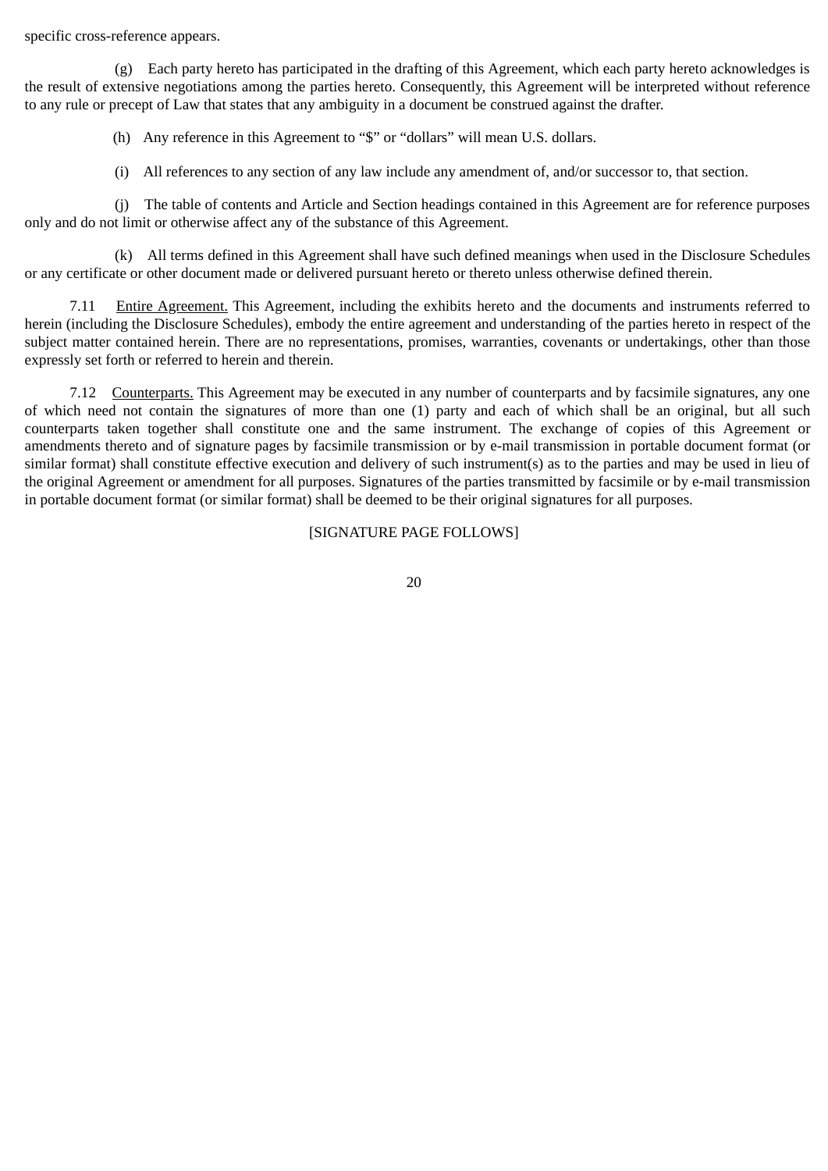specific cross-reference appears.

(g) Each party hereto has participated in the drafting of this Agreement, which each party hereto acknowledges is the result of extensive negotiations among the parties hereto. Consequently, this Agreement will be interpreted without reference to any rule or precept of Law that states that any ambiguity in a document be construed against the drafter.

(h) Any reference in this Agreement to "\$" or "dollars" will mean U.S. dollars.

(i) All references to any section of any law include any amendment of, and/or successor to, that section.

(j) The table of contents and Article and Section headings contained in this Agreement are for reference purposes only and do not limit or otherwise affect any of the substance of this Agreement.

(k) All terms defined in this Agreement shall have such defined meanings when used in the Disclosure Schedules or any certificate or other document made or delivered pursuant hereto or thereto unless otherwise defined therein.

7.11 Entire Agreement. This Agreement, including the exhibits hereto and the documents and instruments referred to herein (including the Disclosure Schedules), embody the entire agreement and understanding of the parties hereto in respect of the subject matter contained herein. There are no representations, promises, warranties, covenants or undertakings, other than those expressly set forth or referred to herein and therein.

7.12 Counterparts. This Agreement may be executed in any number of counterparts and by facsimile signatures, any one of which need not contain the signatures of more than one (1) party and each of which shall be an original, but all such counterparts taken together shall constitute one and the same instrument. The exchange of copies of this Agreement or amendments thereto and of signature pages by facsimile transmission or by e-mail transmission in portable document format (or similar format) shall constitute effective execution and delivery of such instrument(s) as to the parties and may be used in lieu of the original Agreement or amendment for all purposes. Signatures of the parties transmitted by facsimile or by e-mail transmission in portable document format (or similar format) shall be deemed to be their original signatures for all purposes.

[SIGNATURE PAGE FOLLOWS]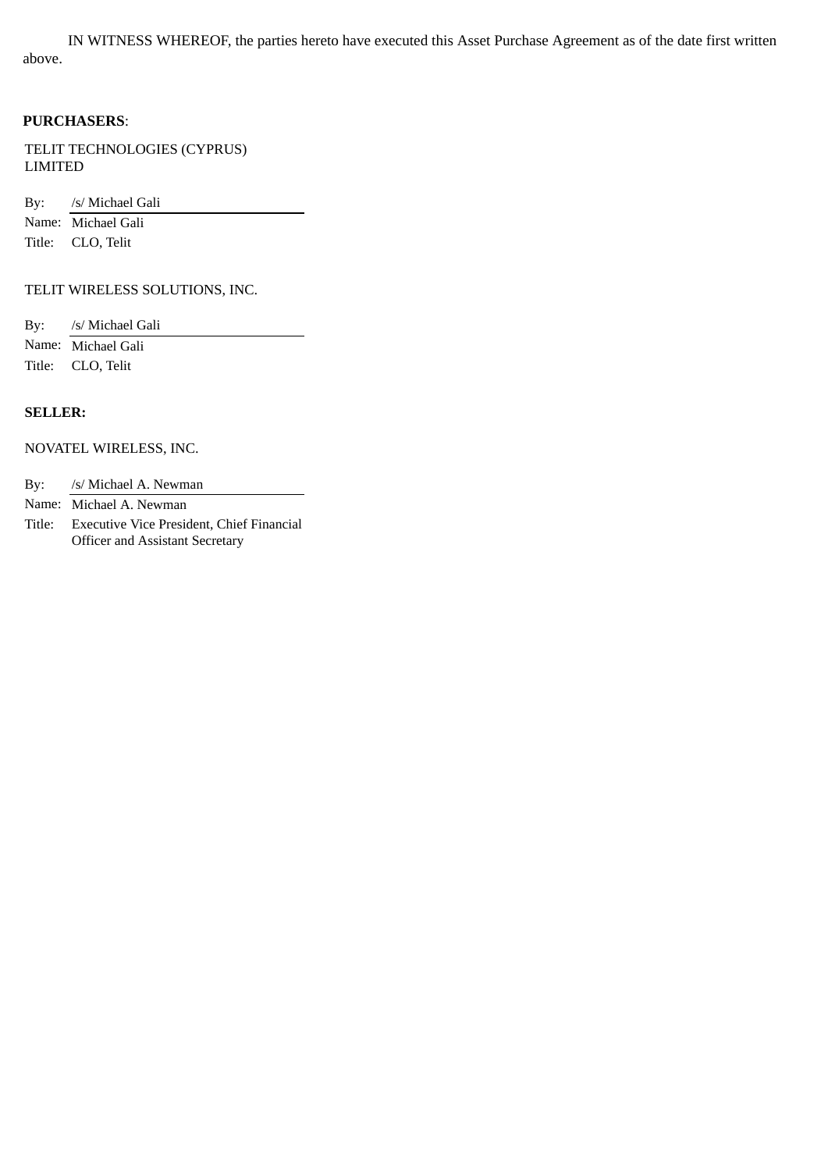IN WITNESS WHEREOF, the parties hereto have executed this Asset Purchase Agreement as of the date first written above.

### **PURCHASERS**:

TELIT TECHNOLOGIES (CYPRUS) LIMITED

By: /s/ Michael Gali

Name: Michael Gali

Title: CLO, Telit

TELIT WIRELESS SOLUTIONS, INC.

By: /s/ Michael Gali

Name: Michael Gali

Title: CLO, Telit

#### **SELLER:**

NOVATEL WIRELESS, INC.

By: /s/ Michael A. Newman

Name: Michael A. Newman Title: Executive Vice President, Chief Financial

Officer and Assistant Secretary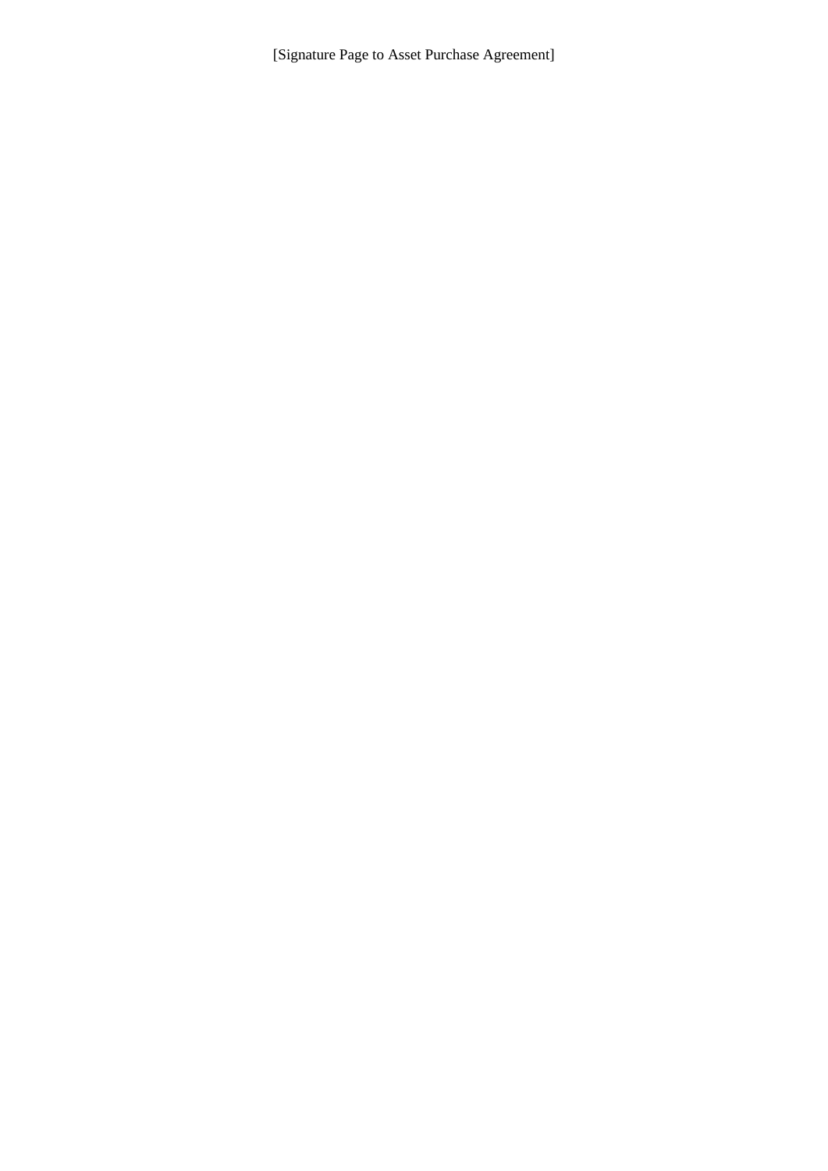[Signature Page to Asset Purchase Agreement]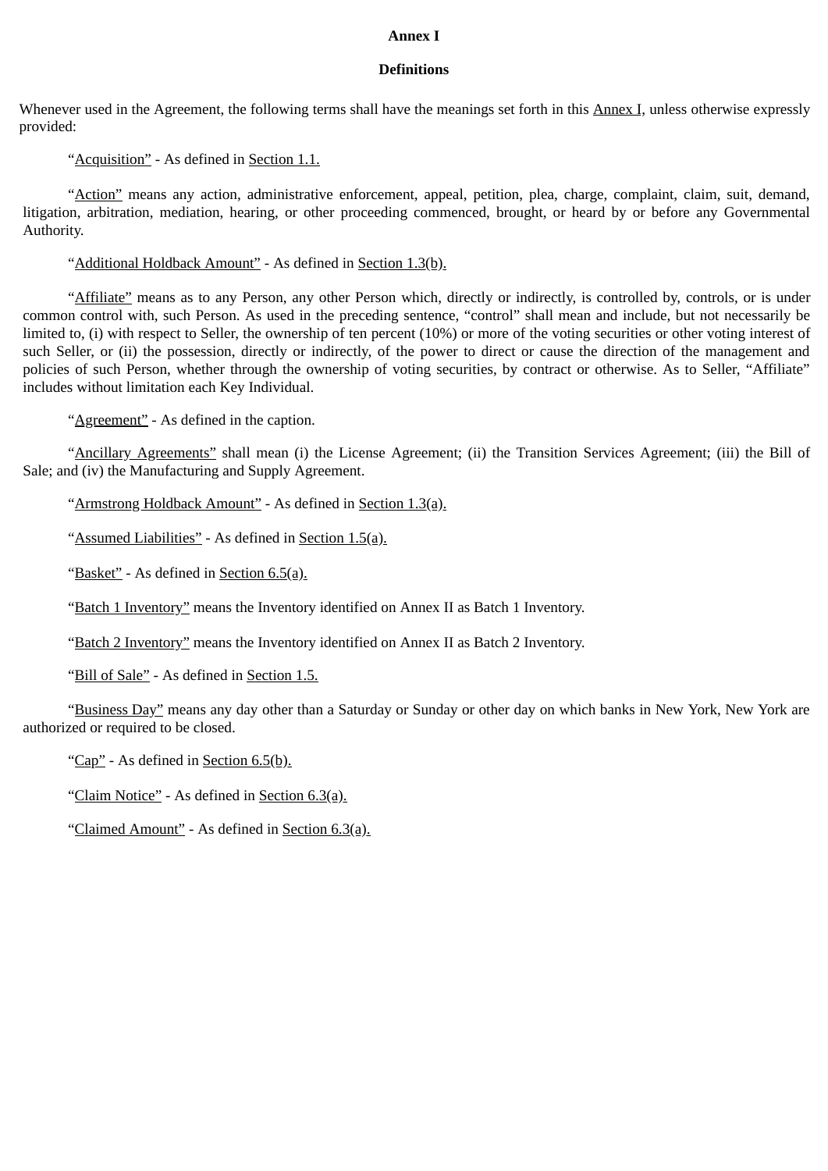#### **Annex I**

#### **Definitions**

Whenever used in the Agreement, the following terms shall have the meanings set forth in this Annex I, unless otherwise expressly provided:

"Acquisition" - As defined in Section 1.1.

"Action" means any action, administrative enforcement, appeal, petition, plea, charge, complaint, claim, suit, demand, litigation, arbitration, mediation, hearing, or other proceeding commenced, brought, or heard by or before any Governmental Authority.

"Additional Holdback Amount" - As defined in Section 1.3(b).

"Affiliate" means as to any Person, any other Person which, directly or indirectly, is controlled by, controls, or is under common control with, such Person. As used in the preceding sentence, "control" shall mean and include, but not necessarily be limited to, (i) with respect to Seller, the ownership of ten percent (10%) or more of the voting securities or other voting interest of such Seller, or (ii) the possession, directly or indirectly, of the power to direct or cause the direction of the management and policies of such Person, whether through the ownership of voting securities, by contract or otherwise. As to Seller, "Affiliate" includes without limitation each Key Individual.

"Agreement" - As defined in the caption.

"Ancillary Agreements" shall mean (i) the License Agreement; (ii) the Transition Services Agreement; (iii) the Bill of Sale; and (iv) the Manufacturing and Supply Agreement.

"Armstrong Holdback Amount" - As defined in Section 1.3(a).

"Assumed Liabilities" - As defined in Section 1.5(a).

"Basket" - As defined in Section 6.5(a).

"Batch 1 Inventory" means the Inventory identified on Annex II as Batch 1 Inventory.

"Batch 2 Inventory" means the Inventory identified on Annex II as Batch 2 Inventory.

"Bill of Sale" - As defined in Section 1.5.

"Business Day" means any day other than a Saturday or Sunday or other day on which banks in New York, New York are authorized or required to be closed.

"Cap" - As defined in Section 6.5(b).

"Claim Notice" - As defined in Section 6.3(a).

"Claimed Amount" - As defined in Section 6.3(a).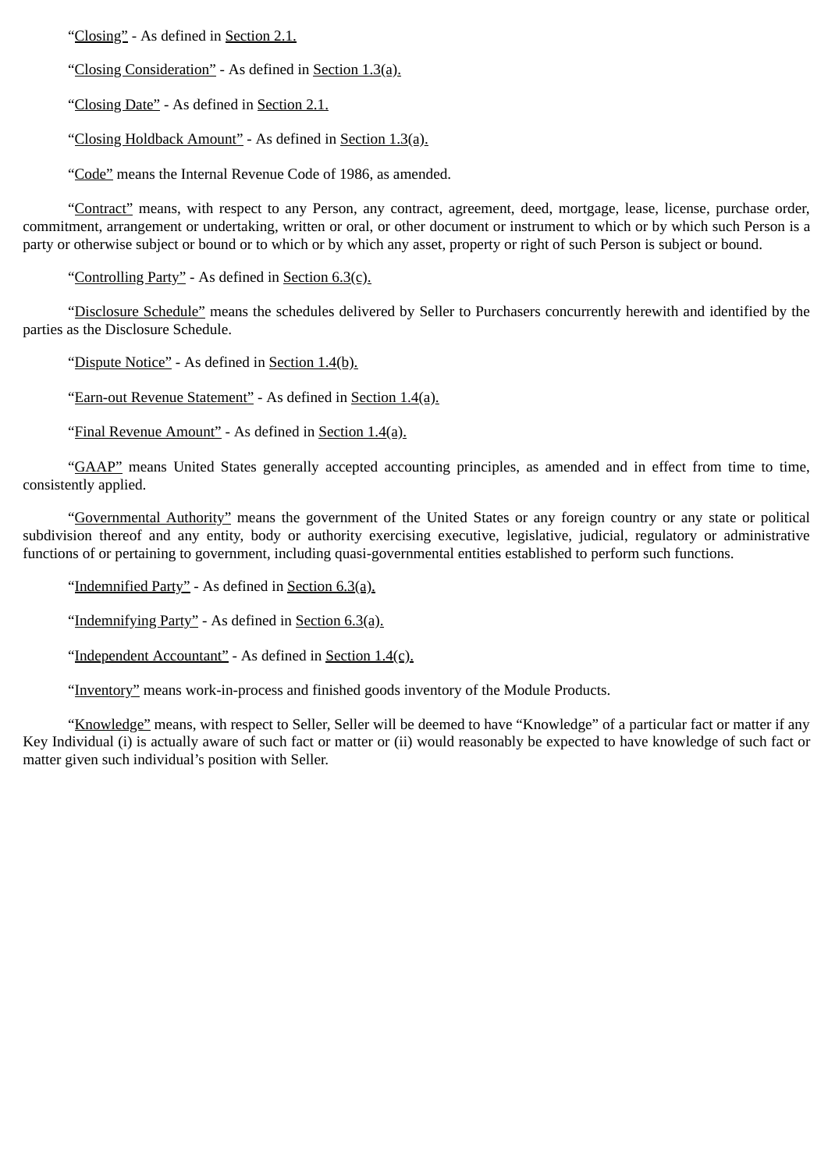"Closing" - As defined in Section 2.1.

"Closing Consideration" - As defined in Section 1.3(a).

"Closing Date" - As defined in Section 2.1.

"Closing Holdback Amount" - As defined in Section 1.3(a).

"Code" means the Internal Revenue Code of 1986, as amended.

"Contract" means, with respect to any Person, any contract, agreement, deed, mortgage, lease, license, purchase order, commitment, arrangement or undertaking, written or oral, or other document or instrument to which or by which such Person is a party or otherwise subject or bound or to which or by which any asset, property or right of such Person is subject or bound.

"Controlling Party" - As defined in Section 6.3(c).

"Disclosure Schedule" means the schedules delivered by Seller to Purchasers concurrently herewith and identified by the parties as the Disclosure Schedule.

"Dispute Notice" - As defined in Section 1.4(b).

"Earn-out Revenue Statement" - As defined in Section 1.4(a).

"Final Revenue Amount" - As defined in Section 1.4(a).

"GAAP" means United States generally accepted accounting principles, as amended and in effect from time to time, consistently applied.

"Governmental Authority" means the government of the United States or any foreign country or any state or political subdivision thereof and any entity, body or authority exercising executive, legislative, judicial, regulatory or administrative functions of or pertaining to government, including quasi-governmental entities established to perform such functions.

"Indemnified Party" - As defined in Section 6.3(a).

"Indemnifying Party" - As defined in Section 6.3(a).

"Independent Accountant" - As defined in Section 1.4(c).

"Inventory" means work-in-process and finished goods inventory of the Module Products.

"Knowledge" means, with respect to Seller, Seller will be deemed to have "Knowledge" of a particular fact or matter if any Key Individual (i) is actually aware of such fact or matter or (ii) would reasonably be expected to have knowledge of such fact or matter given such individual's position with Seller.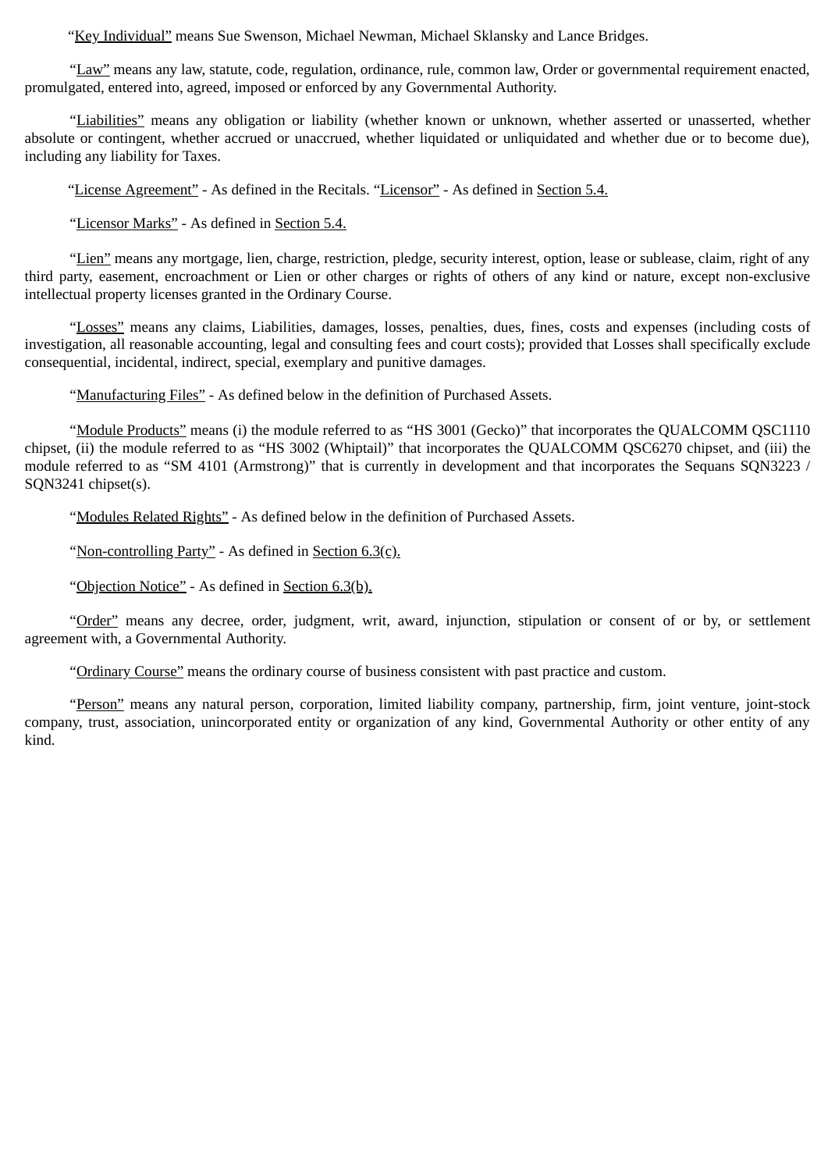"Key Individual" means Sue Swenson, Michael Newman, Michael Sklansky and Lance Bridges.

"Law" means any law, statute, code, regulation, ordinance, rule, common law, Order or governmental requirement enacted, promulgated, entered into, agreed, imposed or enforced by any Governmental Authority.

"Liabilities" means any obligation or liability (whether known or unknown, whether asserted or unasserted, whether absolute or contingent, whether accrued or unaccrued, whether liquidated or unliquidated and whether due or to become due), including any liability for Taxes.

"License Agreement" - As defined in the Recitals. "Licensor" - As defined in Section 5.4.

"Licensor Marks" - As defined in Section 5.4.

"Lien" means any mortgage, lien, charge, restriction, pledge, security interest, option, lease or sublease, claim, right of any third party, easement, encroachment or Lien or other charges or rights of others of any kind or nature, except non-exclusive intellectual property licenses granted in the Ordinary Course.

"Losses" means any claims, Liabilities, damages, losses, penalties, dues, fines, costs and expenses (including costs of investigation, all reasonable accounting, legal and consulting fees and court costs); provided that Losses shall specifically exclude consequential, incidental, indirect, special, exemplary and punitive damages.

"Manufacturing Files" - As defined below in the definition of Purchased Assets.

"Module Products" means (i) the module referred to as "HS 3001 (Gecko)" that incorporates the QUALCOMM QSC1110 chipset, (ii) the module referred to as "HS 3002 (Whiptail)" that incorporates the QUALCOMM QSC6270 chipset, and (iii) the module referred to as "SM 4101 (Armstrong)" that is currently in development and that incorporates the Sequans SQN3223 / SQN3241 chipset(s).

"Modules Related Rights" - As defined below in the definition of Purchased Assets.

"Non-controlling Party" - As defined in Section 6.3(c).

"Objection Notice" - As defined in Section 6.3(b).

"Order" means any decree, order, judgment, writ, award, injunction, stipulation or consent of or by, or settlement agreement with, a Governmental Authority.

"Ordinary Course" means the ordinary course of business consistent with past practice and custom.

"Person" means any natural person, corporation, limited liability company, partnership, firm, joint venture, joint-stock company, trust, association, unincorporated entity or organization of any kind, Governmental Authority or other entity of any kind.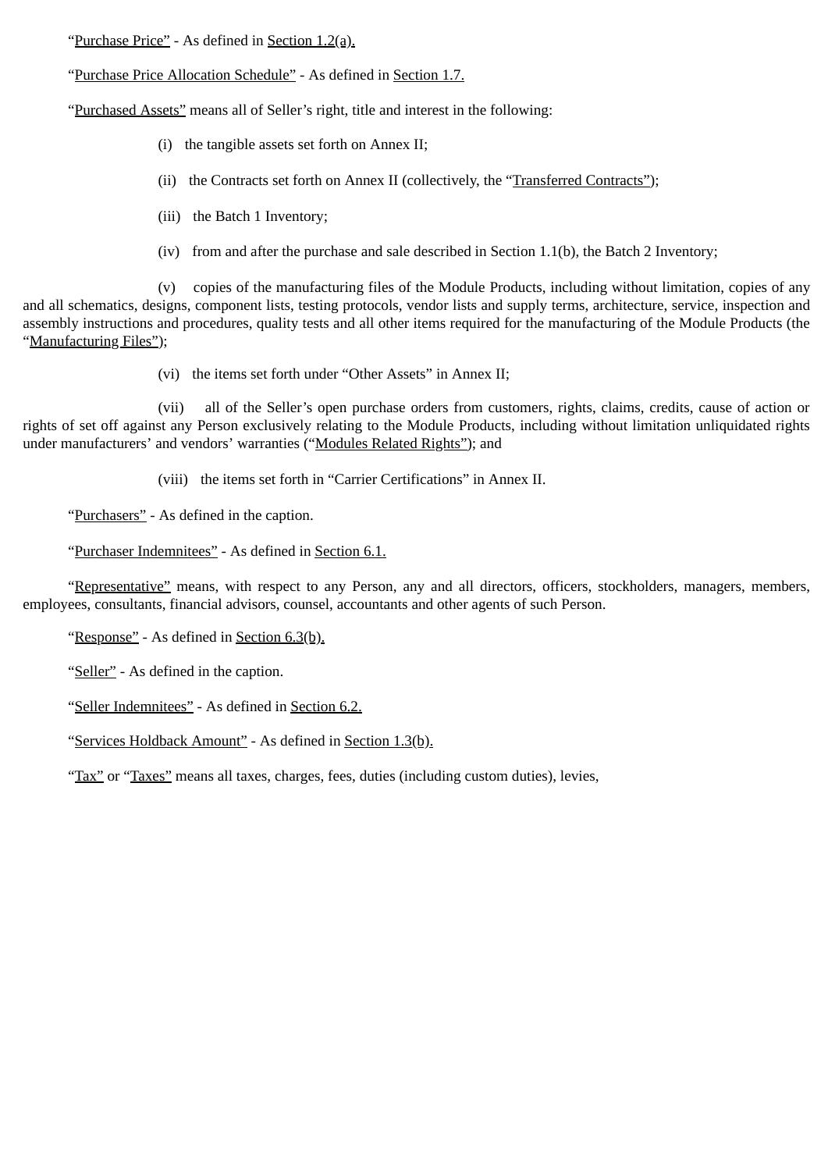"Purchase Price" - As defined in Section 1.2(a).

"Purchase Price Allocation Schedule" - As defined in Section 1.7.

"Purchased Assets" means all of Seller's right, title and interest in the following:

- (i) the tangible assets set forth on Annex II;
- (ii) the Contracts set forth on Annex II (collectively, the "Transferred Contracts");
- (iii) the Batch 1 Inventory;
- (iv) from and after the purchase and sale described in Section 1.1(b), the Batch 2 Inventory;

(v) copies of the manufacturing files of the Module Products, including without limitation, copies of any and all schematics, designs, component lists, testing protocols, vendor lists and supply terms, architecture, service, inspection and assembly instructions and procedures, quality tests and all other items required for the manufacturing of the Module Products (the "Manufacturing Files");

(vi) the items set forth under "Other Assets" in Annex II;

(vii) all of the Seller's open purchase orders from customers, rights, claims, credits, cause of action or rights of set off against any Person exclusively relating to the Module Products, including without limitation unliquidated rights under manufacturers' and vendors' warranties ("Modules Related Rights"); and

(viii) the items set forth in "Carrier Certifications" in Annex II.

"Purchasers" - As defined in the caption.

"Purchaser Indemnitees" - As defined in Section 6.1.

"Representative" means, with respect to any Person, any and all directors, officers, stockholders, managers, members, employees, consultants, financial advisors, counsel, accountants and other agents of such Person.

"Response" - As defined in Section 6.3(b).

"Seller" - As defined in the caption.

"Seller Indemnitees" - As defined in Section 6.2.

"Services Holdback Amount" - As defined in Section 1.3(b).

"Tax" or "Taxes" means all taxes, charges, fees, duties (including custom duties), levies,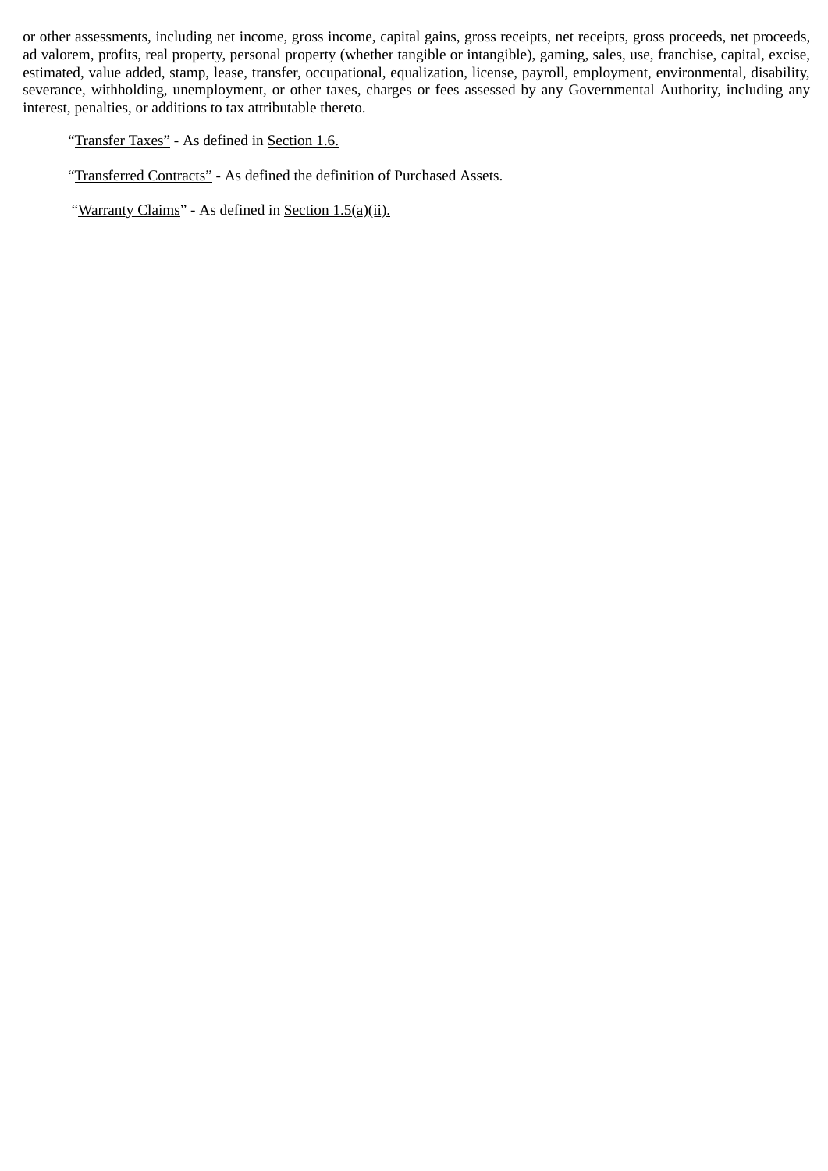or other assessments, including net income, gross income, capital gains, gross receipts, net receipts, gross proceeds, net proceeds, ad valorem, profits, real property, personal property (whether tangible or intangible), gaming, sales, use, franchise, capital, excise, estimated, value added, stamp, lease, transfer, occupational, equalization, license, payroll, employment, environmental, disability, severance, withholding, unemployment, or other taxes, charges or fees assessed by any Governmental Authority, including any interest, penalties, or additions to tax attributable thereto.

"Transfer Taxes" - As defined in Section 1.6.

"Transferred Contracts" - As defined the definition of Purchased Assets.

"Warranty Claims" - As defined in Section 1.5(a)(ii).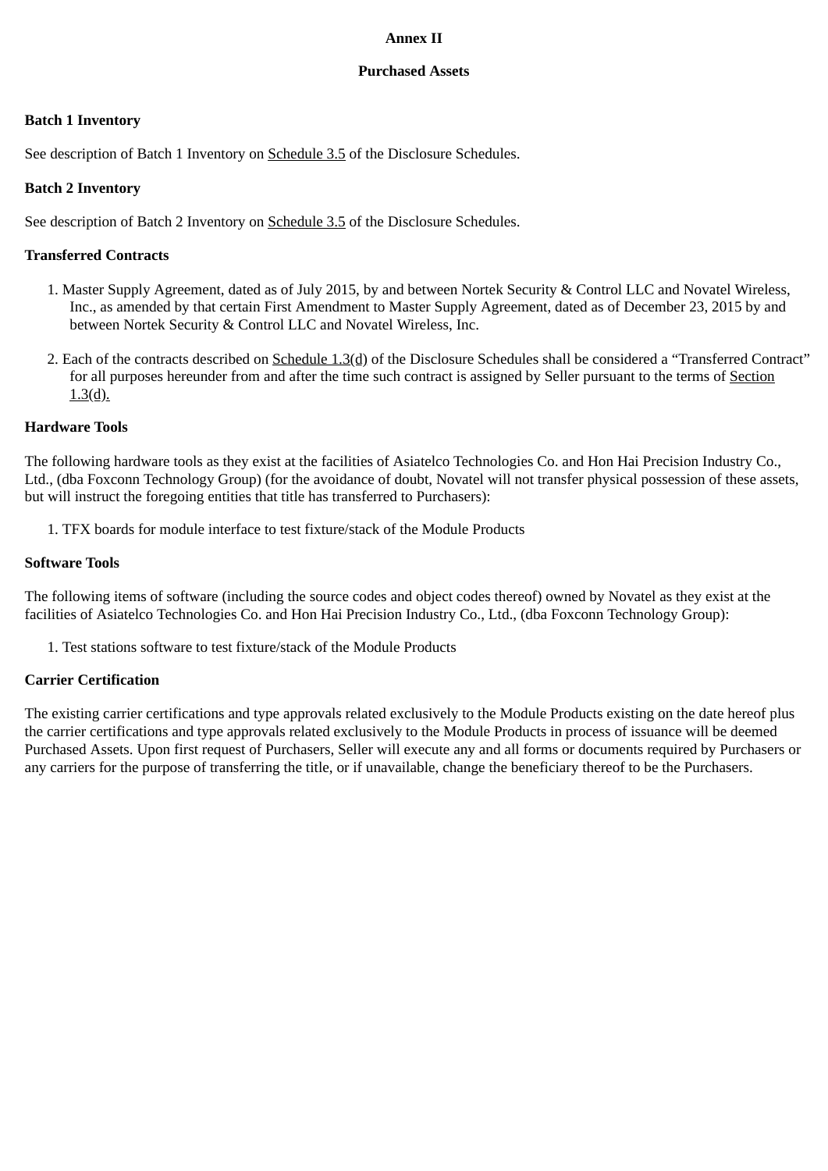# **Annex II**

# **Purchased Assets**

# **Batch 1 Inventory**

See description of Batch 1 Inventory on **Schedule 3.5** of the Disclosure Schedules.

# **Batch 2 Inventory**

See description of Batch 2 Inventory on Schedule 3.5 of the Disclosure Schedules.

## **Transferred Contracts**

- 1. Master Supply Agreement, dated as of July 2015, by and between Nortek Security & Control LLC and Novatel Wireless, Inc., as amended by that certain First Amendment to Master Supply Agreement, dated as of December 23, 2015 by and between Nortek Security & Control LLC and Novatel Wireless, Inc.
- 2. Each of the contracts described on Schedule 1.3(d) of the Disclosure Schedules shall be considered a "Transferred Contract" for all purposes hereunder from and after the time such contract is assigned by Seller pursuant to the terms of Section 1.3(d).

## **Hardware Tools**

The following hardware tools as they exist at the facilities of Asiatelco Technologies Co. and Hon Hai Precision Industry Co., Ltd., (dba Foxconn Technology Group) (for the avoidance of doubt, Novatel will not transfer physical possession of these assets, but will instruct the foregoing entities that title has transferred to Purchasers):

1. TFX boards for module interface to test fixture/stack of the Module Products

## **Software Tools**

The following items of software (including the source codes and object codes thereof) owned by Novatel as they exist at the facilities of Asiatelco Technologies Co. and Hon Hai Precision Industry Co., Ltd., (dba Foxconn Technology Group):

1. Test stations software to test fixture/stack of the Module Products

## **Carrier Certification**

The existing carrier certifications and type approvals related exclusively to the Module Products existing on the date hereof plus the carrier certifications and type approvals related exclusively to the Module Products in process of issuance will be deemed Purchased Assets. Upon first request of Purchasers, Seller will execute any and all forms or documents required by Purchasers or any carriers for the purpose of transferring the title, or if unavailable, change the beneficiary thereof to be the Purchasers.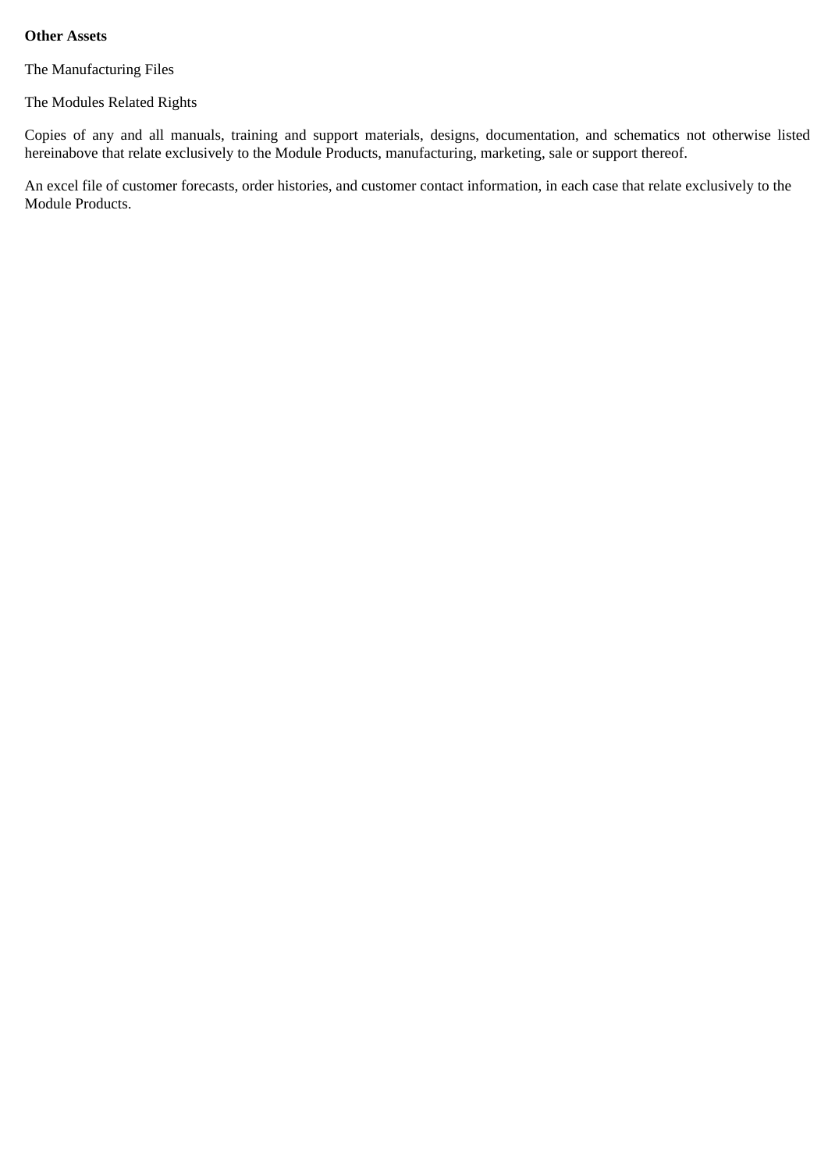# **Other Assets**

The Manufacturing Files

The Modules Related Rights

Copies of any and all manuals, training and support materials, designs, documentation, and schematics not otherwise listed hereinabove that relate exclusively to the Module Products, manufacturing, marketing, sale or support thereof.

An excel file of customer forecasts, order histories, and customer contact information, in each case that relate exclusively to the Module Products.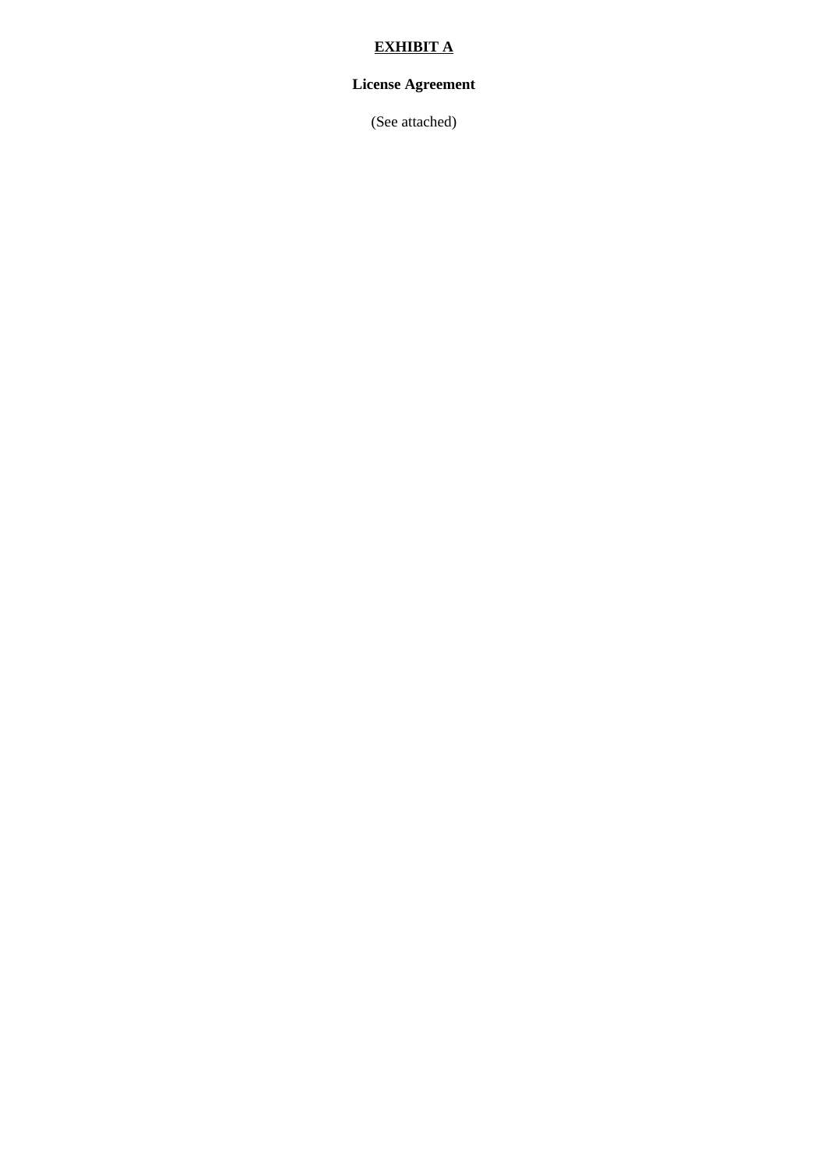# **EXHIBIT A**

# **License Agreement**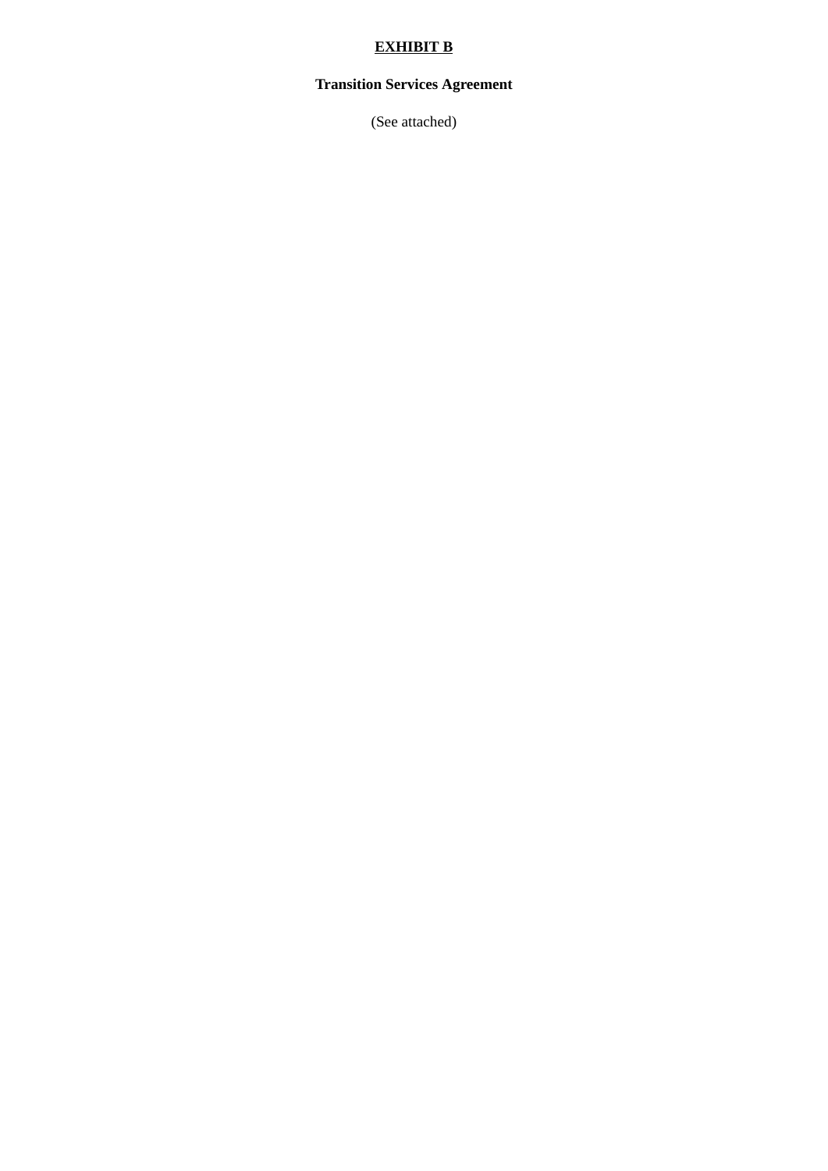# **EXHIBIT B**

# **Transition Services Agreement**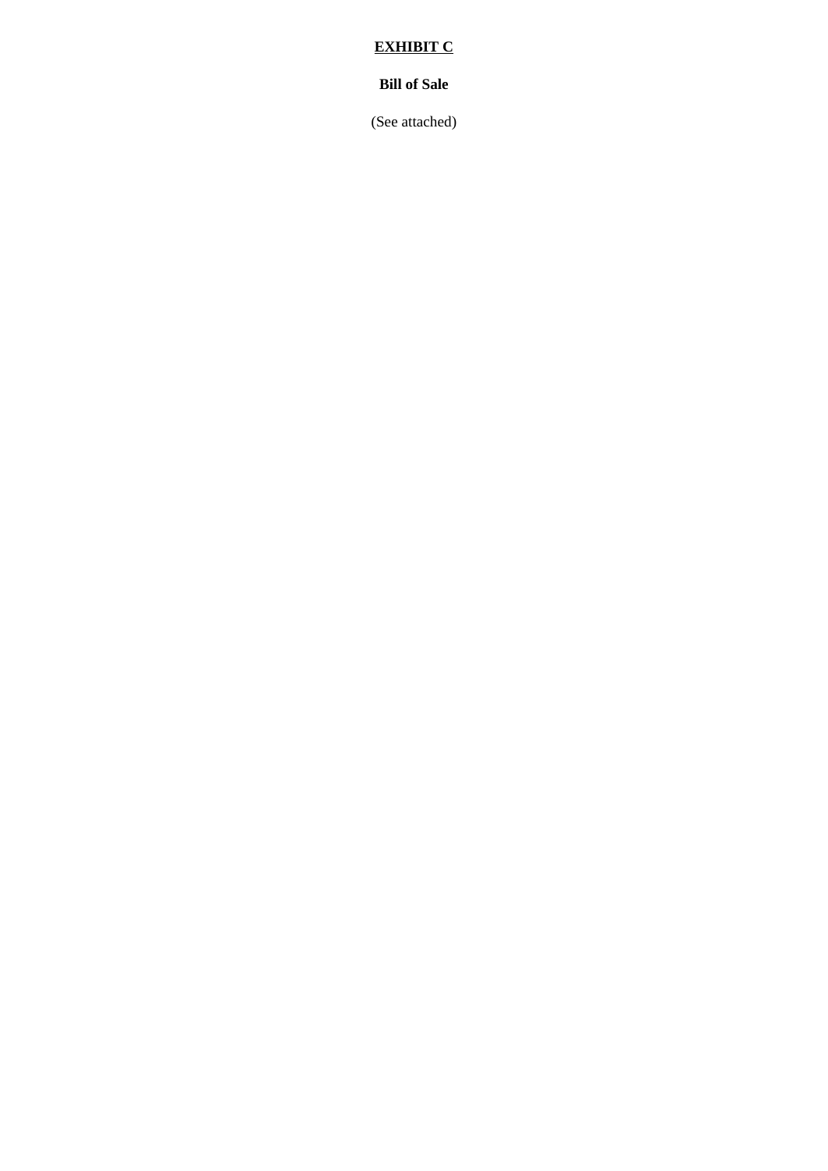# **EXHIBIT C**

# **Bill of Sale**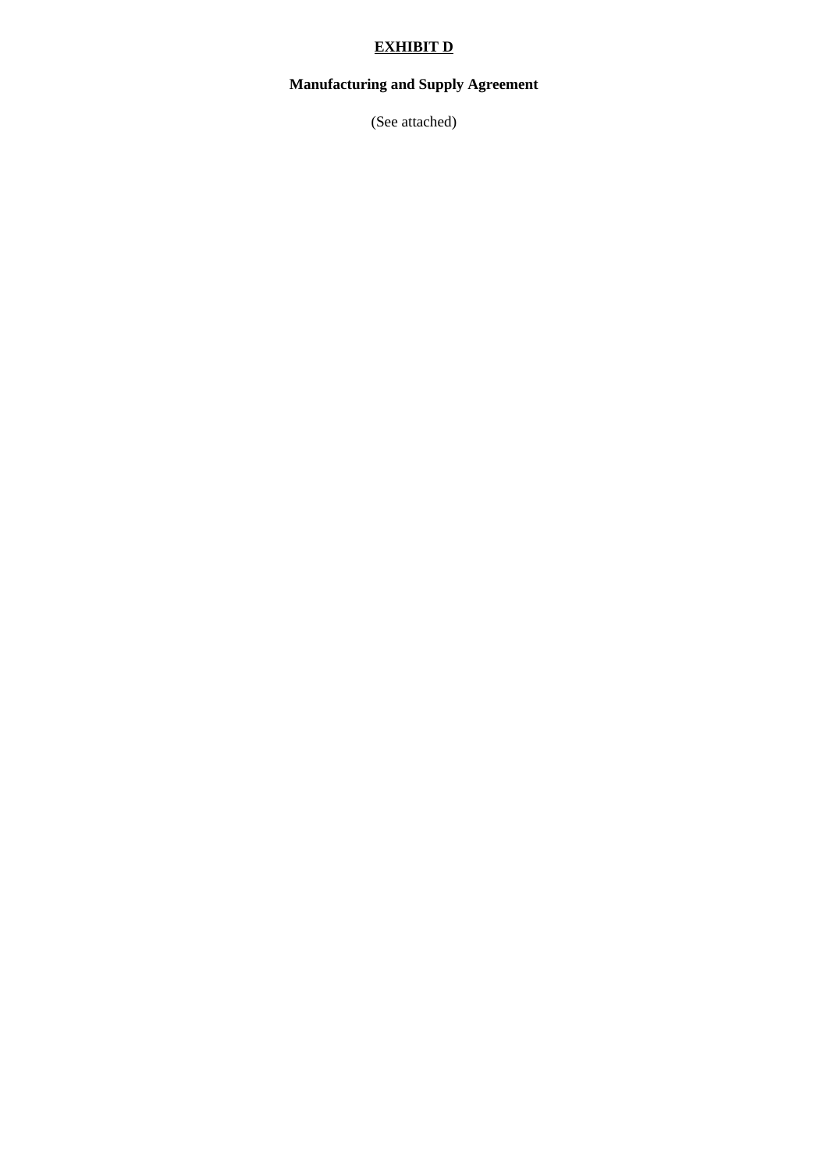# **EXHIBIT D**

# **Manufacturing and Supply Agreement**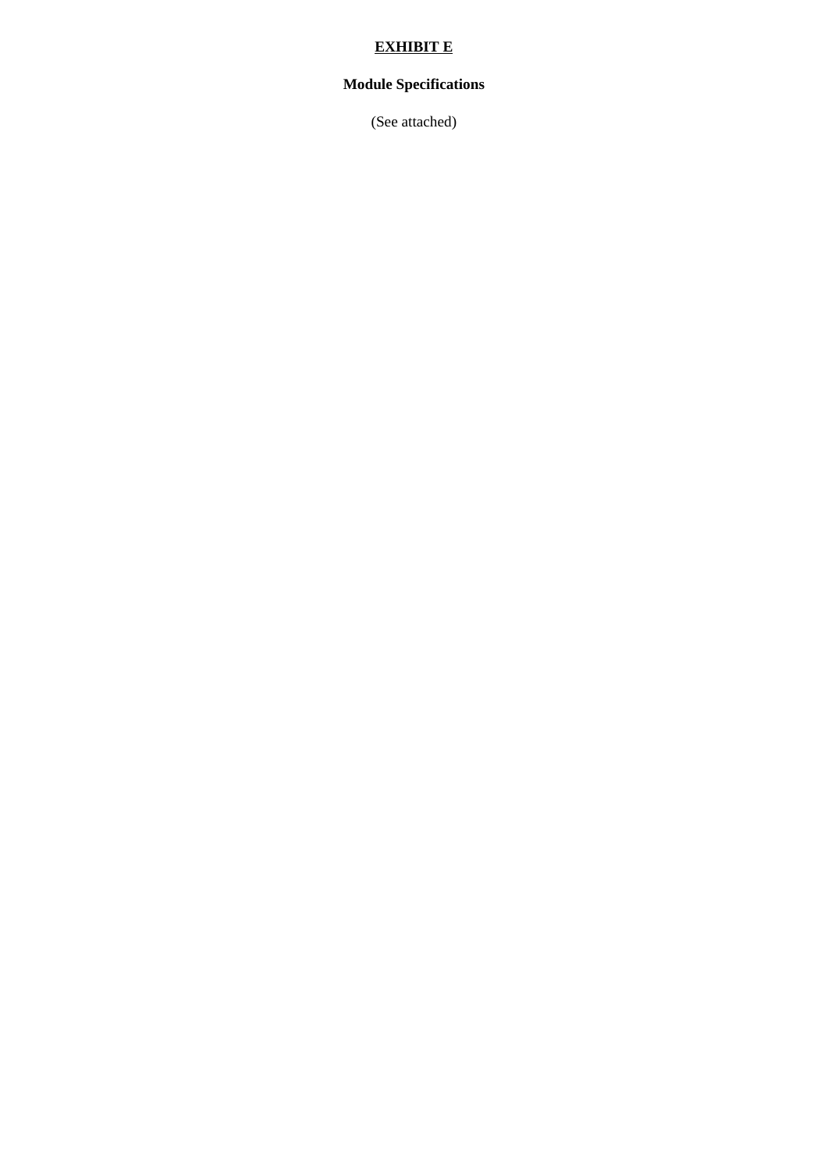# **EXHIBIT E**

# **Module Specifications**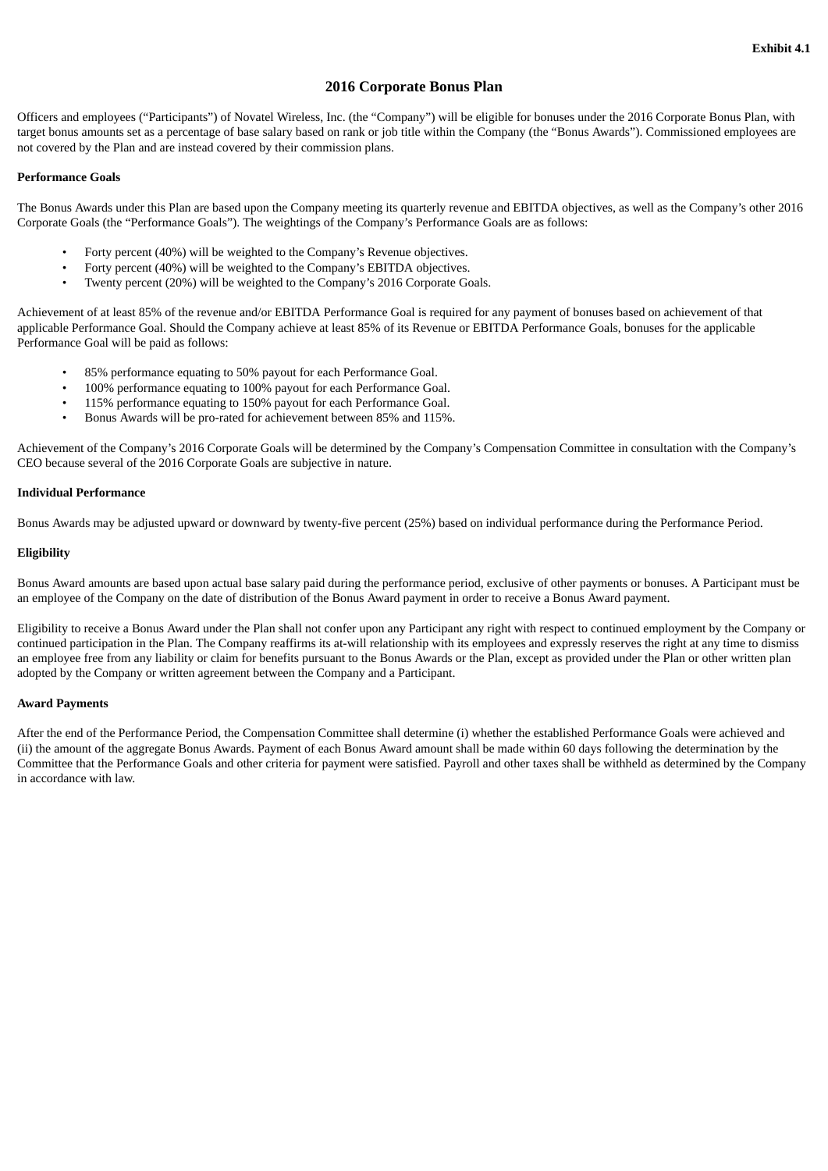## **2016 Corporate Bonus Plan**

Officers and employees ("Participants") of Novatel Wireless, Inc. (the "Company") will be eligible for bonuses under the 2016 Corporate Bonus Plan, with target bonus amounts set as a percentage of base salary based on rank or job title within the Company (the "Bonus Awards"). Commissioned employees are not covered by the Plan and are instead covered by their commission plans.

### **Performance Goals**

The Bonus Awards under this Plan are based upon the Company meeting its quarterly revenue and EBITDA objectives, as well as the Company's other 2016 Corporate Goals (the "Performance Goals"). The weightings of the Company's Performance Goals are as follows:

- Forty percent (40%) will be weighted to the Company's Revenue objectives.
- Forty percent (40%) will be weighted to the Company's EBITDA objectives.<br>• Twenty percent (20%) will be weighted to the Company's 2016 Corporate Go
- Twenty percent (20%) will be weighted to the Company's 2016 Corporate Goals.

Achievement of at least 85% of the revenue and/or EBITDA Performance Goal is required for any payment of bonuses based on achievement of that applicable Performance Goal. Should the Company achieve at least 85% of its Revenue or EBITDA Performance Goals, bonuses for the applicable Performance Goal will be paid as follows:

- 85% performance equating to 50% payout for each Performance Goal.
- 100% performance equating to 100% payout for each Performance Goal.<br>• 115% performance equating to 150% payout for each Performance Goal.
- 115% performance equating to 150% payout for each Performance Goal.
- Bonus Awards will be pro-rated for achievement between 85% and 115%.

Achievement of the Company's 2016 Corporate Goals will be determined by the Company's Compensation Committee in consultation with the Company's CEO because several of the 2016 Corporate Goals are subjective in nature.

### **Individual Performance**

Bonus Awards may be adjusted upward or downward by twenty-five percent (25%) based on individual performance during the Performance Period.

## **Eligibility**

Bonus Award amounts are based upon actual base salary paid during the performance period, exclusive of other payments or bonuses. A Participant must be an employee of the Company on the date of distribution of the Bonus Award payment in order to receive a Bonus Award payment.

Eligibility to receive a Bonus Award under the Plan shall not confer upon any Participant any right with respect to continued employment by the Company or continued participation in the Plan. The Company reaffirms its at-will relationship with its employees and expressly reserves the right at any time to dismiss an employee free from any liability or claim for benefits pursuant to the Bonus Awards or the Plan, except as provided under the Plan or other written plan adopted by the Company or written agreement between the Company and a Participant.

## **Award Payments**

After the end of the Performance Period, the Compensation Committee shall determine (i) whether the established Performance Goals were achieved and (ii) the amount of the aggregate Bonus Awards. Payment of each Bonus Award amount shall be made within 60 days following the determination by the Committee that the Performance Goals and other criteria for payment were satisfied. Payroll and other taxes shall be withheld as determined by the Company in accordance with law.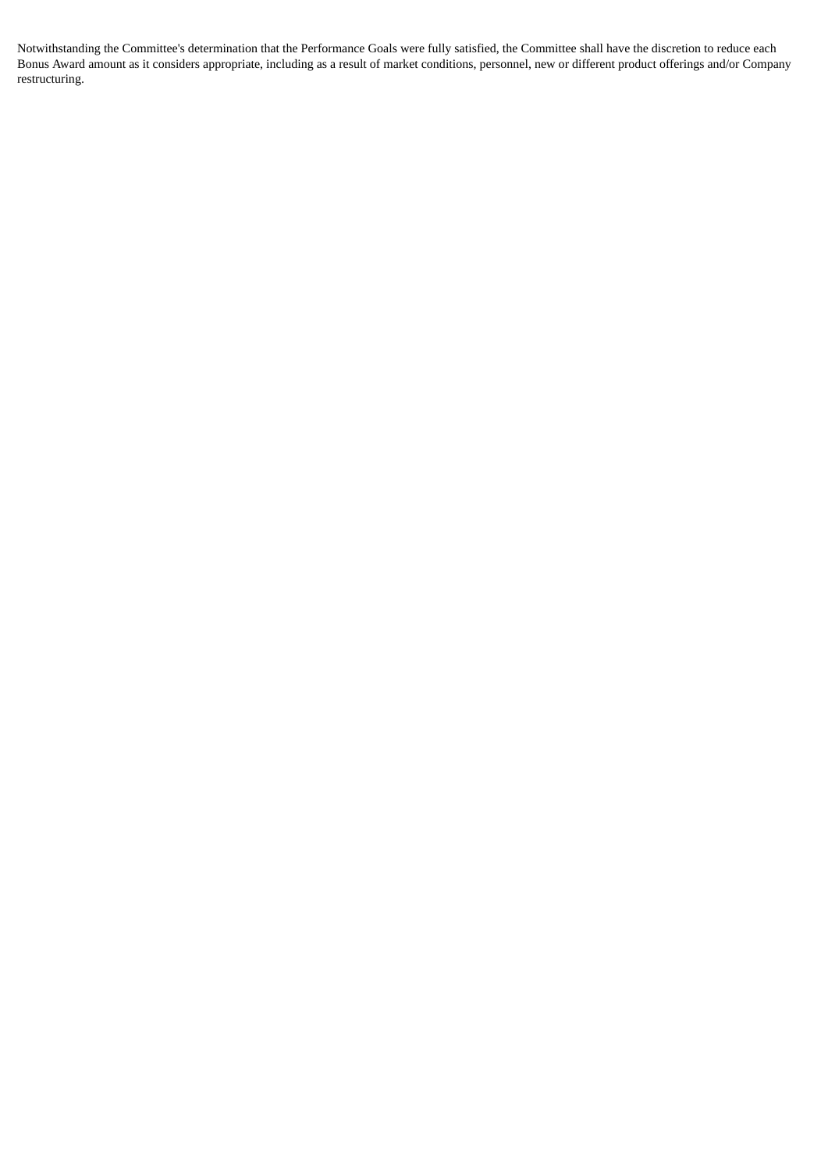Notwithstanding the Committee's determination that the Performance Goals were fully satisfied, the Committee shall have the discretion to reduce each Bonus Award amount as it considers appropriate, including as a result of market conditions, personnel, new or different product offerings and/or Company restructuring.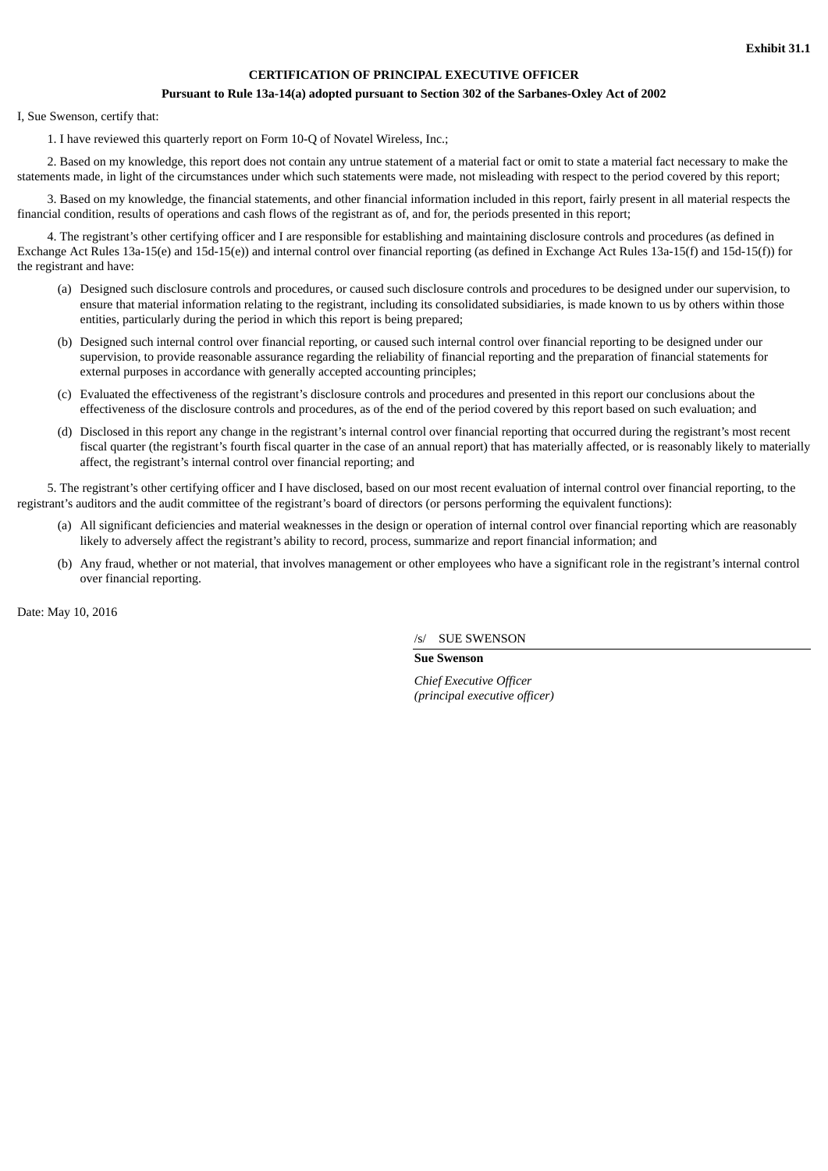### **CERTIFICATION OF PRINCIPAL EXECUTIVE OFFICER**

#### **Pursuant to Rule 13a-14(a) adopted pursuant to Section 302 of the Sarbanes-Oxley Act of 2002**

I, Sue Swenson, certify that:

1. I have reviewed this quarterly report on Form 10-Q of Novatel Wireless, Inc.;

2. Based on my knowledge, this report does not contain any untrue statement of a material fact or omit to state a material fact necessary to make the statements made, in light of the circumstances under which such statements were made, not misleading with respect to the period covered by this report;

3. Based on my knowledge, the financial statements, and other financial information included in this report, fairly present in all material respects the financial condition, results of operations and cash flows of the registrant as of, and for, the periods presented in this report;

4. The registrant's other certifying officer and I are responsible for establishing and maintaining disclosure controls and procedures (as defined in Exchange Act Rules 13a-15(e) and 15d-15(e)) and internal control over financial reporting (as defined in Exchange Act Rules 13a-15(f) and 15d-15(f)) for the registrant and have:

- (a) Designed such disclosure controls and procedures, or caused such disclosure controls and procedures to be designed under our supervision, to ensure that material information relating to the registrant, including its consolidated subsidiaries, is made known to us by others within those entities, particularly during the period in which this report is being prepared;
- (b) Designed such internal control over financial reporting, or caused such internal control over financial reporting to be designed under our supervision, to provide reasonable assurance regarding the reliability of financial reporting and the preparation of financial statements for external purposes in accordance with generally accepted accounting principles;
- (c) Evaluated the effectiveness of the registrant's disclosure controls and procedures and presented in this report our conclusions about the effectiveness of the disclosure controls and procedures, as of the end of the period covered by this report based on such evaluation; and
- (d) Disclosed in this report any change in the registrant's internal control over financial reporting that occurred during the registrant's most recent fiscal quarter (the registrant's fourth fiscal quarter in the case of an annual report) that has materially affected, or is reasonably likely to materially affect, the registrant's internal control over financial reporting; and

5. The registrant's other certifying officer and I have disclosed, based on our most recent evaluation of internal control over financial reporting, to the registrant's auditors and the audit committee of the registrant's board of directors (or persons performing the equivalent functions):

- (a) All significant deficiencies and material weaknesses in the design or operation of internal control over financial reporting which are reasonably likely to adversely affect the registrant's ability to record, process, summarize and report financial information; and
- (b) Any fraud, whether or not material, that involves management or other employees who have a significant role in the registrant's internal control over financial reporting.

Date: May 10, 2016

/s/ SUE SWENSON

**Sue Swenson**

*Chief Executive Officer (principal executive officer)*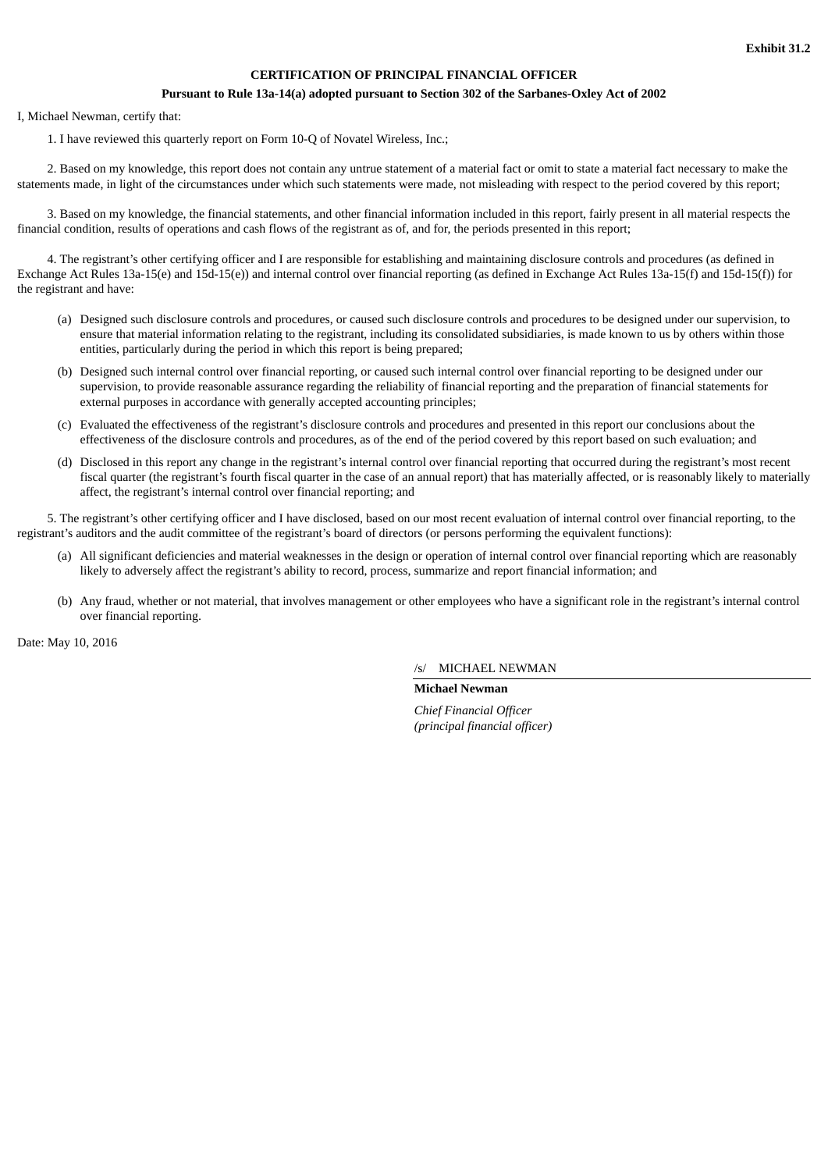### **CERTIFICATION OF PRINCIPAL FINANCIAL OFFICER**

#### **Pursuant to Rule 13a-14(a) adopted pursuant to Section 302 of the Sarbanes-Oxley Act of 2002**

I, Michael Newman, certify that:

1. I have reviewed this quarterly report on Form 10-Q of Novatel Wireless, Inc.;

2. Based on my knowledge, this report does not contain any untrue statement of a material fact or omit to state a material fact necessary to make the statements made, in light of the circumstances under which such statements were made, not misleading with respect to the period covered by this report;

3. Based on my knowledge, the financial statements, and other financial information included in this report, fairly present in all material respects the financial condition, results of operations and cash flows of the registrant as of, and for, the periods presented in this report;

4. The registrant's other certifying officer and I are responsible for establishing and maintaining disclosure controls and procedures (as defined in Exchange Act Rules 13a-15(e) and 15d-15(e)) and internal control over financial reporting (as defined in Exchange Act Rules 13a-15(f) and 15d-15(f)) for the registrant and have:

- (a) Designed such disclosure controls and procedures, or caused such disclosure controls and procedures to be designed under our supervision, to ensure that material information relating to the registrant, including its consolidated subsidiaries, is made known to us by others within those entities, particularly during the period in which this report is being prepared;
- (b) Designed such internal control over financial reporting, or caused such internal control over financial reporting to be designed under our supervision, to provide reasonable assurance regarding the reliability of financial reporting and the preparation of financial statements for external purposes in accordance with generally accepted accounting principles;
- (c) Evaluated the effectiveness of the registrant's disclosure controls and procedures and presented in this report our conclusions about the effectiveness of the disclosure controls and procedures, as of the end of the period covered by this report based on such evaluation; and
- (d) Disclosed in this report any change in the registrant's internal control over financial reporting that occurred during the registrant's most recent fiscal quarter (the registrant's fourth fiscal quarter in the case of an annual report) that has materially affected, or is reasonably likely to materially affect, the registrant's internal control over financial reporting; and

5. The registrant's other certifying officer and I have disclosed, based on our most recent evaluation of internal control over financial reporting, to the registrant's auditors and the audit committee of the registrant's board of directors (or persons performing the equivalent functions):

- (a) All significant deficiencies and material weaknesses in the design or operation of internal control over financial reporting which are reasonably likely to adversely affect the registrant's ability to record, process, summarize and report financial information; and
- (b) Any fraud, whether or not material, that involves management or other employees who have a significant role in the registrant's internal control over financial reporting.

Date: May 10, 2016

/s/ MICHAEL NEWMAN

## **Michael Newman**

*Chief Financial Officer (principal financial officer)*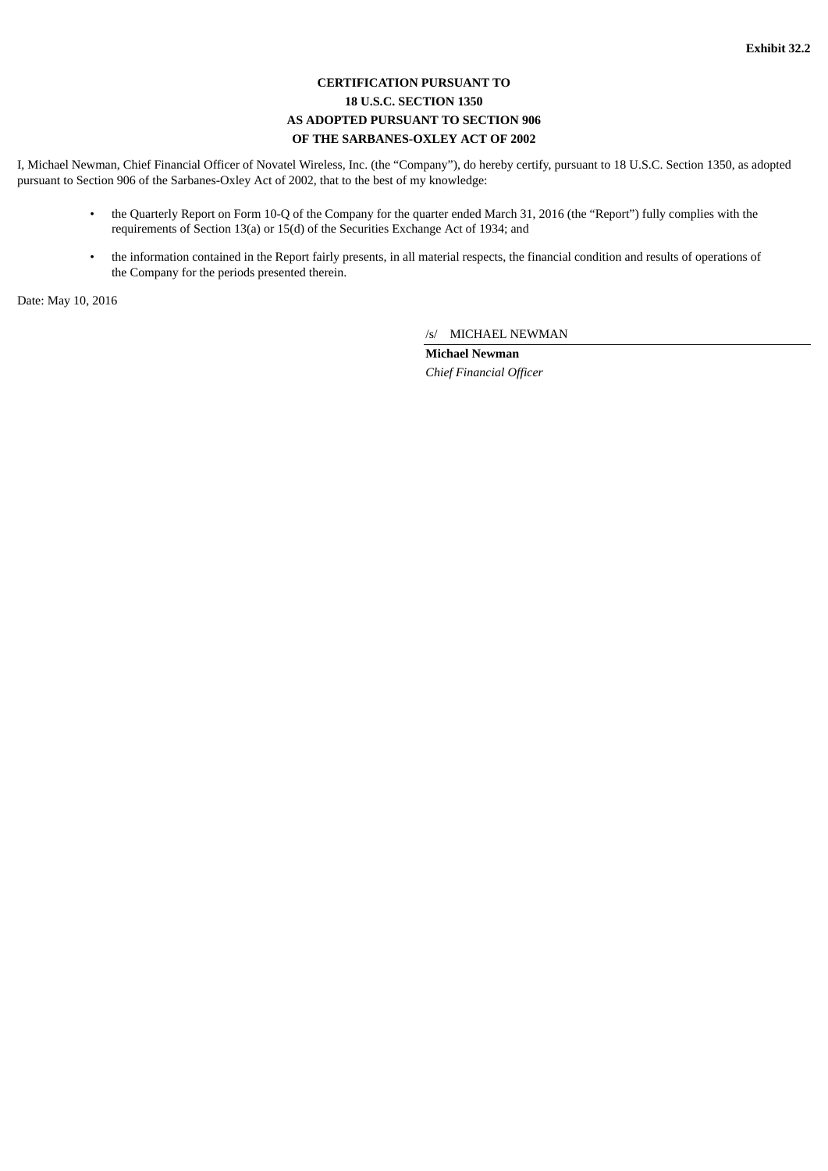# **CERTIFICATION PURSUANT TO 18 U.S.C. SECTION 1350 AS ADOPTED PURSUANT TO SECTION 906 OF THE SARBANES-OXLEY ACT OF 2002**

I, Michael Newman, Chief Financial Officer of Novatel Wireless, Inc. (the "Company"), do hereby certify, pursuant to 18 U.S.C. Section 1350, as adopted pursuant to Section 906 of the Sarbanes-Oxley Act of 2002, that to the best of my knowledge:

- the Quarterly Report on Form 10-Q of the Company for the quarter ended March 31, 2016 (the "Report") fully complies with the requirements of Section 13(a) or 15(d) of the Securities Exchange Act of 1934; and
- the information contained in the Report fairly presents, in all material respects, the financial condition and results of operations of the Company for the periods presented therein.

Date: May 10, 2016

/s/ MICHAEL NEWMAN

**Michael Newman** *Chief Financial Officer*